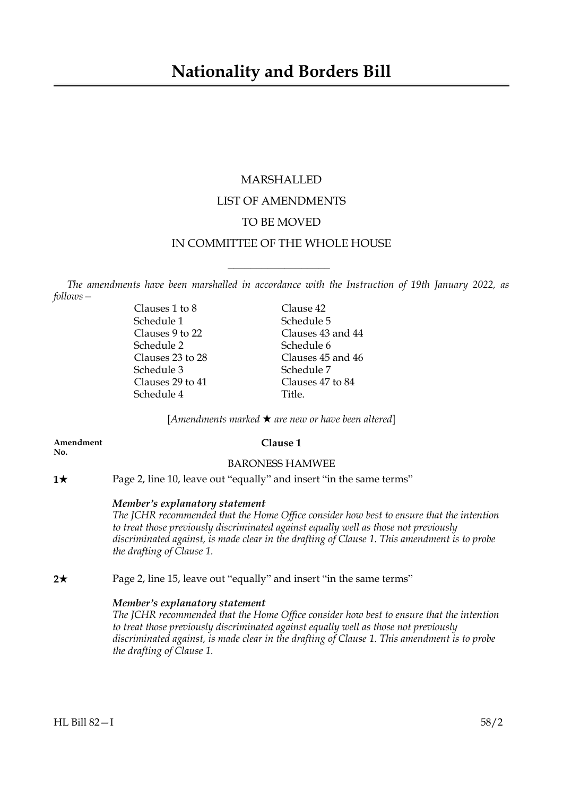## MARSHALLED LIST OF AMENDMENTS TO BE MOVED IN COMMITTEE OF THE WHOLE HOUSE

*The amendments have been marshalled in accordance with the Instruction of 19th January 2022, as follows—*

 $\overline{\phantom{a}}$  , where  $\overline{\phantom{a}}$ 

| Clauses 1 to 8   | Clause 42         |
|------------------|-------------------|
| Schedule 1       | Schedule 5        |
| Clauses 9 to 22  | Clauses 43 and 44 |
| Schedule 2       | Schedule 6        |
| Clauses 23 to 28 | Clauses 45 and 46 |
| Schedule 3       | Schedule 7        |
| Clauses 29 to 41 | Clauses 47 to 84  |
| Schedule 4       | Title.            |

[*Amendments marked* \* *are new or have been altered*]

**Amendment Clause 1 No.**

### BARONESS HAMWEE

**1★** Page 2, line 10, leave out "equally" and insert "in the same terms"

### *Member's explanatory statement*

*The JCHR recommended that the Home Office consider how best to ensure that the intention to treat those previously discriminated against equally well as those not previously discriminated against, is made clear in the drafting of Clause 1. This amendment is to probe the drafting of Clause 1.*

**2★** Page 2, line 15, leave out "equally" and insert "in the same terms"

### *Member's explanatory statement*

*The JCHR recommended that the Home Office consider how best to ensure that the intention to treat those previously discriminated against equally well as those not previously discriminated against, is made clear in the drafting of Clause 1. This amendment is to probe the drafting of Clause 1.*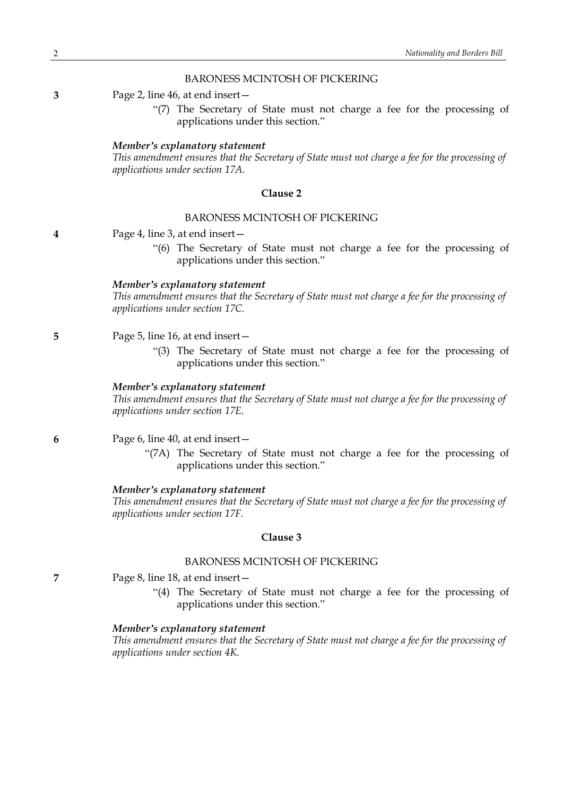#### BARONESS MCINTOSH OF PICKERING

**3** Page 2, line 46, at end insert—

"(7) The Secretary of State must not charge a fee for the processing of applications under this section."

#### *Member's explanatory statement*

*This amendment ensures that the Secretary of State must not charge a fee for the processing of applications under section 17A.*

### **Clause 2**

#### BARONESS MCINTOSH OF PICKERING

**4** Page 4, line 3, at end insert—

"(6) The Secretary of State must not charge a fee for the processing of applications under this section."

#### *Member's explanatory statement*

*This amendment ensures that the Secretary of State must not charge a fee for the processing of applications under section 17C.*

**5** Page 5, line 16, at end insert—

"(3) The Secretary of State must not charge a fee for the processing of applications under this section."

#### *Member's explanatory statement*

*This amendment ensures that the Secretary of State must not charge a fee for the processing of applications under section 17E.*

**6** Page 6, line 40, at end insert—

"(7A) The Secretary of State must not charge a fee for the processing of applications under this section."

#### *Member's explanatory statement*

*This amendment ensures that the Secretary of State must not charge a fee for the processing of applications under section 17F.*

#### **Clause 3**

#### BARONESS MCINTOSH OF PICKERING

- **7** Page 8, line 18, at end insert—
	- "(4) The Secretary of State must not charge a fee for the processing of applications under this section."

### *Member's explanatory statement*

*This amendment ensures that the Secretary of State must not charge a fee for the processing of applications under section 4K.*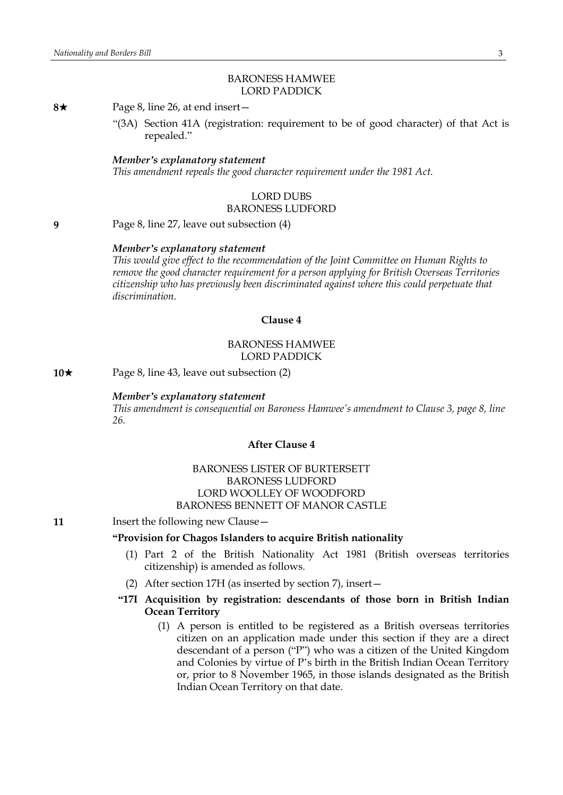### BARONESS HAMWEE LORD PADDICK

**8**★ Page 8, line 26, at end insert —

"(3A) Section 41A (registration: requirement to be of good character) of that Act is repealed."

### *Member's explanatory statement*

*This amendment repeals the good character requirement under the 1981 Act.*

### LORD DUBS BARONESS LUDFORD

**9** Page 8, line 27, leave out subsection (4)

#### *Member's explanatory statement*

*This would give effect to the recommendation of the Joint Committee on Human Rights to remove the good character requirement for a person applying for British Overseas Territories citizenship who has previously been discriminated against where this could perpetuate that discrimination.*

#### **Clause 4**

#### BARONESS HAMWEE LORD PADDICK

**10★** Page 8, line 43, leave out subsection (2)

#### *Member's explanatory statement*

*This amendment is consequential on Baroness Hamwee's amendment to Clause 3, page 8, line 26.*

#### **After Clause 4**

### BARONESS LISTER OF BURTERSETT BARONESS LUDFORD LORD WOOLLEY OF WOODFORD BARONESS BENNETT OF MANOR CASTLE

**11** Insert the following new Clause –

#### **"Provision for Chagos Islanders to acquire British nationality**

- (1) Part 2 of the British Nationality Act 1981 (British overseas territories citizenship) is amended as follows.
- (2) After section 17H (as inserted by section 7), insert—
- **"17I Acquisition by registration: descendants of those born in British Indian Ocean Territory**
	- (1) A person is entitled to be registered as a British overseas territories citizen on an application made under this section if they are a direct descendant of a person ("P") who was a citizen of the United Kingdom and Colonies by virtue of P's birth in the British Indian Ocean Territory or, prior to 8 November 1965, in those islands designated as the British Indian Ocean Territory on that date.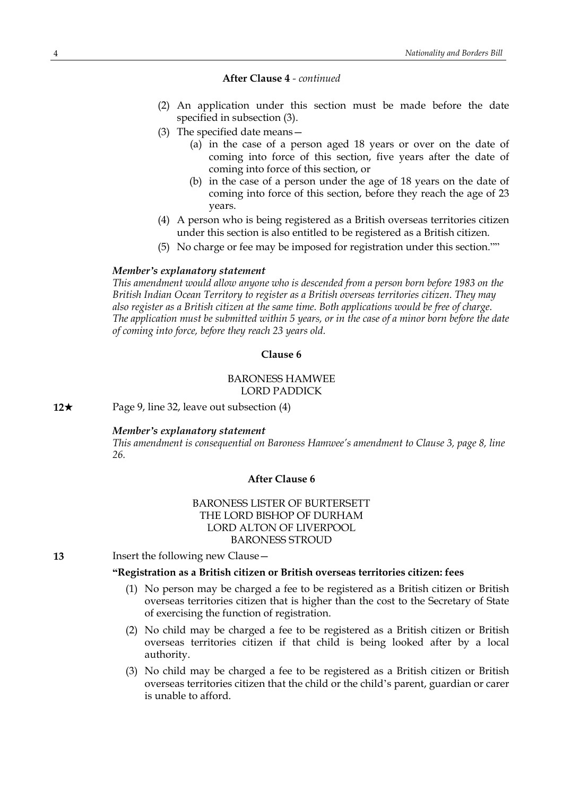#### **After Clause 4** *- continued*

- (2) An application under this section must be made before the date specified in subsection (3).
- (3) The specified date means—
	- (a) in the case of a person aged 18 years or over on the date of coming into force of this section, five years after the date of coming into force of this section, or
	- (b) in the case of a person under the age of 18 years on the date of coming into force of this section, before they reach the age of 23 years.
- (4) A person who is being registered as a British overseas territories citizen under this section is also entitled to be registered as a British citizen.
- (5) No charge or fee may be imposed for registration under this section.""

#### *Member's explanatory statement*

*This amendment would allow anyone who is descended from a person born before 1983 on the British Indian Ocean Territory to register as a British overseas territories citizen. They may also register as a British citizen at the same time. Both applications would be free of charge.* The application must be submitted within 5 years, or in the case of a minor born before the date *of coming into force, before they reach 23 years old.*

### **Clause 6**

### BARONESS HAMWEE LORD PADDICK

**12**★ Page 9, line 32, leave out subsection (4)

#### *Member's explanatory statement*

*This amendment is consequential on Baroness Hamwee's amendment to Clause 3, page 8, line 26.*

#### **After Clause 6**

### BARONESS LISTER OF BURTERSETT THE LORD BISHOP OF DURHAM LORD ALTON OF LIVERPOOL BARONESS STROUD

**13** Insert the following new Clause—

#### **"Registration as a British citizen or British overseas territories citizen: fees**

- (1) No person may be charged a fee to be registered as a British citizen or British overseas territories citizen that is higher than the cost to the Secretary of State of exercising the function of registration.
- (2) No child may be charged a fee to be registered as a British citizen or British overseas territories citizen if that child is being looked after by a local authority.
- (3) No child may be charged a fee to be registered as a British citizen or British overseas territories citizen that the child or the child's parent, guardian or carer is unable to afford.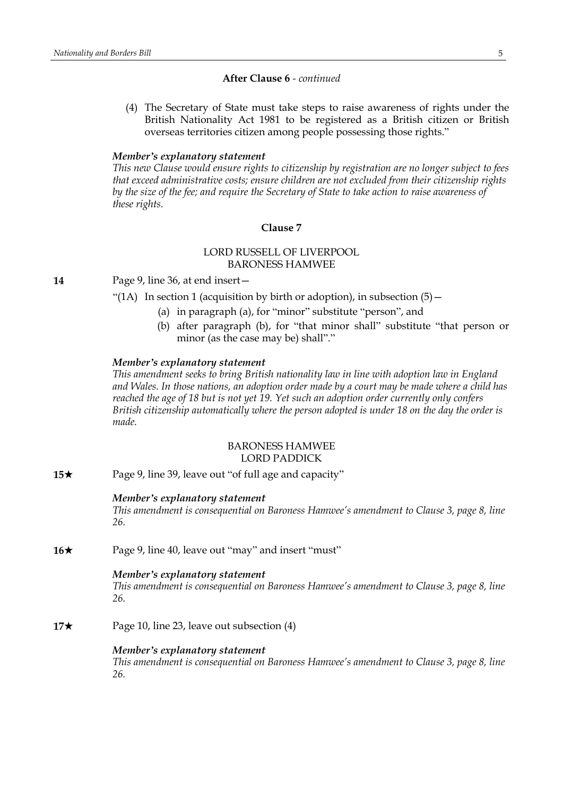### **After Clause 6** *- continued*

(4) The Secretary of State must take steps to raise awareness of rights under the British Nationality Act 1981 to be registered as a British citizen or British overseas territories citizen among people possessing those rights."

#### *Member's explanatory statement*

*This new Clause would ensure rights to citizenship by registration are no longer subject to fees that exceed administrative costs; ensure children are not excluded from their citizenship rights* by the size of the fee; and require the Secretary of State to take action to raise awareness of *these rights.*

#### **Clause 7**

### LORD RUSSELL OF LIVERPOOL BARONESS HAMWEE

**14** Page 9, line 36, at end insert—

- "(1A) In section 1 (acquisition by birth or adoption), in subsection  $(5)$  -
	- (a) in paragraph (a), for "minor" substitute "person", and
	- (b) after paragraph (b), for "that minor shall" substitute "that person or minor (as the case may be) shall"."

#### *Member's explanatory statement*

*This amendment seeks to bring British nationality law in line with adoption law in England* and Wales. In those nations, an adoption order made by a court may be made where a child has *reached the age of 18 but is not yet 19. Yet such an adoption order currently only confers British citizenship automatically where the person adopted is under 18 on the day the order is made.*

### BARONESS HAMWEE LORD PADDICK

**15**★ Page 9, line 39, leave out "of full age and capacity"

#### *Member's explanatory statement*

*This amendment is consequential on Baroness Hamwee's amendment to Clause 3, page 8, line 26.*

**16**★ Page 9, line 40, leave out "may" and insert "must"

#### *Member's explanatory statement*

*This amendment is consequential on Baroness Hamwee's amendment to Clause 3, page 8, line 26.*

**17★** Page 10, line 23, leave out subsection (4)

#### *Member's explanatory statement*

*This amendment is consequential on Baroness Hamwee's amendment to Clause 3, page 8, line 26.*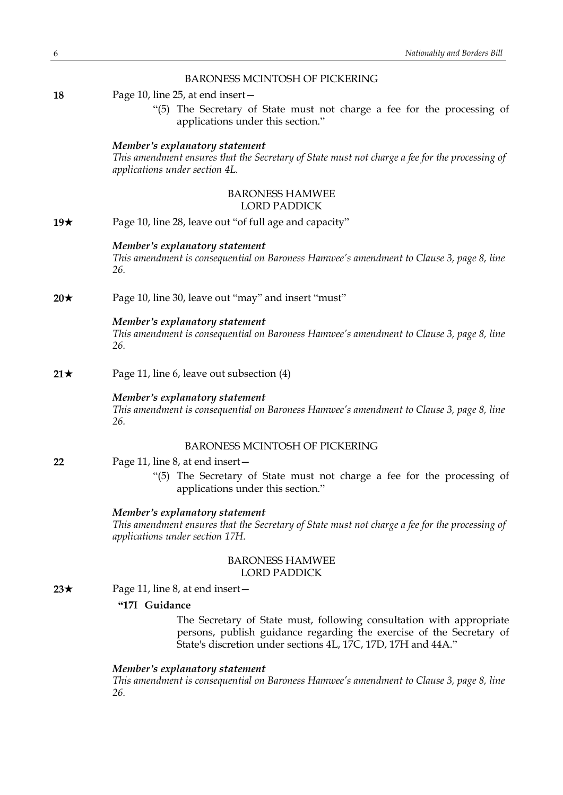| BARONESS MCINTOSH OF PICKERING |  |
|--------------------------------|--|
|--------------------------------|--|

- **18** Page 10, line 25, at end insert—
	- "(5) The Secretary of State must not charge a fee for the processing of applications under this section."

*This amendment ensures that the Secretary of State must not charge a fee for the processing of applications under section 4L.*

### BARONESS HAMWEE LORD PADDICK

**19★** Page 10, line 28, leave out "of full age and capacity"

#### *Member's explanatory statement*

*This amendment is consequential on Baroness Hamwee's amendment to Clause 3, page 8, line 26.*

**20**★ Page 10, line 30, leave out "may" and insert "must"

### *Member's explanatory statement*

*This amendment is consequential on Baroness Hamwee's amendment to Clause 3, page 8, line 26.*

**21** $\star$  Page 11, line 6, leave out subsection (4)

### *Member's explanatory statement*

*This amendment is consequential on Baroness Hamwee's amendment to Clause 3, page 8, line 26.*

### BARONESS MCINTOSH OF PICKERING

#### **22** Page 11, line 8, at end insert—

"(5) The Secretary of State must not charge a fee for the processing of applications under this section."

#### *Member's explanatory statement*

*This amendment ensures that the Secretary of State must not charge a fee for the processing of applications under section 17H.*

#### BARONESS HAMWEE LORD PADDICK

**23**★ Page 11, line 8, at end insert —

### **"17I Guidance**

The Secretary of State must, following consultation with appropriate persons, publish guidance regarding the exercise of the Secretary of State's discretion under sections 4L, 17C, 17D, 17H and 44A."

### *Member's explanatory statement*

*This amendment is consequential on Baroness Hamwee's amendment to Clause 3, page 8, line 26.*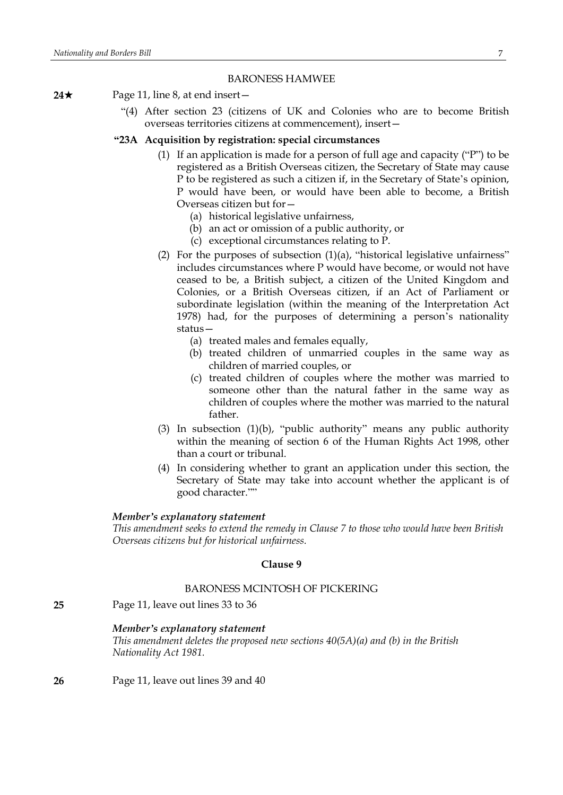#### BARONESS HAMWEE

- **24**★ Page 11, line 8, at end insert
	- "(4) After section 23 (citizens of UK and Colonies who are to become British overseas territories citizens at commencement), insert—

#### **"23A Acquisition by registration: special circumstances**

- (1) If an application is made for a person of full age and capacity ("P") to be registered as a British Overseas citizen, the Secretary of State may cause P to be registered as such a citizen if, in the Secretary of State's opinion, P would have been, or would have been able to become, a British Overseas citizen but for—
	- (a) historical legislative unfairness,
	- (b) an act or omission of a public authority, or
	- (c) exceptional circumstances relating to P.
- (2) For the purposes of subsection  $(1)(a)$ , "historical legislative unfairness" includes circumstances where P would have become, or would not have ceased to be, a British subject, a citizen of the United Kingdom and Colonies, or a British Overseas citizen, if an Act of Parliament or subordinate legislation (within the meaning of the Interpretation Act 1978) had, for the purposes of determining a person's nationality status—
	- (a) treated males and females equally,
	- (b) treated children of unmarried couples in the same way as children of married couples, or
	- (c) treated children of couples where the mother was married to someone other than the natural father in the same way as children of couples where the mother was married to the natural father.
- (3) In subsection (1)(b), "public authority" means any public authority within the meaning of section 6 of the Human Rights Act 1998, other than a court or tribunal.
- (4) In considering whether to grant an application under this section, the Secretary of State may take into account whether the applicant is of good character.""

#### *Member's explanatory statement*

*This amendment seeks to extend the remedy in Clause 7 to those who would have been British Overseas citizens but for historical unfairness.*

#### **Clause 9**

#### BARONESS MCINTOSH OF PICKERING

**25** Page 11, leave out lines 33 to 36

### *Member's explanatory statement*

*This amendment deletes the proposed new sections 40(5A)(a) and (b) in the British Nationality Act 1981.*

**26** Page 11, leave out lines 39 and 40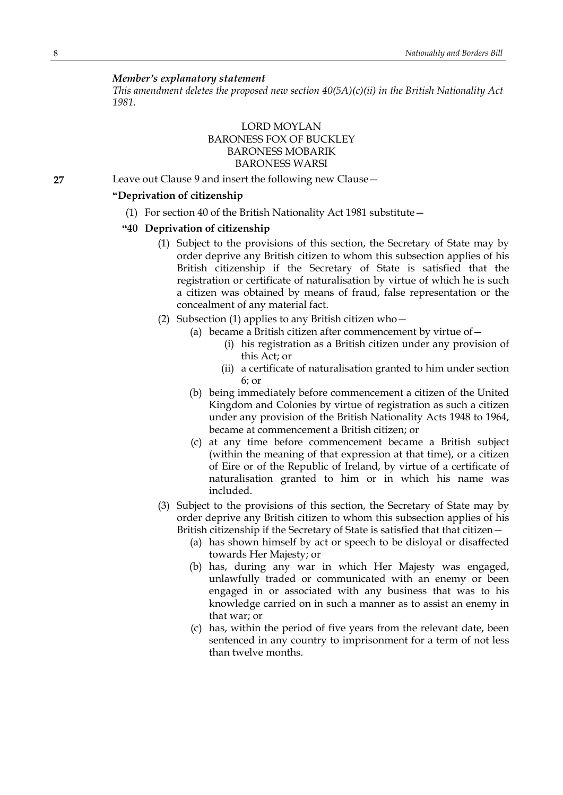*This amendment deletes the proposed new section 40(5A)(c)(ii) in the British Nationality Act 1981.*

### LORD MOYLAN BARONESS FOX OF BUCKLEY BARONESS MOBARIK BARONESS WARSI

**27** Leave out Clause 9 and insert the following new Clause—

#### **"Deprivation of citizenship**

(1) For section 40 of the British Nationality Act 1981 substitute—

### **"40 Deprivation of citizenship**

- (1) Subject to the provisions of this section, the Secretary of State may by order deprive any British citizen to whom this subsection applies of his British citizenship if the Secretary of State is satisfied that the registration or certificate of naturalisation by virtue of which he is such a citizen was obtained by means of fraud, false representation or the concealment of any material fact.
- (2) Subsection (1) applies to any British citizen who—
	- (a) became a British citizen after commencement by virtue of  $-$ 
		- (i) his registration as a British citizen under any provision of this Act; or
		- (ii) a certificate of naturalisation granted to him under section 6; or
	- (b) being immediately before commencement a citizen of the United Kingdom and Colonies by virtue of registration as such a citizen under any provision of the British Nationality Acts 1948 to 1964, became at commencement a British citizen; or
	- (c) at any time before commencement became a British subject (within the meaning of that expression at that time), or a citizen of Eire or of the Republic of Ireland, by virtue of a certificate of naturalisation granted to him or in which his name was included.
- (3) Subject to the provisions of this section, the Secretary of State may by order deprive any British citizen to whom this subsection applies of his British citizenship if the Secretary of State is satisfied that that citizen—
	- (a) has shown himself by act or speech to be disloyal or disaffected towards Her Majesty; or
	- (b) has, during any war in which Her Majesty was engaged, unlawfully traded or communicated with an enemy or been engaged in or associated with any business that was to his knowledge carried on in such a manner as to assist an enemy in that war; or
	- (c) has, within the period of five years from the relevant date, been sentenced in any country to imprisonment for a term of not less than twelve months.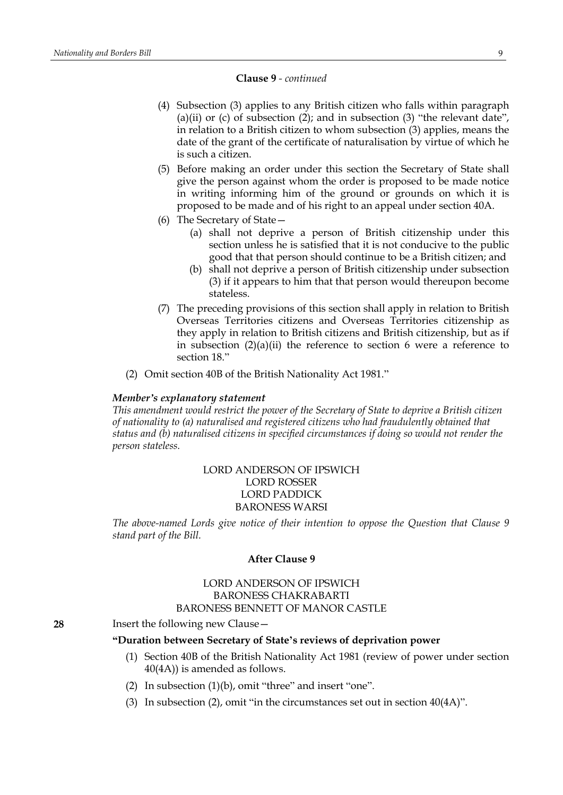#### **Clause 9** *- continued*

- (4) Subsection (3) applies to any British citizen who falls within paragraph (a)(ii) or (c) of subsection (2); and in subsection (3) "the relevant date", in relation to a British citizen to whom subsection (3) applies, means the date of the grant of the certificate of naturalisation by virtue of which he is such a citizen.
- (5) Before making an order under this section the Secretary of State shall give the person against whom the order is proposed to be made notice in writing informing him of the ground or grounds on which it is proposed to be made and of his right to an appeal under section 40A.
- (6) The Secretary of State—
	- (a) shall not deprive a person of British citizenship under this section unless he is satisfied that it is not conducive to the public good that that person should continue to be a British citizen; and
	- (b) shall not deprive a person of British citizenship under subsection (3) if it appears to him that that person would thereupon become stateless.
- (7) The preceding provisions of this section shall apply in relation to British Overseas Territories citizens and Overseas Territories citizenship as they apply in relation to British citizens and British citizenship, but as if in subsection  $(2)(a)(ii)$  the reference to section 6 were a reference to section 18."
- (2) Omit section 40B of the British Nationality Act 1981."

#### *Member's explanatory statement*

*This amendment would restrict the power of the Secretary of State to deprive a British citizen of nationality to (a) naturalised and registered citizens who had fraudulently obtained that status and (b) naturalised citizens in specified circumstances if doing so would not render the person stateless.*

### LORD ANDERSON OF IPSWICH LORD ROSSER LORD PADDICK BARONESS WARSI

*The above-named Lords give notice of their intention to oppose the Question that Clause 9 stand part of the Bill.*

#### **After Clause 9**

### LORD ANDERSON OF IPSWICH BARONESS CHAKRABARTI BARONESS BENNETT OF MANOR CASTLE

**28** Insert the following new Clause—

### **"Duration between Secretary of State's reviews of deprivation power**

- (1) Section 40B of the British Nationality Act 1981 (review of power under section 40(4A)) is amended as follows.
- (2) In subsection  $(1)(b)$ , omit "three" and insert "one".
- (3) In subsection (2), omit "in the circumstances set out in section 40(4A)".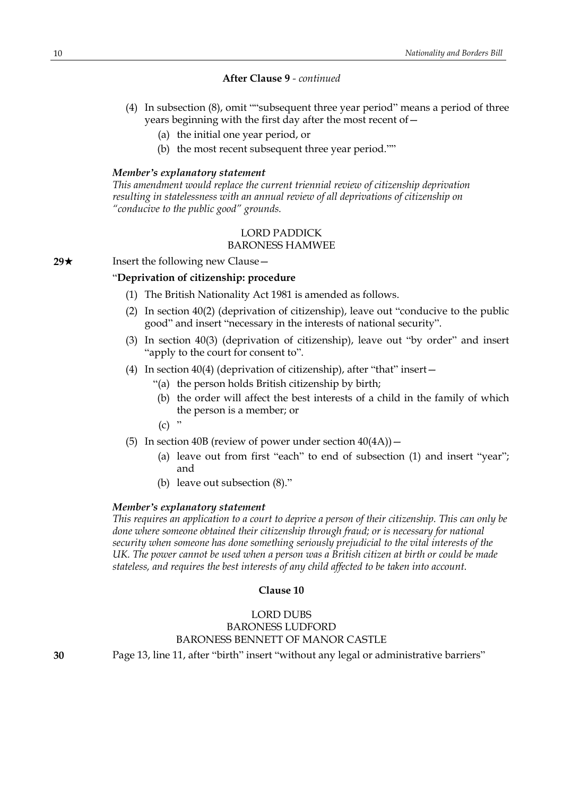### **After Clause 9** *- continued*

- (4) In subsection (8), omit ""subsequent three year period" means a period of three years beginning with the first day after the most recent of—
	- (a) the initial one year period, or
	- (b) the most recent subsequent three year period.""

#### *Member's explanatory statement*

*This amendment would replace the current triennial review of citizenship deprivation resulting in statelessness with an annual review of all deprivations of citizenship on "conducive to the public good" grounds.*

### LORD PADDICK

### BARONESS HAMWEE

### **29**★ Insert the following new Clause —

#### "**Deprivation of citizenship: procedure**

- (1) The British Nationality Act 1981 is amended as follows.
- (2) In section 40(2) (deprivation of citizenship), leave out "conducive to the public good" and insert "necessary in the interests of national security".
- (3) In section 40(3) (deprivation of citizenship), leave out "by order" and insert "apply to the court for consent to".
- (4) In section 40(4) (deprivation of citizenship), after "that" insert—
	- "(a) the person holds British citizenship by birth;
	- (b) the order will affect the best interests of a child in the family of which the person is a member; or
	- $(c)$  "
- (5) In section 40B (review of power under section  $40(4A)$ )
	- (a) leave out from first "each" to end of subsection (1) and insert "year"; and
	- (b) leave out subsection (8)."

#### *Member's explanatory statement*

*This requires an application to a court to deprive a person of their citizenship. This can only be done where someone obtained their citizenship through fraud; or is necessary for national security when someone has done something seriously prejudicial to the vital interests of the UK. The power cannot be used when a person was a British citizen at birth or could be made stateless, and requires the best interests of any child affected to be taken into account.*

#### **Clause 10**

### LORD DUBS BARONESS LUDFORD BARONESS BENNETT OF MANOR CASTLE

**30** Page 13, line 11, after "birth" insert "without any legal or administrative barriers"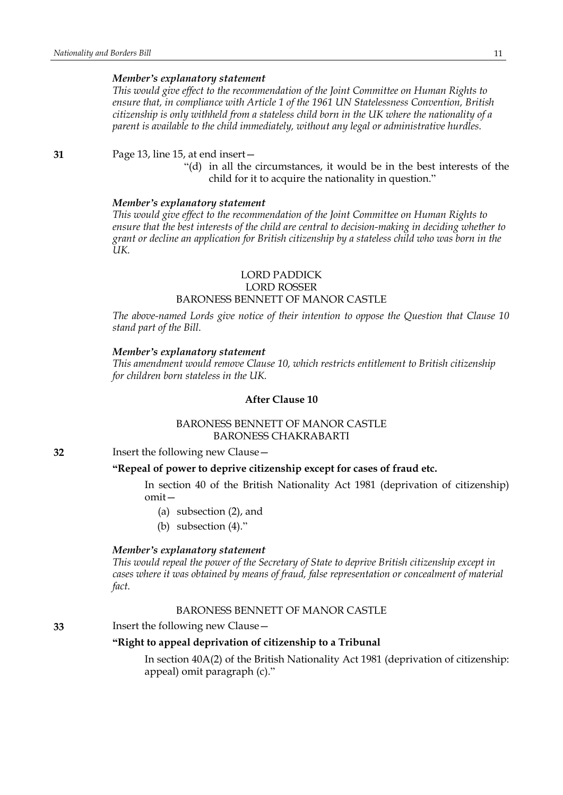*This would give effect to the recommendation of the Joint Committee on Human Rights to ensure that, in compliance with Article 1 of the 1961 UN Statelessness Convention, British citizenship is only withheld from a stateless child born in the UK where the nationality of a parent is available to the child immediately, without any legal or administrative hurdles.*

**31** Page 13, line 15, at end insert—

"(d) in all the circumstances, it would be in the best interests of the child for it to acquire the nationality in question."

### *Member's explanatory statement*

*This would give effect to the recommendation of the Joint Committee on Human Rights to ensure that the best interests of the child are central to decision-making in deciding whether to grant or decline an application for British citizenship by a stateless child who was born in the UK.*

### LORD PADDICK LORD ROSSER BARONESS BENNETT OF MANOR CASTLE

*The above-named Lords give notice of their intention to oppose the Question that Clause 10 stand part of the Bill.*

#### *Member's explanatory statement*

*This amendment would remove Clause 10, which restricts entitlement to British citizenship for children born stateless in the UK.*

#### **After Clause 10**

#### BARONESS BENNETT OF MANOR CASTLE BARONESS CHAKRABARTI

**32** Insert the following new Clause—

### **"Repeal of power to deprive citizenship except for cases of fraud etc.**

In section 40 of the British Nationality Act 1981 (deprivation of citizenship) omit—

- (a) subsection (2), and
- (b) subsection (4)."

#### *Member's explanatory statement*

*This would repeal the power of the Secretary of State to deprive British citizenship except in cases where it was obtained by means of fraud, false representation or concealment of material fact.*

#### BARONESS BENNETT OF MANOR CASTLE

**33** Insert the following new Clause—

#### **"Right to appeal deprivation of citizenship to a Tribunal**

In section 40A(2) of the British Nationality Act 1981 (deprivation of citizenship: appeal) omit paragraph (c)."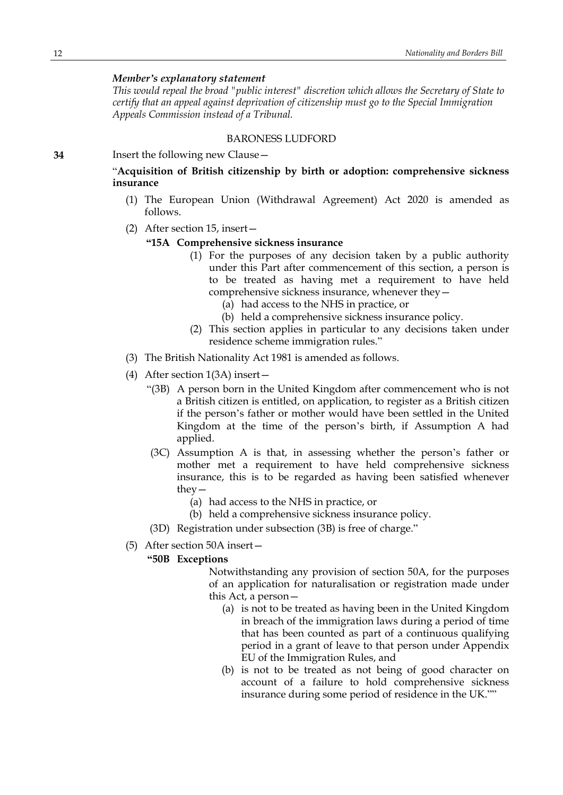*This would repeal the broad "public interest" discretion which allows the Secretary of State to certify that an appeal against deprivation of citizenship must go to the Special Immigration Appeals Commission instead of a Tribunal.*

### BARONESS LUDFORD

**34** Insert the following new Clause—

### "**Acquisition of British citizenship by birth or adoption: comprehensive sickness insurance**

- (1) The European Union (Withdrawal Agreement) Act 2020 is amended as follows.
- (2) After section 15, insert—

### **"15A Comprehensive sickness insurance**

- (1) For the purposes of any decision taken by a public authority under this Part after commencement of this section, a person is to be treated as having met a requirement to have held comprehensive sickness insurance, whenever they—
	- (a) had access to the NHS in practice, or
	- (b) held a comprehensive sickness insurance policy.
- (2) This section applies in particular to any decisions taken under residence scheme immigration rules."
- (3) The British Nationality Act 1981 is amended as follows.
- (4) After section 1(3A) insert—
	- "(3B) A person born in the United Kingdom after commencement who is not a British citizen is entitled, on application, to register as a British citizen if the person's father or mother would have been settled in the United Kingdom at the time of the person's birth, if Assumption A had applied.
	- (3C) Assumption A is that, in assessing whether the person's father or mother met a requirement to have held comprehensive sickness insurance, this is to be regarded as having been satisfied whenever they—
		- (a) had access to the NHS in practice, or
		- (b) held a comprehensive sickness insurance policy.

(3D) Registration under subsection (3B) is free of charge."

(5) After section 50A insert—

#### **"50B Exceptions**

Notwithstanding any provision of section 50A, for the purposes of an application for naturalisation or registration made under this Act, a person—

- (a) is not to be treated as having been in the United Kingdom in breach of the immigration laws during a period of time that has been counted as part of a continuous qualifying period in a grant of leave to that person under Appendix EU of the Immigration Rules, and
- (b) is not to be treated as not being of good character on account of a failure to hold comprehensive sickness insurance during some period of residence in the UK.""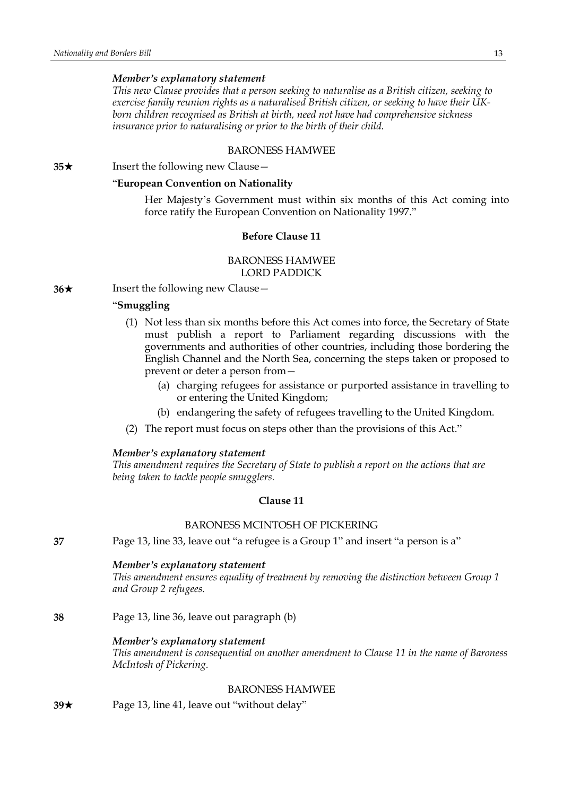*This new Clause provides that a person seeking to naturalise as a British citizen, seeking to exercise family reunion rights as a naturalised British citizen, or seeking to have their UKborn children recognised as British at birth, need not have had comprehensive sickness insurance prior to naturalising or prior to the birth of their child.*

### BARONESS HAMWEE

**35**★ Insert the following new Clause

### "**European Convention on Nationality**

Her Majesty's Government must within six months of this Act coming into force ratify the European Convention on Nationality 1997."

### **Before Clause 11**

### BARONESS HAMWEE LORD PADDICK

**36**★ Insert the following new Clause

### "**Smuggling**

- (1) Not less than six months before this Act comes into force, the Secretary of State must publish a report to Parliament regarding discussions with the governments and authorities of other countries, including those bordering the English Channel and the North Sea, concerning the steps taken or proposed to prevent or deter a person from—
	- (a) charging refugees for assistance or purported assistance in travelling to or entering the United Kingdom;
	- (b) endangering the safety of refugees travelling to the United Kingdom.
- (2) The report must focus on steps other than the provisions of this Act."

### *Member's explanatory statement*

*This amendment requires the Secretary of State to publish a report on the actions that are being taken to tackle people smugglers.*

### **Clause 11**

### BARONESS MCINTOSH OF PICKERING

**37** Page 13, line 33, leave out "a refugee is a Group 1" and insert "a person is a"

### *Member's explanatory statement*

*This amendment ensures equality of treatment by removing the distinction between Group 1 and Group 2 refugees.*

**38** Page 13, line 36, leave out paragraph (b)

#### *Member's explanatory statement*

*This amendment is consequential on another amendment to Clause 11 in the name of Baroness McIntosh of Pickering.*

### BARONESS HAMWEE

**39**★ Page 13, line 41, leave out "without delay"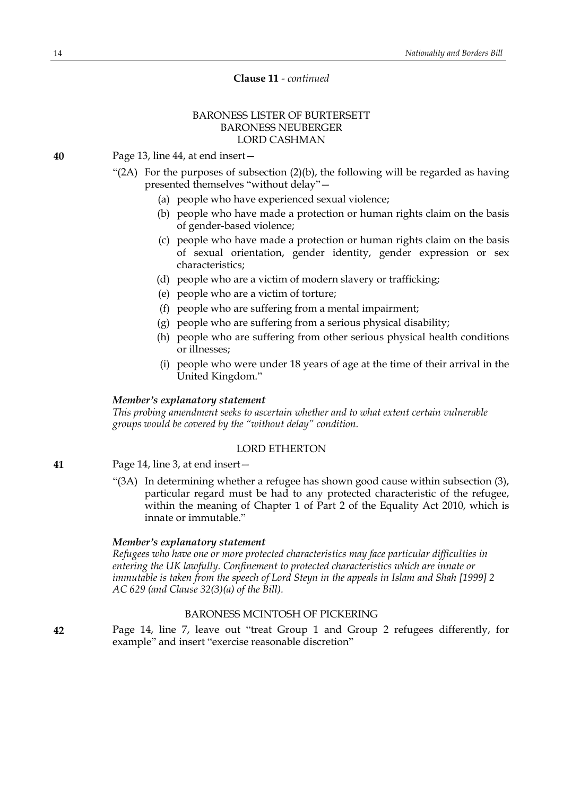### **Clause 11** *- continued*

### BARONESS LISTER OF BURTERSETT BARONESS NEUBERGER LORD CASHMAN

**40** Page 13, line 44, at end insert—

- "(2A) For the purposes of subsection  $(2)(b)$ , the following will be regarded as having presented themselves "without delay"—
	- (a) people who have experienced sexual violence;
	- (b) people who have made a protection or human rights claim on the basis of gender-based violence;
	- (c) people who have made a protection or human rights claim on the basis of sexual orientation, gender identity, gender expression or sex characteristics;
	- (d) people who are a victim of modern slavery or trafficking;
	- (e) people who are a victim of torture;
	- (f) people who are suffering from a mental impairment;
	- (g) people who are suffering from a serious physical disability;
	- (h) people who are suffering from other serious physical health conditions or illnesses;
	- (i) people who were under 18 years of age at the time of their arrival in the United Kingdom."

#### *Member's explanatory statement*

*This probing amendment seeks to ascertain whether and to what extent certain vulnerable groups would be covered by the "without delay" condition.*

### LORD ETHERTON

**41** Page 14, line 3, at end insert—

"(3A) In determining whether a refugee has shown good cause within subsection (3), particular regard must be had to any protected characteristic of the refugee, within the meaning of Chapter 1 of Part 2 of the Equality Act 2010, which is innate or immutable."

### *Member's explanatory statement*

*Refugees who have one or more protected characteristics may face particular difficulties in entering the UK lawfully. Confinement to protected characteristics which are innate or immutable is taken from the speech of Lord Steyn in the appeals in Islam and Shah [1999] 2 AC 629 (and Clause 32(3)(a) of the Bill).*

### BARONESS MCINTOSH OF PICKERING

**42** Page 14, line 7, leave out "treat Group 1 and Group 2 refugees differently, for example" and insert "exercise reasonable discretion"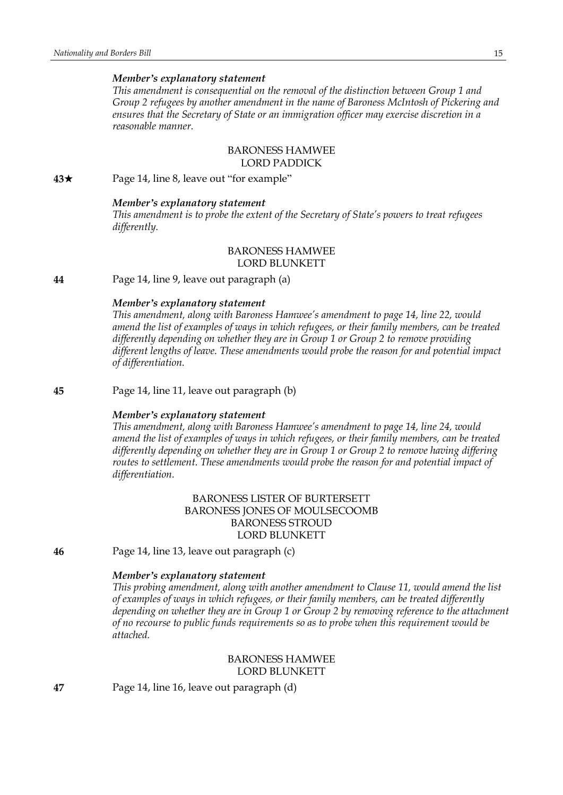*This amendment is consequential on the removal of the distinction between Group 1 and Group 2 refugees by another amendment in the name of Baroness McIntosh of Pickering and ensures that the Secretary of State or an immigration officer may exercise discretion in a reasonable manner.*

#### BARONESS HAMWEE LORD PADDICK

**43**★ Page 14, line 8, leave out "for example"

#### *Member's explanatory statement*

*This amendment is to probe the extent of the Secretary of State's powers to treat refugees differently.*

### BARONESS HAMWEE LORD BLUNKETT

**44** Page 14, line 9, leave out paragraph (a)

#### *Member's explanatory statement*

*This amendment, along with Baroness Hamwee's amendment to page 14, line 22, would amend the list of examples of ways in which refugees, or their family members, can be treated differently depending on whether they are in Group 1 or Group 2 to remove providing different lengths of leave. These amendments would probe the reason for and potential impact of differentiation.*

**45** Page 14, line 11, leave out paragraph (b)

#### *Member's explanatory statement*

*This amendment, along with Baroness Hamwee's amendment to page 14, line 24, would amend the list of examples of ways in which refugees, or their family members, can be treated differently depending on whether they are in Group 1 or Group 2 to remove having differing routes to settlement. These amendments would probe the reason for and potential impact of differentiation.*

### BARONESS LISTER OF BURTERSETT BARONESS JONES OF MOULSECOOMB BARONESS STROUD LORD BLUNKETT

**46** Page 14, line 13, leave out paragraph (c)

### *Member's explanatory statement*

*This probing amendment, along with another amendment to Clause 11, would amend the list of examples of ways in which refugees, or their family members, can be treated differently depending on whether they are in Group 1 or Group 2 by removing reference to the attachment of no recourse to public funds requirements so as to probe when this requirement would be attached.*

### BARONESS HAMWEE LORD BLUNKETT

**47** Page 14, line 16, leave out paragraph (d)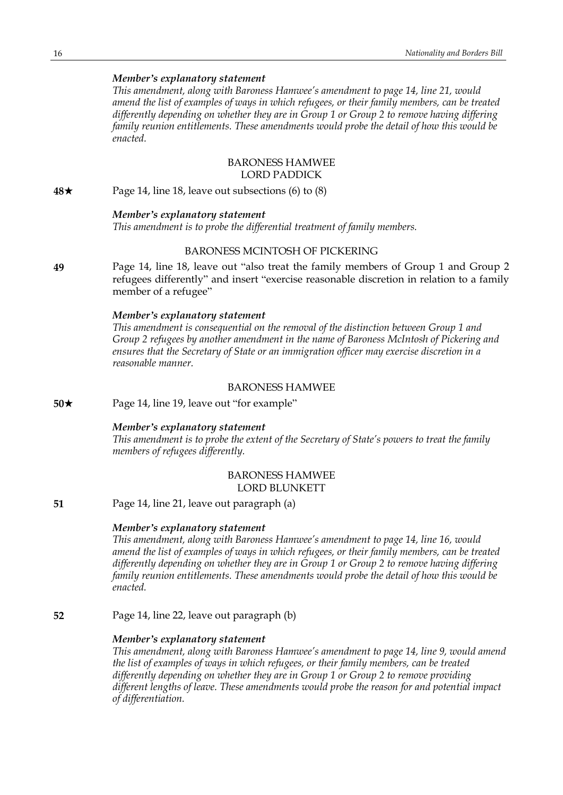*This amendment, along with Baroness Hamwee's amendment to page 14, line 21, would amend the list of examples of ways in which refugees, or their family members, can be treated differently depending on whether they are in Group 1 or Group 2 to remove having differing family reunion entitlements. These amendments would probe the detail of how this would be enacted.*

### BARONESS HAMWEE LORD PADDICK

**48**★ Page 14, line 18, leave out subsections (6) to (8)

#### *Member's explanatory statement*

*This amendment is to probe the differential treatment of family members.*

#### BARONESS MCINTOSH OF PICKERING

**49** Page 14, line 18, leave out "also treat the family members of Group 1 and Group 2 refugees differently" and insert "exercise reasonable discretion in relation to a family member of a refugee"

#### *Member's explanatory statement*

*This amendment is consequential on the removal of the distinction between Group 1 and Group 2 refugees by another amendment in the name of Baroness McIntosh of Pickering and ensures that the Secretary of State or an immigration officer may exercise discretion in a reasonable manner.*

### BARONESS HAMWEE

**50**★ Page 14, line 19, leave out "for example"

### *Member's explanatory statement*

*This amendment is to probe the extent of the Secretary of State's powers to treat the family members of refugees differently.*

#### BARONESS HAMWEE LORD BLUNKETT

**51** Page 14, line 21, leave out paragraph (a)

### *Member's explanatory statement*

*This amendment, along with Baroness Hamwee's amendment to page 14, line 16, would amend the list of examples of ways in which refugees, or their family members, can be treated differently depending on whether they are in Group 1 or Group 2 to remove having differing family reunion entitlements. These amendments would probe the detail of how this would be enacted.*

**52** Page 14, line 22, leave out paragraph (b)

#### *Member's explanatory statement*

*This amendment, along with Baroness Hamwee's amendment to page 14, line 9, would amend the list of examples of ways in which refugees, or their family members, can be treated differently depending on whether they are in Group 1 or Group 2 to remove providing different lengths of leave. These amendments would probe the reason for and potential impact of differentiation.*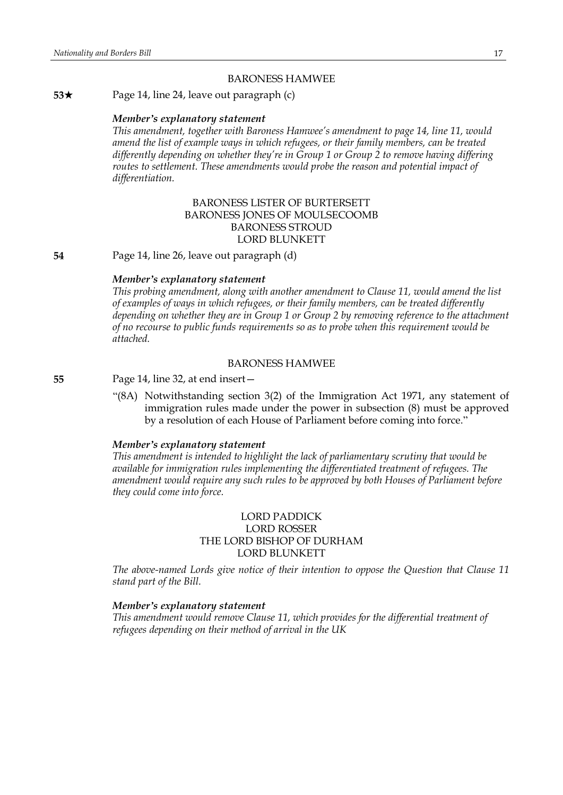#### BARONESS HAMWEE

**53**★ Page 14, line 24, leave out paragraph (c)

#### *Member's explanatory statement*

*This amendment, together with Baroness Hamwee's amendment to page 14, line 11, would amend the list of example ways in which refugees, or their family members, can be treated differently depending on whether they're in Group 1 or Group 2 to remove having differing routes to settlement. These amendments would probe the reason and potential impact of differentiation.*

### BARONESS LISTER OF BURTERSETT BARONESS JONES OF MOULSECOOMB BARONESS STROUD LORD BLUNKETT

**54** Page 14, line 26, leave out paragraph (d)

#### *Member's explanatory statement*

*This probing amendment, along with another amendment to Clause 11, would amend the list of examples of ways in which refugees, or their family members, can be treated differently depending on whether they are in Group 1 or Group 2 by removing reference to the attachment of no recourse to public funds requirements so as to probe when this requirement would be attached.*

#### BARONESS HAMWEE

**55** Page 14, line 32, at end insert—

"(8A) Notwithstanding section 3(2) of the Immigration Act 1971, any statement of immigration rules made under the power in subsection (8) must be approved by a resolution of each House of Parliament before coming into force."

#### *Member's explanatory statement*

*This amendment is intended to highlight the lack of parliamentary scrutiny that would be available for immigration rules implementing the differentiated treatment of refugees. The amendment would require any such rules to be approved by both Houses of Parliament before they could come into force.*

### LORD PADDICK LORD ROSSER THE LORD BISHOP OF DURHAM LORD BLUNKETT

*The above-named Lords give notice of their intention to oppose the Question that Clause 11 stand part of the Bill.*

#### *Member's explanatory statement*

*This amendment would remove Clause 11, which provides for the differential treatment of refugees depending on their method of arrival in the UK*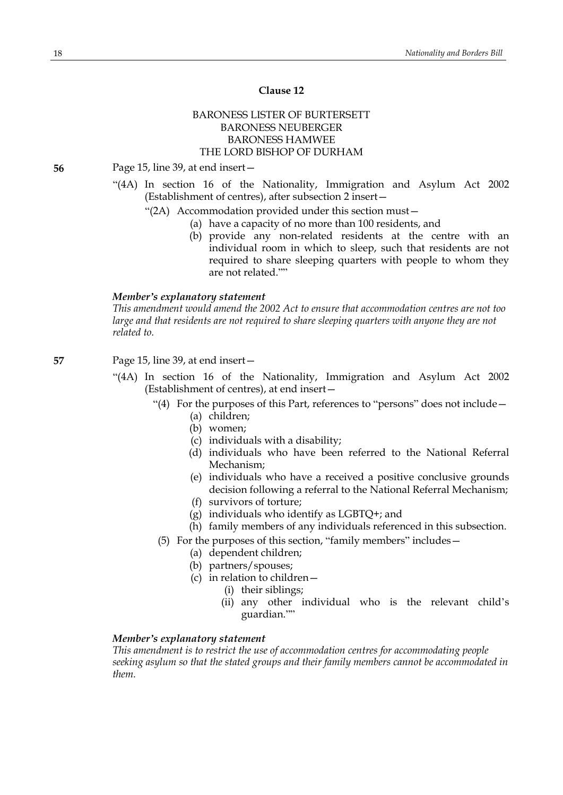### **Clause 12**

### BARONESS LISTER OF BURTERSETT BARONESS NEUBERGER BARONESS HAMWEE THE LORD BISHOP OF DURHAM

**56** Page 15, line 39, at end insert—

"(4A) In section 16 of the Nationality, Immigration and Asylum Act 2002 (Establishment of centres), after subsection 2 insert—

"(2A) Accommodation provided under this section must—

- (a) have a capacity of no more than 100 residents, and
	- (b) provide any non-related residents at the centre with an individual room in which to sleep, such that residents are not required to share sleeping quarters with people to whom they are not related.""

#### *Member's explanatory statement*

*This amendment would amend the 2002 Act to ensure that accommodation centres are not too large and that residents are not required to share sleeping quarters with anyone they are not related to.*

**57** Page 15, line 39, at end insert—

- "(4A) In section 16 of the Nationality, Immigration and Asylum Act 2002 (Establishment of centres), at end insert—
	- "(4) For the purposes of this Part, references to "persons" does not include—
		- (a) children;
		- (b) women;
		- (c) individuals with a disability;
		- (d) individuals who have been referred to the National Referral Mechanism;
		- (e) individuals who have a received a positive conclusive grounds decision following a referral to the National Referral Mechanism;
		- (f) survivors of torture;
		- (g) individuals who identify as LGBTQ+; and
		- (h) family members of any individuals referenced in this subsection.
		- (5) For the purposes of this section, "family members" includes—
			- (a) dependent children;
			- (b) partners/spouses;
			- (c) in relation to children—
				- (i) their siblings;
				- (ii) any other individual who is the relevant child's guardian.""

#### *Member's explanatory statement*

*This amendment is to restrict the use of accommodation centres for accommodating people seeking asylum so that the stated groups and their family members cannot be accommodated in them.*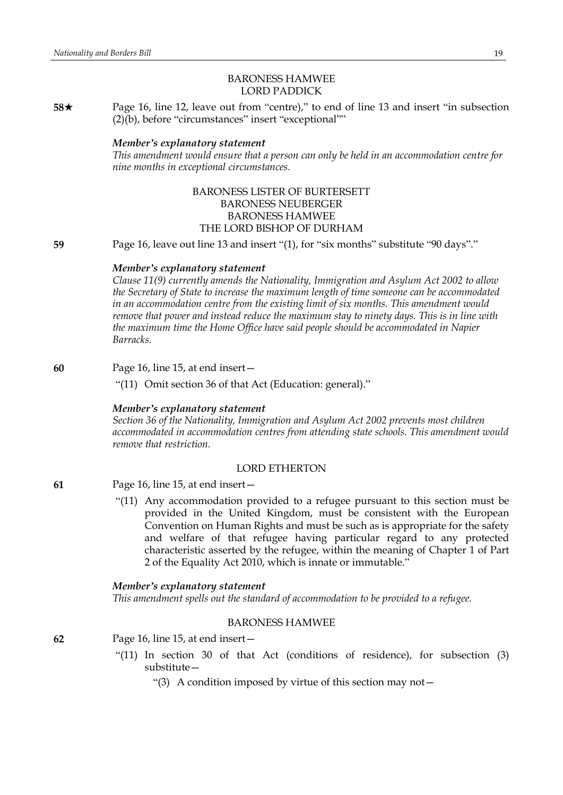### BARONESS HAMWEE LORD PADDICK

**58**\* Page 16, line 12, leave out from "centre)," to end of line 13 and insert "in subsection (2)(b), before "circumstances" insert "exceptional""

#### *Member's explanatory statement*

*This amendment would ensure that a person can only be held in an accommodation centre for nine months in exceptional circumstances.*

### BARONESS LISTER OF BURTERSETT BARONESS NEUBERGER BARONESS HAMWEE THE LORD BISHOP OF DURHAM

**59** Page 16, leave out line 13 and insert "(1), for "six months" substitute "90 days"."

#### *Member's explanatory statement*

*Clause 11(9) currently amends the Nationality, Immigration and Asylum Act 2002 to allow the Secretary of State to increase the maximum length of time someone can be accommodated in an accommodation centre from the existing limit of six months. This amendment would remove that power and instead reduce the maximum stay to ninety days. This is in line with the maximum time the Home Office have said people should be accommodated in Napier Barracks.*

**60** Page 16, line 15, at end insert—

"(11) Omit section 36 of that Act (Education: general)."

### *Member's explanatory statement*

*Section 36 of the Nationality, Immigration and Asylum Act 2002 prevents most children accommodated in accommodation centres from attending state schools. This amendment would remove that restriction.*

#### LORD ETHERTON

- **61** Page 16, line 15, at end insert—
	- "(11) Any accommodation provided to a refugee pursuant to this section must be provided in the United Kingdom, must be consistent with the European Convention on Human Rights and must be such as is appropriate for the safety and welfare of that refugee having particular regard to any protected characteristic asserted by the refugee, within the meaning of Chapter 1 of Part 2 of the Equality Act 2010, which is innate or immutable."

#### *Member's explanatory statement*

*This amendment spells out the standard of accommodation to be provided to a refugee.*

### BARONESS HAMWEE

#### **62** Page 16, line 15, at end insert—

- "(11) In section 30 of that Act (conditions of residence), for subsection (3) substitute—
	- "(3) A condition imposed by virtue of this section may not  $-$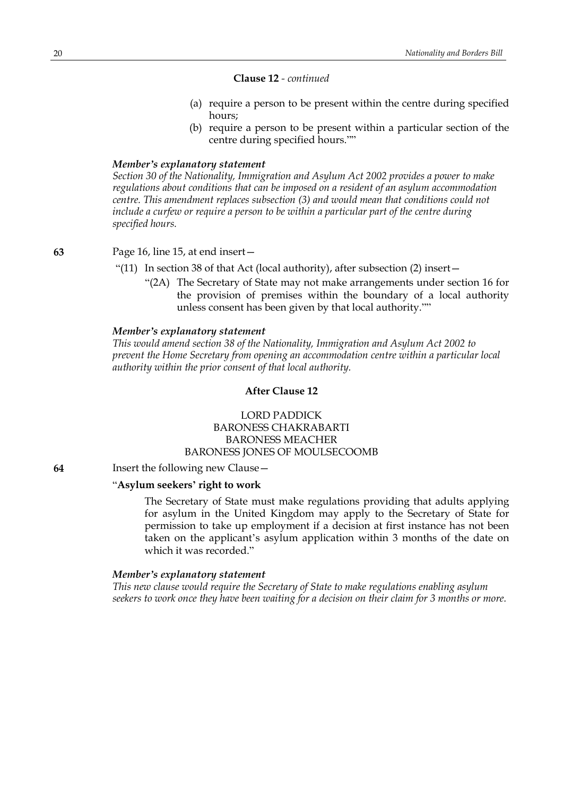#### **Clause 12** *- continued*

- (a) require a person to be present within the centre during specified hours;
- (b) require a person to be present within a particular section of the centre during specified hours.""

### *Member's explanatory statement*

*Section 30 of the Nationality, Immigration and Asylum Act 2002 provides a power to make regulations about conditions that can be imposed on a resident of an asylum accommodation centre. This amendment replaces subsection (3) and would mean that conditions could not include a curfew or require a person to be within a particular part of the centre during specified hours.*

**63** Page 16, line 15, at end insert—

- "(11) In section 38 of that Act (local authority), after subsection  $(2)$  insert -
	- "(2A) The Secretary of State may not make arrangements under section 16 for the provision of premises within the boundary of a local authority unless consent has been given by that local authority.""

#### *Member's explanatory statement*

*This would amend section 38 of the Nationality, Immigration and Asylum Act 2002 to prevent the Home Secretary from opening an accommodation centre within a particular local authority within the prior consent of that local authority.*

### **After Clause 12**

LORD PADDICK BARONESS CHAKRABARTI BARONESS MEACHER BARONESS JONES OF MOULSECOOMB

**64** Insert the following new Clause—

#### "**Asylum seekers' right to work**

The Secretary of State must make regulations providing that adults applying for asylum in the United Kingdom may apply to the Secretary of State for permission to take up employment if a decision at first instance has not been taken on the applicant's asylum application within 3 months of the date on which it was recorded."

#### *Member's explanatory statement*

*This new clause would require the Secretary of State to make regulations enabling asylum* seekers to work once they have been waiting for a decision on their claim for 3 months or more.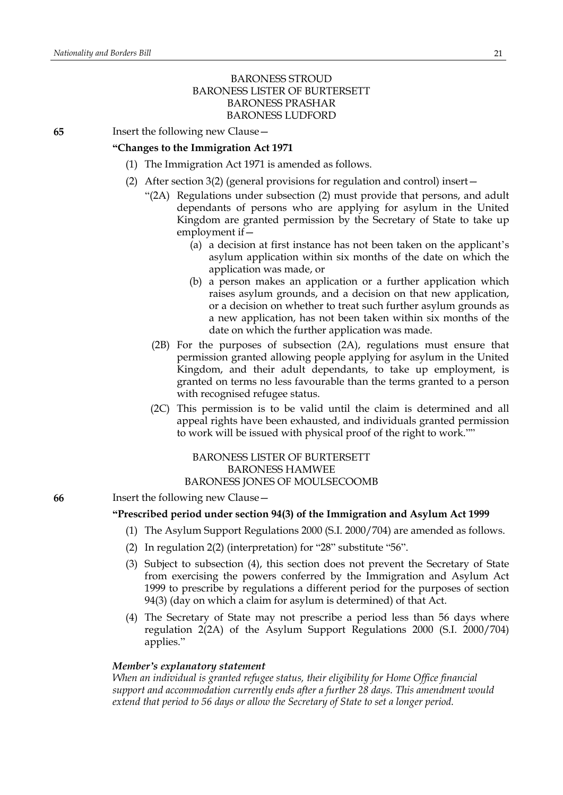### BARONESS STROUD BARONESS LISTER OF BURTERSETT BARONESS PRASHAR BARONESS LUDFORD

**65** Insert the following new Clause—

### **"Changes to the Immigration Act 1971**

- (1) The Immigration Act 1971 is amended as follows.
- (2) After section 3(2) (general provisions for regulation and control) insert—
	- "(2A) Regulations under subsection (2) must provide that persons, and adult dependants of persons who are applying for asylum in the United Kingdom are granted permission by the Secretary of State to take up employment if—
		- (a) a decision at first instance has not been taken on the applicant's asylum application within six months of the date on which the application was made, or
		- (b) a person makes an application or a further application which raises asylum grounds, and a decision on that new application, or a decision on whether to treat such further asylum grounds as a new application, has not been taken within six months of the date on which the further application was made.
		- (2B) For the purposes of subsection (2A), regulations must ensure that permission granted allowing people applying for asylum in the United Kingdom, and their adult dependants, to take up employment, is granted on terms no less favourable than the terms granted to a person with recognised refugee status.
		- (2C) This permission is to be valid until the claim is determined and all appeal rights have been exhausted, and individuals granted permission to work will be issued with physical proof of the right to work.""

### BARONESS LISTER OF BURTERSETT BARONESS HAMWEE BARONESS JONES OF MOULSECOOMB

**66** Insert the following new Clause—

### **"Prescribed period under section 94(3) of the Immigration and Asylum Act 1999**

- (1) The Asylum Support Regulations 2000 (S.I. 2000/704) are amended as follows.
- (2) In regulation 2(2) (interpretation) for "28" substitute "56".
- (3) Subject to subsection (4), this section does not prevent the Secretary of State from exercising the powers conferred by the Immigration and Asylum Act 1999 to prescribe by regulations a different period for the purposes of section 94(3) (day on which a claim for asylum is determined) of that Act.
- (4) The Secretary of State may not prescribe a period less than 56 days where regulation 2(2A) of the Asylum Support Regulations 2000 (S.I. 2000/704) applies."

#### *Member's explanatory statement*

*When an individual is granted refugee status, their eligibility for Home Office financial support and accommodation currently ends after a further 28 days. This amendment would extend that period to 56 days or allow the Secretary of State to set a longer period.*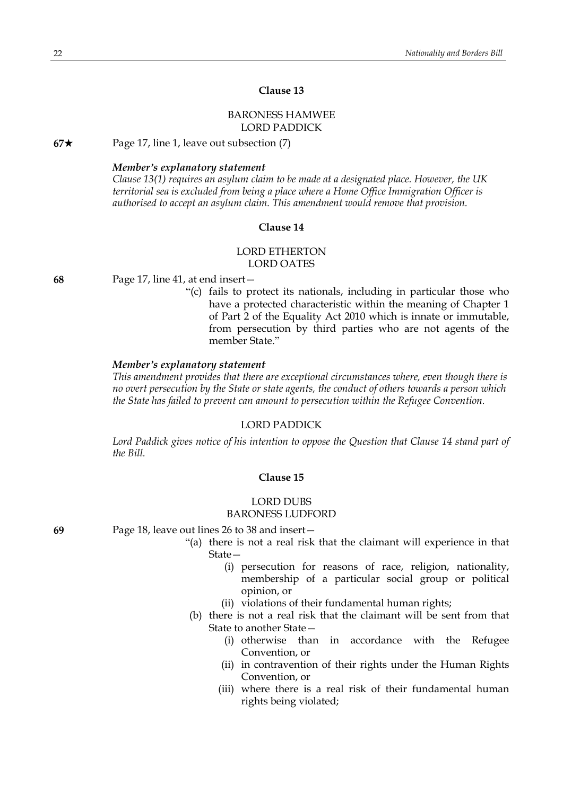### **Clause 13**

### BARONESS HAMWEE LORD PADDICK

**67**\* Page 17, line 1, leave out subsection (7)

#### *Member's explanatory statement*

*Clause 13(1) requires an asylum claim to be made at a designated place. However, the UK territorial sea is excluded from being a place where a Home Office Immigration Officer is authorised to accept an asylum claim. This amendment would remove that provision.*

#### **Clause 14**

#### LORD ETHERTON LORD OATES

**68** Page 17, line 41, at end insert—

"(c) fails to protect its nationals, including in particular those who have a protected characteristic within the meaning of Chapter 1 of Part 2 of the Equality Act 2010 which is innate or immutable, from persecution by third parties who are not agents of the member State."

#### *Member's explanatory statement*

*This amendment provides that there are exceptional circumstances where, even though there is no overt persecution by the State or state agents, the conduct of others towards a person which the State has failed to prevent can amount to persecution within the Refugee Convention.*

### LORD PADDICK

*Lord Paddick gives notice of his intention to oppose the Question that Clause 14 stand part of the Bill.*

#### **Clause 15**

### LORD DUBS BARONESS LUDFORD

**69** Page 18, leave out lines 26 to 38 and insert—

- "(a) there is not a real risk that the claimant will experience in that State—
	- (i) persecution for reasons of race, religion, nationality, membership of a particular social group or political opinion, or
	- (ii) violations of their fundamental human rights;
	- (b) there is not a real risk that the claimant will be sent from that State to another State—
		- (i) otherwise than in accordance with the Refugee Convention, or
		- (ii) in contravention of their rights under the Human Rights Convention, or
		- (iii) where there is a real risk of their fundamental human rights being violated;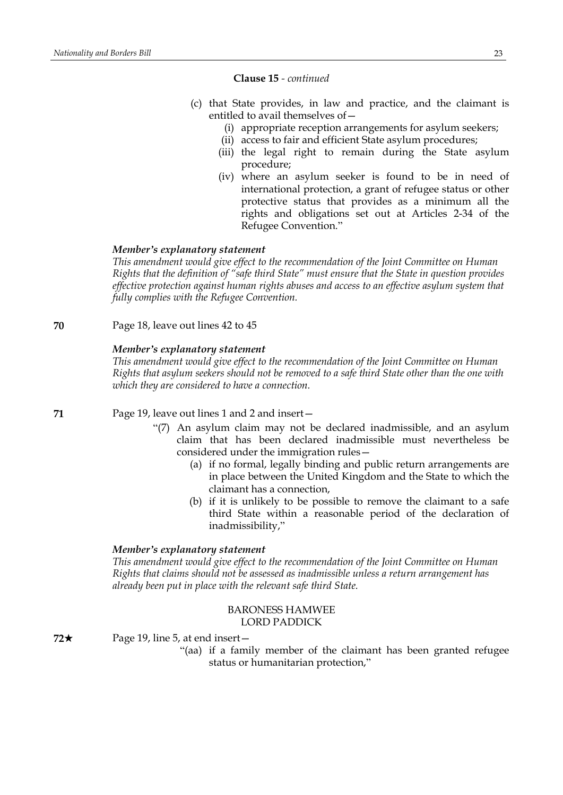#### **Clause 15** *- continued*

- (c) that State provides, in law and practice, and the claimant is entitled to avail themselves of—
	- (i) appropriate reception arrangements for asylum seekers;
	- (ii) access to fair and efficient State asylum procedures;
	- (iii) the legal right to remain during the State asylum procedure;
	- (iv) where an asylum seeker is found to be in need of international protection, a grant of refugee status or other protective status that provides as a minimum all the rights and obligations set out at Articles 2-34 of the Refugee Convention."

#### *Member's explanatory statement*

*This amendment would give effect to the recommendation of the Joint Committee on Human Rights that the definition of "safe third State" must ensure that the State in question provides effective protection against human rights abuses and access to an effective asylum system that fully complies with the Refugee Convention.*

#### **70** Page 18, leave out lines 42 to 45

#### *Member's explanatory statement*

*This amendment would give effect to the recommendation of the Joint Committee on Human Rights that asylum seekers should not be removed to a safe third State other than the one with which they are considered to have a connection.*

**71** Page 19, leave out lines 1 and 2 and insert—

- "(7) An asylum claim may not be declared inadmissible, and an asylum claim that has been declared inadmissible must nevertheless be considered under the immigration rules—
	- (a) if no formal, legally binding and public return arrangements are in place between the United Kingdom and the State to which the claimant has a connection,
	- (b) if it is unlikely to be possible to remove the claimant to a safe third State within a reasonable period of the declaration of inadmissibility,"

#### *Member's explanatory statement*

*This amendment would give effect to the recommendation of the Joint Committee on Human Rights that claims should not be assessed as inadmissible unless a return arrangement has already been put in place with the relevant safe third State.*

### BARONESS HAMWEE LORD PADDICK

**72**★ Page 19, line 5, at end insert—

"(aa) if a family member of the claimant has been granted refugee status or humanitarian protection,"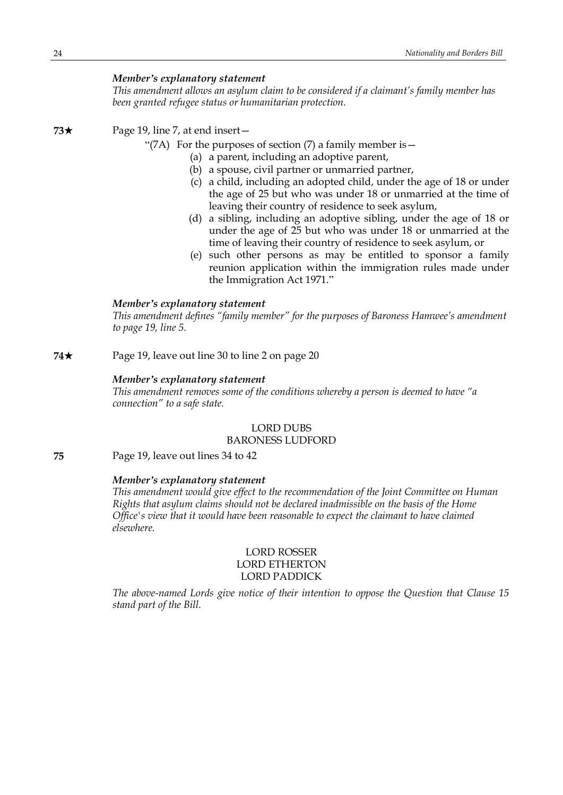*This amendment allows an asylum claim to be considered if a claimant's family member has been granted refugee status or humanitarian protection.*

**73**★ Page 19, line 7, at end insert—

"(7A) For the purposes of section  $(7)$  a family member is  $-$ 

- (a) a parent, including an adoptive parent,
- (b) a spouse, civil partner or unmarried partner,
- (c) a child, including an adopted child, under the age of 18 or under the age of 25 but who was under 18 or unmarried at the time of leaving their country of residence to seek asylum,
- (d) a sibling, including an adoptive sibling, under the age of 18 or under the age of 25 but who was under 18 or unmarried at the time of leaving their country of residence to seek asylum, or
- (e) such other persons as may be entitled to sponsor a family reunion application within the immigration rules made under the Immigration Act 1971."

#### *Member's explanatory statement*

*This amendment defines "family member" for the purposes of Baroness Hamwee's amendment to page 19, line 5.*

**74**★ Page 19, leave out line 30 to line 2 on page 20

#### *Member's explanatory statement*

*This amendment removes some of the conditions whereby a person is deemed to have "a connection" to a safe state.*

### LORD DUBS BARONESS LUDFORD

### **75** Page 19, leave out lines 34 to 42

### *Member's explanatory statement*

*This amendment would give effect to the recommendation of the Joint Committee on Human Rights that asylum claims should not be declared inadmissible on the basis of the Home Office's view that it would have been reasonable to expect the claimant to have claimed elsewhere.*

### LORD ROSSER LORD ETHERTON LORD PADDICK

*The above-named Lords give notice of their intention to oppose the Question that Clause 15 stand part of the Bill.*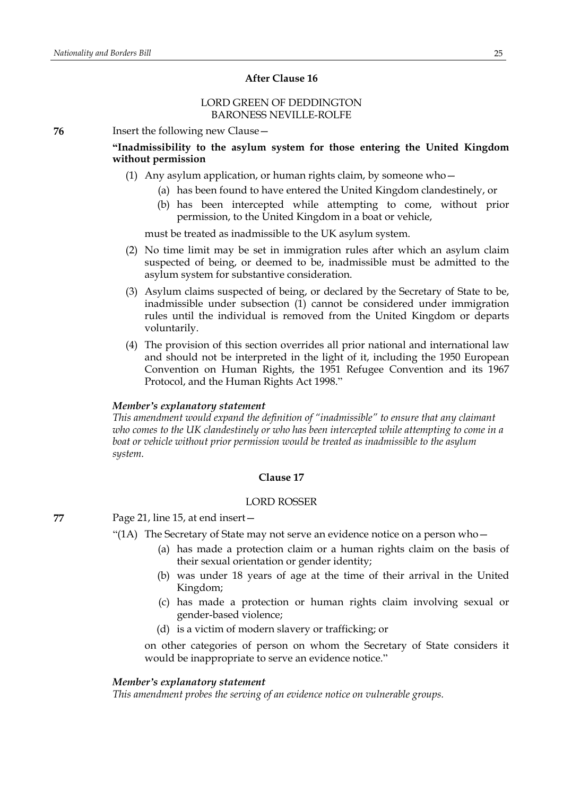#### **After Clause 16**

### LORD GREEN OF DEDDINGTON BARONESS NEVILLE-ROLFE

**76** Insert the following new Clause—

### **"Inadmissibility to the asylum system for those entering the United Kingdom without permission**

- (1) Any asylum application, or human rights claim, by someone who—
	- (a) has been found to have entered the United Kingdom clandestinely, or
	- (b) has been intercepted while attempting to come, without prior permission, to the United Kingdom in a boat or vehicle,

must be treated as inadmissible to the UK asylum system.

- (2) No time limit may be set in immigration rules after which an asylum claim suspected of being, or deemed to be, inadmissible must be admitted to the asylum system for substantive consideration.
- (3) Asylum claims suspected of being, or declared by the Secretary of State to be, inadmissible under subsection (1) cannot be considered under immigration rules until the individual is removed from the United Kingdom or departs voluntarily.
- (4) The provision of this section overrides all prior national and international law and should not be interpreted in the light of it, including the 1950 European Convention on Human Rights, the 1951 Refugee Convention and its 1967 Protocol, and the Human Rights Act 1998."

#### *Member's explanatory statement*

*This amendment would expand the definition of "inadmissible" to ensure that any claimant who comes to the UK clandestinely or who has been intercepted while attempting to come in a boat or vehicle without prior permission would be treated as inadmissible to the asylum system.*

#### **Clause 17**

### LORD ROSSER

**77** Page 21, line 15, at end insert—

"(1A) The Secretary of State may not serve an evidence notice on a person who $-$ 

- (a) has made a protection claim or a human rights claim on the basis of their sexual orientation or gender identity;
- (b) was under 18 years of age at the time of their arrival in the United Kingdom;
- (c) has made a protection or human rights claim involving sexual or gender-based violence;
- (d) is a victim of modern slavery or trafficking; or

on other categories of person on whom the Secretary of State considers it would be inappropriate to serve an evidence notice."

#### *Member's explanatory statement*

*This amendment probes the serving of an evidence notice on vulnerable groups.*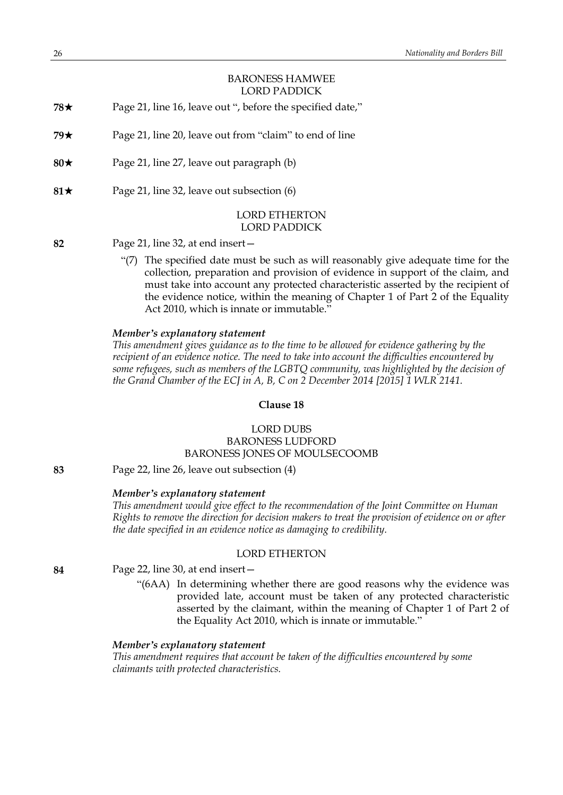### BARONESS HAMWEE LORD PADDICK

- **78**★ Page 21, line 16, leave out ", before the specified date,"
- **79**★ Page 21, line 20, leave out from "claim" to end of line
- **80**\* Page 21, line 27, leave out paragraph (b)
- **81**★ Page 21, line 32, leave out subsection (6)

### LORD ETHERTON LORD PADDICK

- **82** Page 21, line 32, at end insert—
	- "(7) The specified date must be such as will reasonably give adequate time for the collection, preparation and provision of evidence in support of the claim, and must take into account any protected characteristic asserted by the recipient of the evidence notice, within the meaning of Chapter 1 of Part 2 of the Equality Act 2010, which is innate or immutable."

#### *Member's explanatory statement*

*This amendment gives guidance as to the time to be allowed for evidence gathering by the recipient of an evidence notice. The need to take into account the difficulties encountered by some refugees, such as members of the LGBTQ community, was highlighted by the decision of the Grand Chamber of the ECJ in A, B, C on 2 December 2014 [2015] 1 WLR 2141.*

#### **Clause 18**

### LORD DUBS BARONESS LUDFORD BARONESS JONES OF MOULSECOOMB

**83** Page 22, line 26, leave out subsection (4)

### *Member's explanatory statement*

*This amendment would give effect to the recommendation of the Joint Committee on Human Rights to remove the direction for decision makers to treat the provision of evidence on or after the date specified in an evidence notice as damaging to credibility.*

#### LORD ETHERTON

**84** Page 22, line 30, at end insert—

"(6AA) In determining whether there are good reasons why the evidence was provided late, account must be taken of any protected characteristic asserted by the claimant, within the meaning of Chapter 1 of Part 2 of the Equality Act 2010, which is innate or immutable."

### *Member's explanatory statement*

*This amendment requires that account be taken of the difficulties encountered by some claimants with protected characteristics.*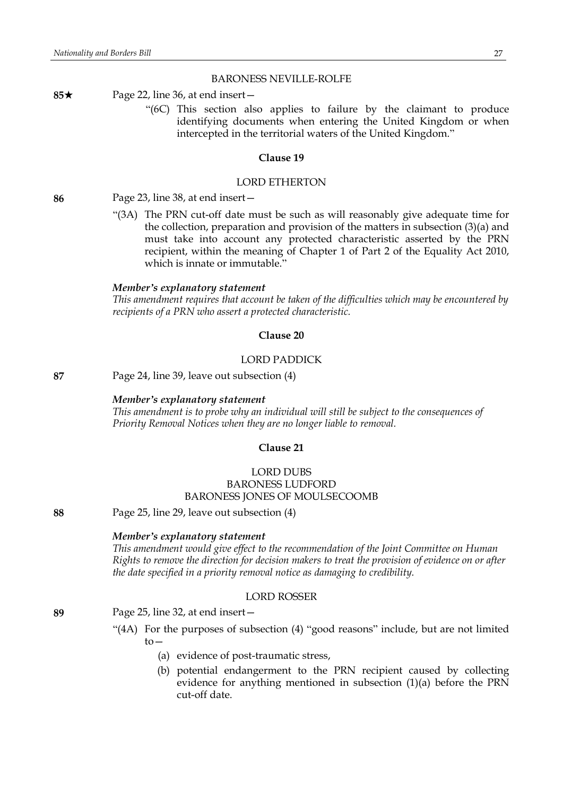#### BARONESS NEVILLE-ROLFE

**85**\* Page 22, line 36, at end insert—

"(6C) This section also applies to failure by the claimant to produce identifying documents when entering the United Kingdom or when intercepted in the territorial waters of the United Kingdom."

#### **Clause 19**

### LORD ETHERTON

**86** Page 23, line 38, at end insert—

"(3A) The PRN cut-off date must be such as will reasonably give adequate time for the collection, preparation and provision of the matters in subsection (3)(a) and must take into account any protected characteristic asserted by the PRN recipient, within the meaning of Chapter 1 of Part 2 of the Equality Act 2010, which is innate or immutable."

#### *Member's explanatory statement*

*This amendment requires that account be taken of the difficulties which may be encountered by recipients of a PRN who assert a protected characteristic.*

#### **Clause 20**

#### LORD PADDICK

**87** Page 24, line 39, leave out subsection (4)

#### *Member's explanatory statement*

*This amendment is to probe why an individual will still be subject to the consequences of Priority Removal Notices when they are no longer liable to removal.*

#### **Clause 21**

### LORD DUBS BARONESS LUDFORD BARONESS JONES OF MOULSECOOMB

**88** Page 25, line 29, leave out subsection (4)

#### *Member's explanatory statement*

*This amendment would give effect to the recommendation of the Joint Committee on Human Rights to remove the direction for decision makers to treat the provision of evidence on or after the date specified in a priority removal notice as damaging to credibility.*

#### LORD ROSSER

**89** Page 25, line 32, at end insert—

- "(4A) For the purposes of subsection (4) "good reasons" include, but are not limited to—
	- (a) evidence of post-traumatic stress,
	- (b) potential endangerment to the PRN recipient caused by collecting evidence for anything mentioned in subsection (1)(a) before the PRN cut-off date.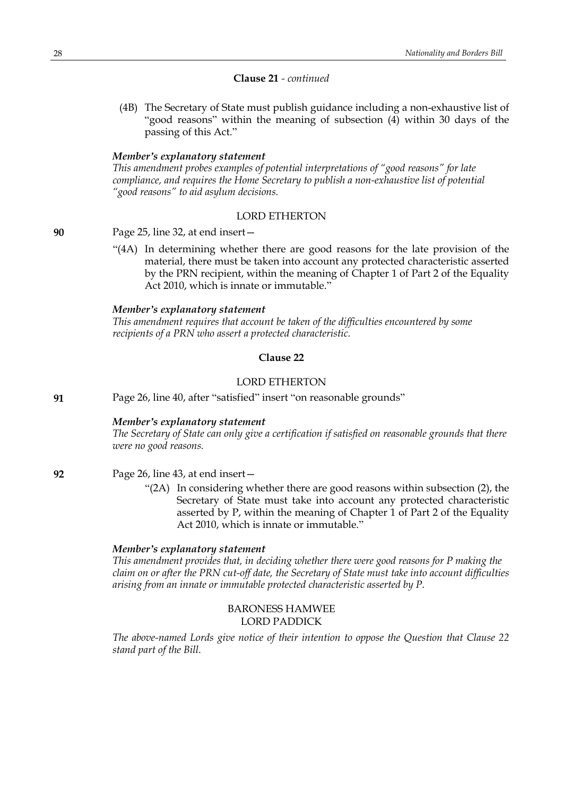### **Clause 21** *- continued*

(4B) The Secretary of State must publish guidance including a non-exhaustive list of "good reasons" within the meaning of subsection (4) within 30 days of the passing of this Act."

#### *Member's explanatory statement*

*This amendment probes examples of potential interpretations of "good reasons" for late compliance, and requires the Home Secretary to publish a non-exhaustive list of potential "good reasons" to aid asylum decisions.*

#### LORD ETHERTON

#### **90** Page 25, line 32, at end insert—

"(4A) In determining whether there are good reasons for the late provision of the material, there must be taken into account any protected characteristic asserted by the PRN recipient, within the meaning of Chapter 1 of Part 2 of the Equality Act 2010, which is innate or immutable."

#### *Member's explanatory statement*

*This amendment requires that account be taken of the difficulties encountered by some recipients of a PRN who assert a protected characteristic.*

### **Clause 22**

### LORD ETHERTON

**91** Page 26, line 40, after "satisfied" insert "on reasonable grounds"

#### *Member's explanatory statement*

*The Secretary of State can only give a certification if satisfied on reasonable grounds that there were no good reasons.*

- **92** Page 26, line 43, at end insert—
	- "(2A) In considering whether there are good reasons within subsection (2), the Secretary of State must take into account any protected characteristic asserted by P, within the meaning of Chapter 1 of Part 2 of the Equality Act 2010, which is innate or immutable."

#### *Member's explanatory statement*

*This amendment provides that, in deciding whether there were good reasons for P making the claim on or after the PRN cut-off date, the Secretary of State must take into account difficulties arising from an innate or immutable protected characteristic asserted by P.*

### BARONESS HAMWEE LORD PADDICK

*The above-named Lords give notice of their intention to oppose the Question that Clause 22 stand part of the Bill.*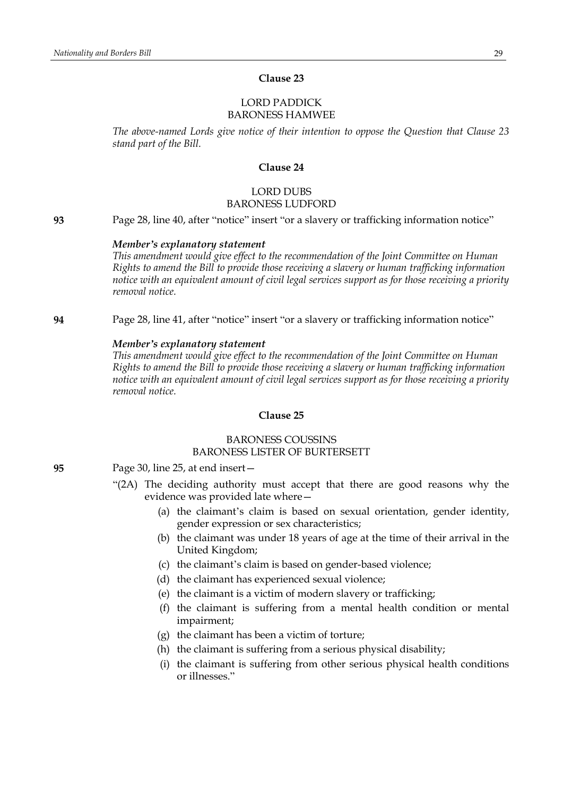### **Clause 23**

### LORD PADDICK BARONESS HAMWEE

*The above-named Lords give notice of their intention to oppose the Question that Clause 23 stand part of the Bill.*

#### **Clause 24**

### LORD DUBS BARONESS LUDFORD

**93** Page 28, line 40, after "notice" insert "or a slavery or trafficking information notice"

### *Member's explanatory statement*

*This amendment would give effect to the recommendation of the Joint Committee on Human Rights to amend the Bill to provide those receiving a slavery or human trafficking information notice with an equivalent amount of civil legal services support as for those receiving a priority removal notice.*

**94** Page 28, line 41, after "notice" insert "or a slavery or trafficking information notice"

#### *Member's explanatory statement*

*This amendment would give effect to the recommendation of the Joint Committee on Human Rights to amend the Bill to provide those receiving a slavery or human trafficking information notice with an equivalent amount of civil legal services support as for those receiving a priority removal notice.*

#### **Clause 25**

### BARONESS COUSSINS BARONESS LISTER OF BURTERSETT

**95** Page 30, line 25, at end insert—

- "(2A) The deciding authority must accept that there are good reasons why the evidence was provided late where—
	- (a) the claimant's claim is based on sexual orientation, gender identity, gender expression or sex characteristics;
	- (b) the claimant was under 18 years of age at the time of their arrival in the United Kingdom;
	- (c) the claimant's claim is based on gender-based violence;
	- (d) the claimant has experienced sexual violence;
	- (e) the claimant is a victim of modern slavery or trafficking;
	- (f) the claimant is suffering from a mental health condition or mental impairment;
	- (g) the claimant has been a victim of torture;
	- (h) the claimant is suffering from a serious physical disability;
	- (i) the claimant is suffering from other serious physical health conditions or illnesses."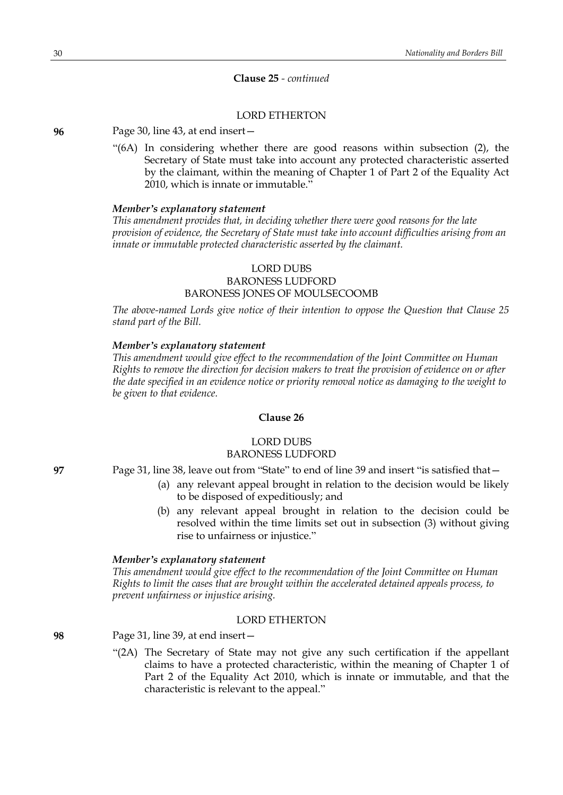### **Clause 25** *- continued*

### LORD ETHERTON

**96** Page 30, line 43, at end insert—

"(6A) In considering whether there are good reasons within subsection (2), the Secretary of State must take into account any protected characteristic asserted by the claimant, within the meaning of Chapter 1 of Part 2 of the Equality Act 2010, which is innate or immutable."

#### *Member's explanatory statement*

*This amendment provides that, in deciding whether there were good reasons for the late provision of evidence, the Secretary of State must take into account difficulties arising from an innate or immutable protected characteristic asserted by the claimant.*

### LORD DUBS BARONESS LUDFORD BARONESS JONES OF MOULSECOOMB

*The above-named Lords give notice of their intention to oppose the Question that Clause 25 stand part of the Bill.*

### *Member's explanatory statement*

*This amendment would give effect to the recommendation of the Joint Committee on Human Rights to remove the direction for decision makers to treat the provision of evidence on or after the date specified in an evidence notice or priority removal notice as damaging to the weight to be given to that evidence.*

#### **Clause 26**

#### LORD DUBS BARONESS LUDFORD

**97** Page 31, line 38, leave out from "State" to end of line 39 and insert "is satisfied that—

- (a) any relevant appeal brought in relation to the decision would be likely to be disposed of expeditiously; and
- (b) any relevant appeal brought in relation to the decision could be resolved within the time limits set out in subsection (3) without giving rise to unfairness or injustice."

#### *Member's explanatory statement*

*This amendment would give effect to the recommendation of the Joint Committee on Human Rights to limit the cases that are brought within the accelerated detained appeals process, to prevent unfairness or injustice arising.*

### LORD ETHERTON

**98** Page 31, line 39, at end insert—

"(2A) The Secretary of State may not give any such certification if the appellant claims to have a protected characteristic, within the meaning of Chapter 1 of Part 2 of the Equality Act 2010, which is innate or immutable, and that the characteristic is relevant to the appeal."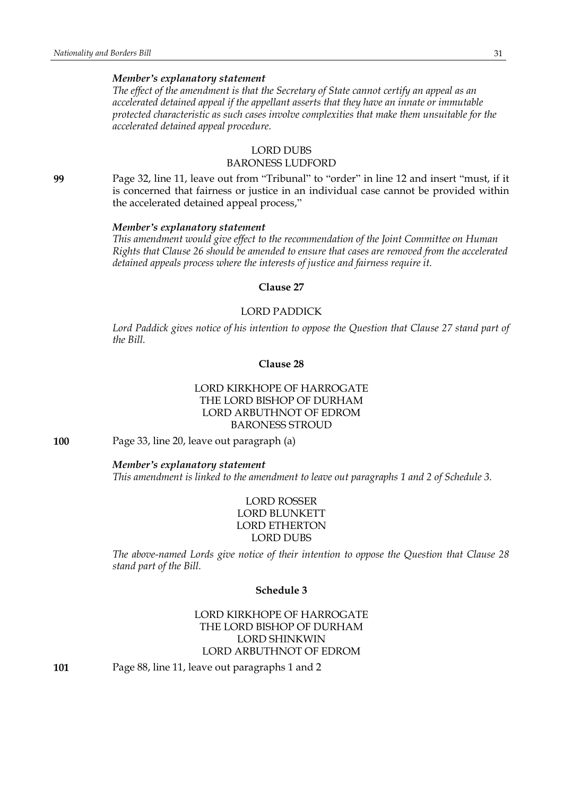*The effect of the amendment is that the Secretary of State cannot certify an appeal as an accelerated detained appeal if the appellant asserts that they have an innate or immutable protected characteristic as such cases involve complexities that make them unsuitable for the accelerated detained appeal procedure.*

### LORD DUBS

### BARONESS LUDFORD

**99** Page 32, line 11, leave out from "Tribunal" to "order" in line 12 and insert "must, if it is concerned that fairness or justice in an individual case cannot be provided within the accelerated detained appeal process,"

#### *Member's explanatory statement*

*This amendment would give effect to the recommendation of the Joint Committee on Human Rights that Clause 26 should be amended to ensure that cases are removed from the accelerated detained appeals process where the interests of justice and fairness require it.*

### **Clause 27**

### LORD PADDICK

*Lord Paddick gives notice of his intention to oppose the Question that Clause 27 stand part of the Bill.*

#### **Clause 28**

### LORD KIRKHOPE OF HARROGATE THE LORD BISHOP OF DURHAM LORD ARBUTHNOT OF EDROM BARONESS STROUD

**100** Page 33, line 20, leave out paragraph (a)

*Member's explanatory statement*

*This amendment is linked to the amendment to leave out paragraphs 1 and 2 of Schedule 3.*

LORD ROSSER LORD BLUNKETT LORD ETHERTON LORD DUBS

*The above-named Lords give notice of their intention to oppose the Question that Clause 28 stand part of the Bill.*

#### **Schedule 3**

### LORD KIRKHOPE OF HARROGATE THE LORD BISHOP OF DURHAM LORD SHINKWIN LORD ARBUTHNOT OF EDROM

**101** Page 88, line 11, leave out paragraphs 1 and 2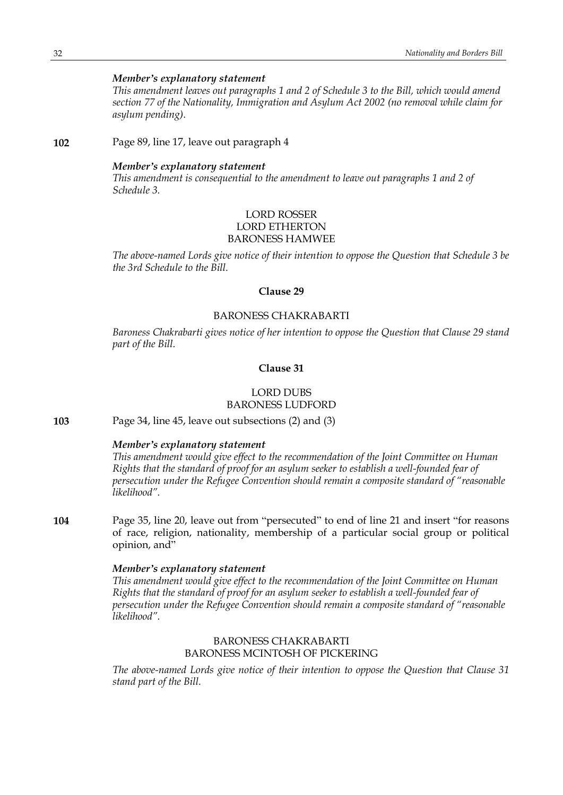*This amendment leaves out paragraphs 1 and 2 of Schedule 3 to the Bill, which would amend section 77 of the Nationality, Immigration and Asylum Act 2002 (no removal while claim for asylum pending).*

**102** Page 89, line 17, leave out paragraph 4

### *Member's explanatory statement*

*This amendment is consequential to the amendment to leave out paragraphs 1 and 2 of Schedule 3.*

### LORD ROSSER LORD ETHERTON BARONESS HAMWEE

*The above-named Lords give notice of their intention to oppose the Question that Schedule 3 be the 3rd Schedule to the Bill.*

#### **Clause 29**

### BARONESS CHAKRABARTI

*Baroness Chakrabarti gives notice of her intention to oppose the Question that Clause 29 stand part of the Bill.*

#### **Clause 31**

#### LORD DUBS BARONESS LUDFORD

**103** Page 34, line 45, leave out subsections (2) and (3)

### *Member's explanatory statement*

*This amendment would give effect to the recommendation of the Joint Committee on Human Rights that the standard of proof for an asylum seeker to establish a well-founded fear of persecution under the Refugee Convention should remain a composite standard of "reasonable likelihood".*

**104** Page 35, line 20, leave out from "persecuted" to end of line 21 and insert "for reasons of race, religion, nationality, membership of a particular social group or political opinion, and"

### *Member's explanatory statement*

*This amendment would give effect to the recommendation of the Joint Committee on Human Rights that the standard of proof for an asylum seeker to establish a well-founded fear of persecution under the Refugee Convention should remain a composite standard of "reasonable likelihood".*

### BARONESS CHAKRABARTI BARONESS MCINTOSH OF PICKERING

*The above-named Lords give notice of their intention to oppose the Question that Clause 31 stand part of the Bill.*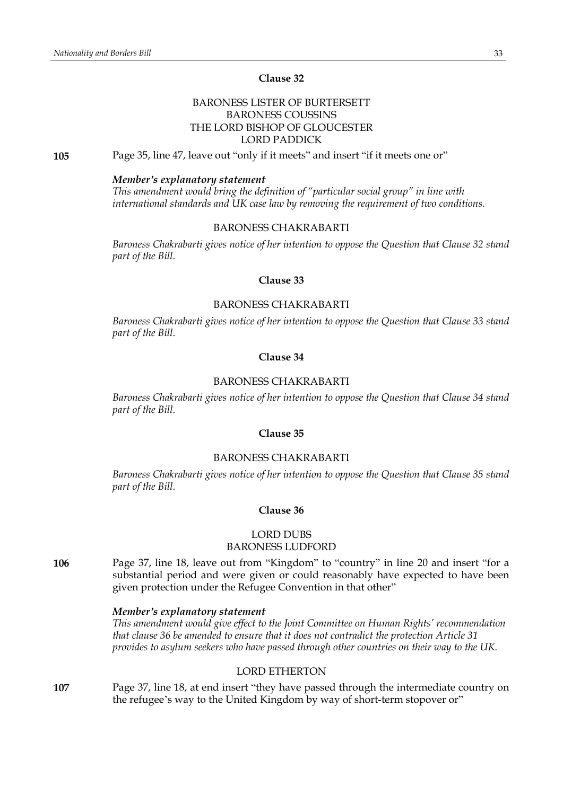### **Clause 32**

### BARONESS LISTER OF BURTERSETT BARONESS COUSSINS THE LORD BISHOP OF GLOUCESTER LORD PADDICK

**105** Page 35, line 47, leave out "only if it meets" and insert "if it meets one or"

### *Member's explanatory statement*

*This amendment would bring the definition of "particular social group" in line with international standards and UK case law by removing the requirement of two conditions.*

#### BARONESS CHAKRABARTI

*Baroness Chakrabarti gives notice of her intention to oppose the Question that Clause 32 stand part of the Bill.*

### **Clause 33**

### BARONESS CHAKRABARTI

*Baroness Chakrabarti gives notice of her intention to oppose the Question that Clause 33 stand part of the Bill.*

### **Clause 34**

### BARONESS CHAKRABARTI

*Baroness Chakrabarti gives notice of her intention to oppose the Question that Clause 34 stand part of the Bill.*

### **Clause 35**

### BARONESS CHAKRABARTI

*Baroness Chakrabarti gives notice of her intention to oppose the Question that Clause 35 stand part of the Bill.*

### **Clause 36**

### LORD DUBS

### BARONESS LUDFORD

**106** Page 37, line 18, leave out from "Kingdom" to "country" in line 20 and insert "for a substantial period and were given or could reasonably have expected to have been given protection under the Refugee Convention in that other"

#### *Member's explanatory statement*

*This amendment would give effect to the Joint Committee on Human Rights' recommendation that clause 36 be amended to ensure that it does not contradict the protection Article 31 provides to asylum seekers who have passed through other countries on their way to the UK.*

#### LORD ETHERTON

**107** Page 37, line 18, at end insert "they have passed through the intermediate country on the refugee's way to the United Kingdom by way of short-term stopover or"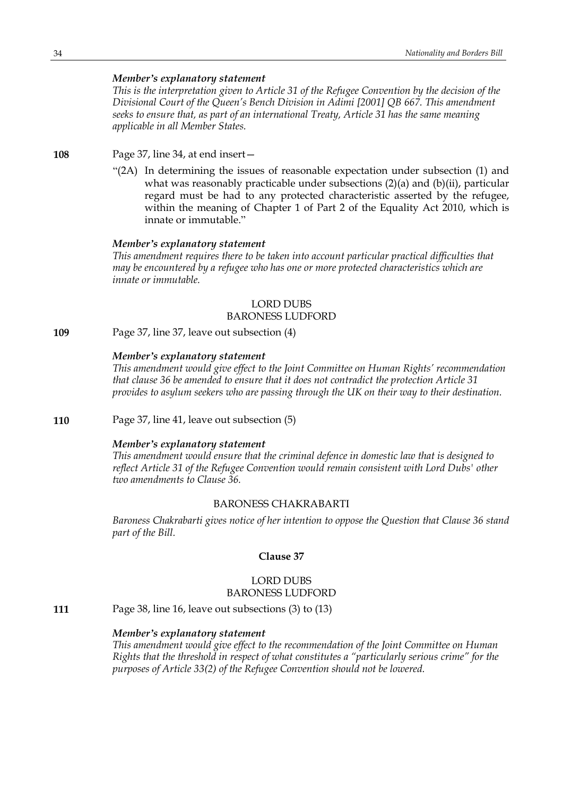*This is the interpretation given to Article 31 of the Refugee Convention by the decision of the Divisional Court of the Queen's Bench Division in Adimi [2001] QB 667. This amendment seeks to ensure that, as part of an international Treaty, Article 31 has the same meaning applicable in all Member States.*

**108** Page 37, line 34, at end insert—

"(2A) In determining the issues of reasonable expectation under subsection (1) and what was reasonably practicable under subsections (2)(a) and (b)(ii), particular regard must be had to any protected characteristic asserted by the refugee, within the meaning of Chapter 1 of Part 2 of the Equality Act 2010, which is innate or immutable."

### *Member's explanatory statement*

*This amendment requires there to be taken into account particular practical difficulties that may be encountered by a refugee who has one or more protected characteristics which are innate or immutable.*

### LORD DUBS BARONESS LUDFORD

**109** Page 37, line 37, leave out subsection (4)

### *Member's explanatory statement*

*This amendment would give effect to the Joint Committee on Human Rights' recommendation that clause 36 be amended to ensure that it does not contradict the protection Article 31 provides to asylum seekers who are passing through the UK on their way to their destination.*

**110** Page 37, line 41, leave out subsection (5)

#### *Member's explanatory statement*

*This amendment would ensure that the criminal defence in domestic law that is designed to reflect Article 31 of the Refugee Convention would remain consistent with Lord Dubs' other two amendments to Clause 36.*

### BARONESS CHAKRABARTI

*Baroness Chakrabarti gives notice of her intention to oppose the Question that Clause 36 stand part of the Bill.*

#### **Clause 37**

#### LORD DUBS BARONESS LUDFORD

**111** Page 38, line 16, leave out subsections (3) to (13)

#### *Member's explanatory statement*

*This amendment would give effect to the recommendation of the Joint Committee on Human Rights that the threshold in respect of what constitutes a "particularly serious crime" for the purposes of Article 33(2) of the Refugee Convention should not be lowered.*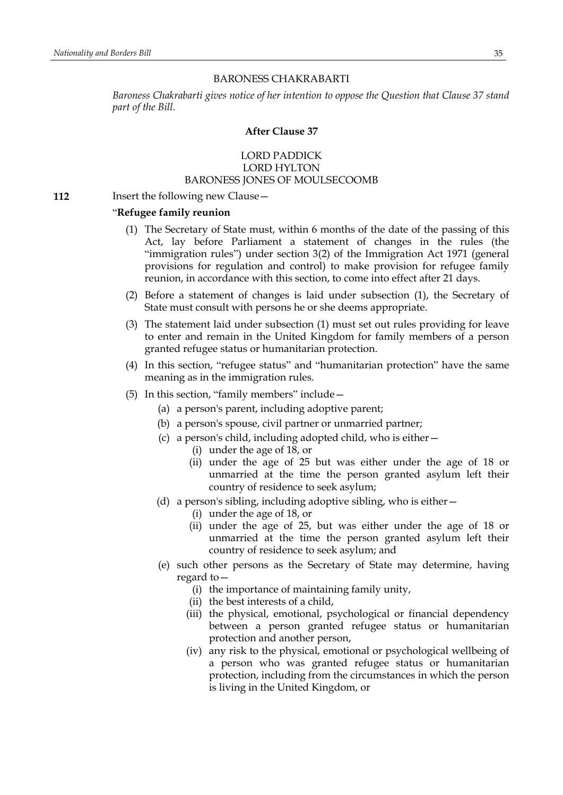#### BARONESS CHAKRABARTI

*Baroness Chakrabarti gives notice of her intention to oppose the Question that Clause 37 stand part of the Bill.*

### **After Clause 37**

### LORD PADDICK LORD HYLTON BARONESS JONES OF MOULSECOOMB

#### **112** Insert the following new Clause -

### "**Refugee family reunion**

- (1) The Secretary of State must, within 6 months of the date of the passing of this Act, lay before Parliament a statement of changes in the rules (the "immigration rules") under section 3(2) of the Immigration Act 1971 (general provisions for regulation and control) to make provision for refugee family reunion, in accordance with this section, to come into effect after 21 days.
- (2) Before a statement of changes is laid under subsection (1), the Secretary of State must consult with persons he or she deems appropriate.
- (3) The statement laid under subsection (1) must set out rules providing for leave to enter and remain in the United Kingdom for family members of a person granted refugee status or humanitarian protection.
- (4) In this section, "refugee status" and "humanitarian protection" have the same meaning as in the immigration rules.
- (5) In this section, "family members" include—
	- (a) a person's parent, including adoptive parent;
	- (b) a person's spouse, civil partner or unmarried partner;
	- (c) a person's child, including adopted child, who is either—
		- (i) under the age of 18, or
		- (ii) under the age of 25 but was either under the age of 18 or unmarried at the time the person granted asylum left their country of residence to seek asylum;
	- (d) a person's sibling, including adoptive sibling, who is either—
		- (i) under the age of 18, or
		- (ii) under the age of 25, but was either under the age of 18 or unmarried at the time the person granted asylum left their country of residence to seek asylum; and
	- (e) such other persons as the Secretary of State may determine, having regard to—
		- (i) the importance of maintaining family unity,
		- (ii) the best interests of a child,
		- (iii) the physical, emotional, psychological or financial dependency between a person granted refugee status or humanitarian protection and another person,
		- (iv) any risk to the physical, emotional or psychological wellbeing of a person who was granted refugee status or humanitarian protection, including from the circumstances in which the person is living in the United Kingdom, or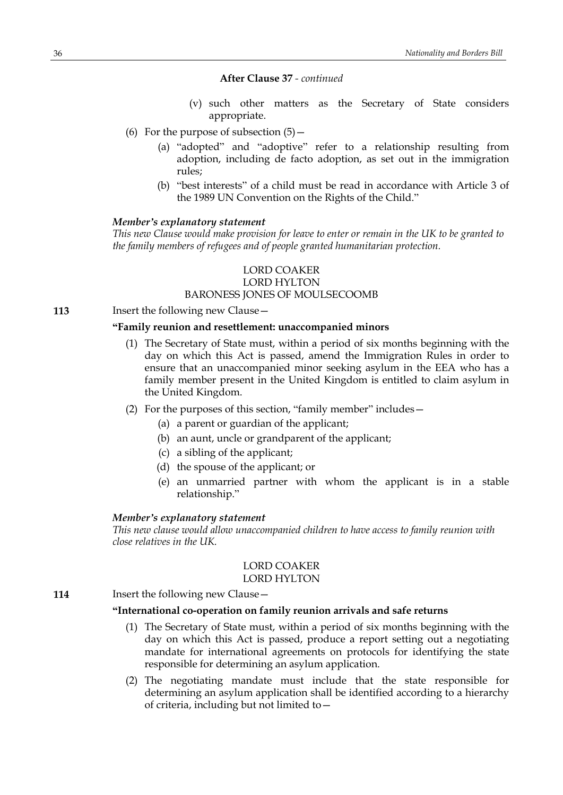### **After Clause 37** *- continued*

- (v) such other matters as the Secretary of State considers appropriate.
- (6) For the purpose of subsection  $(5)$ 
	- (a) "adopted" and "adoptive" refer to a relationship resulting from adoption, including de facto adoption, as set out in the immigration rules;
	- (b) "best interests" of a child must be read in accordance with Article 3 of the 1989 UN Convention on the Rights of the Child."

#### *Member's explanatory statement*

This new Clause would make provision for leave to enter or remain in the UK to be granted to *the family members of refugees and of people granted humanitarian protection.*

### LORD COAKER LORD HYLTON BARONESS JONES OF MOULSECOOMB

**113** Insert the following new Clause –

#### **"Family reunion and resettlement: unaccompanied minors**

- (1) The Secretary of State must, within a period of six months beginning with the day on which this Act is passed, amend the Immigration Rules in order to ensure that an unaccompanied minor seeking asylum in the EEA who has a family member present in the United Kingdom is entitled to claim asylum in the United Kingdom.
- (2) For the purposes of this section, "family member" includes—
	- (a) a parent or guardian of the applicant;
	- (b) an aunt, uncle or grandparent of the applicant;
	- (c) a sibling of the applicant;
	- (d) the spouse of the applicant; or
	- (e) an unmarried partner with whom the applicant is in a stable relationship."

#### *Member's explanatory statement*

*This new clause would allow unaccompanied children to have access to family reunion with close relatives in the UK.*

#### LORD COAKER LORD HYLTON

#### **114** Insert the following new Clause—

#### **"International co-operation on family reunion arrivals and safe returns**

- (1) The Secretary of State must, within a period of six months beginning with the day on which this Act is passed, produce a report setting out a negotiating mandate for international agreements on protocols for identifying the state responsible for determining an asylum application.
- (2) The negotiating mandate must include that the state responsible for determining an asylum application shall be identified according to a hierarchy of criteria, including but not limited to—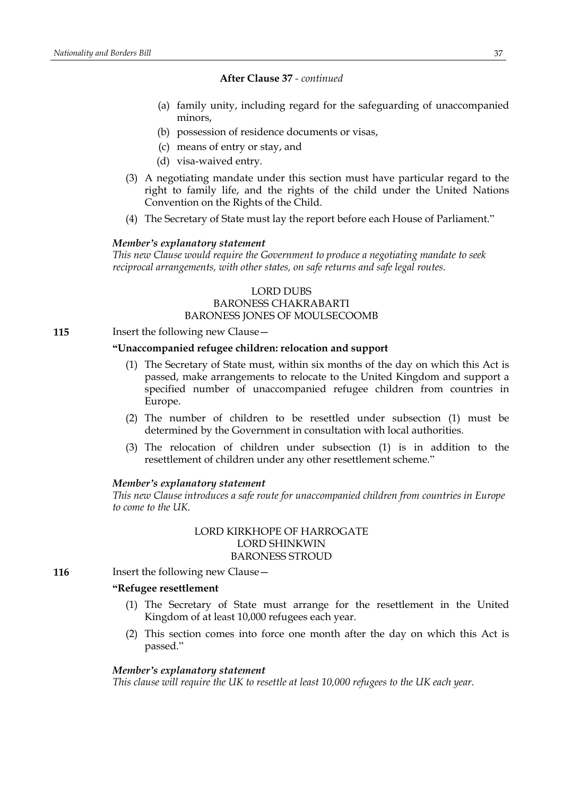**After Clause 37** *- continued*

- (a) family unity, including regard for the safeguarding of unaccompanied minors,
- (b) possession of residence documents or visas,
- (c) means of entry or stay, and
- (d) visa-waived entry.
- (3) A negotiating mandate under this section must have particular regard to the right to family life, and the rights of the child under the United Nations Convention on the Rights of the Child.
- (4) The Secretary of State must lay the report before each House of Parliament."

### *Member's explanatory statement*

*This new Clause would require the Government to produce a negotiating mandate to seek reciprocal arrangements, with other states, on safe returns and safe legal routes.*

### LORD DUBS BARONESS CHAKRABARTI BARONESS JONES OF MOULSECOOMB

#### **115** Insert the following new Clause -

### **"Unaccompanied refugee children: relocation and support**

- (1) The Secretary of State must, within six months of the day on which this Act is passed, make arrangements to relocate to the United Kingdom and support a specified number of unaccompanied refugee children from countries in Europe.
- (2) The number of children to be resettled under subsection (1) must be determined by the Government in consultation with local authorities.
- (3) The relocation of children under subsection (1) is in addition to the resettlement of children under any other resettlement scheme."

#### *Member's explanatory statement*

*This new Clause introduces a safe route for unaccompanied children from countries in Europe to come to the UK.*

### LORD KIRKHOPE OF HARROGATE LORD SHINKWIN BARONESS STROUD

**116** Insert the following new Clause -

### **"Refugee resettlement**

- (1) The Secretary of State must arrange for the resettlement in the United Kingdom of at least 10,000 refugees each year.
- (2) This section comes into force one month after the day on which this Act is passed."

#### *Member's explanatory statement*

*This clause will require the UK to resettle at least 10,000 refugees to the UK each year.*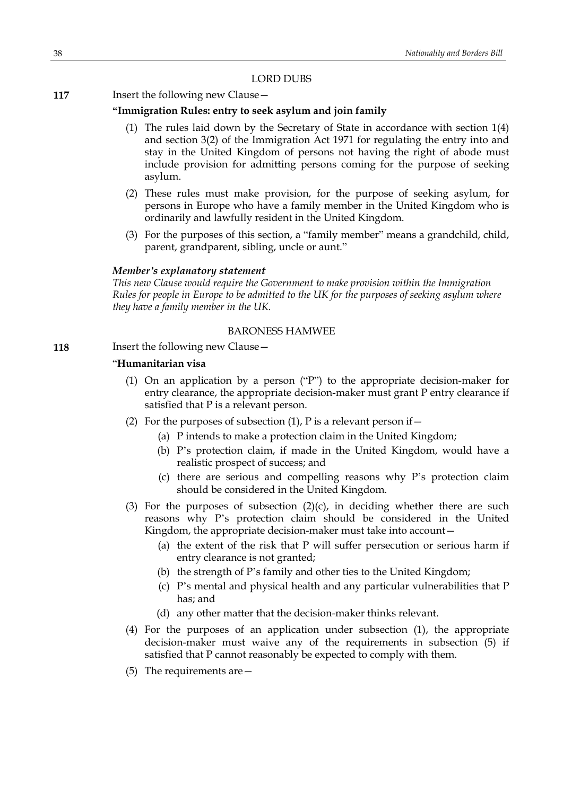#### LORD DUBS

**117** Insert the following new Clause -

### **"Immigration Rules: entry to seek asylum and join family**

- (1) The rules laid down by the Secretary of State in accordance with section 1(4) and section 3(2) of the Immigration Act 1971 for regulating the entry into and stay in the United Kingdom of persons not having the right of abode must include provision for admitting persons coming for the purpose of seeking asylum.
- (2) These rules must make provision, for the purpose of seeking asylum, for persons in Europe who have a family member in the United Kingdom who is ordinarily and lawfully resident in the United Kingdom.
- (3) For the purposes of this section, a "family member" means a grandchild, child, parent, grandparent, sibling, uncle or aunt."

#### *Member's explanatory statement*

*This new Clause would require the Government to make provision within the Immigration Rules for people in Europe to be admitted to the UK for the purposes of seeking asylum where they have a family member in the UK.*

#### BARONESS HAMWEE

**118** Insert the following new Clause -

### "**Humanitarian visa**

- (1) On an application by a person ("P") to the appropriate decision-maker for entry clearance, the appropriate decision-maker must grant P entry clearance if satisfied that P is a relevant person.
- (2) For the purposes of subsection (1), P is a relevant person if  $-$ 
	- (a) P intends to make a protection claim in the United Kingdom;
	- (b) P's protection claim, if made in the United Kingdom, would have a realistic prospect of success; and
	- (c) there are serious and compelling reasons why P's protection claim should be considered in the United Kingdom.
- (3) For the purposes of subsection  $(2)(c)$ , in deciding whether there are such reasons why P's protection claim should be considered in the United Kingdom, the appropriate decision-maker must take into account—
	- (a) the extent of the risk that P will suffer persecution or serious harm if entry clearance is not granted;
	- (b) the strength of P's family and other ties to the United Kingdom;
	- (c) P's mental and physical health and any particular vulnerabilities that P has; and
	- (d) any other matter that the decision-maker thinks relevant.
- (4) For the purposes of an application under subsection (1), the appropriate decision-maker must waive any of the requirements in subsection (5) if satisfied that P cannot reasonably be expected to comply with them.
- (5) The requirements are—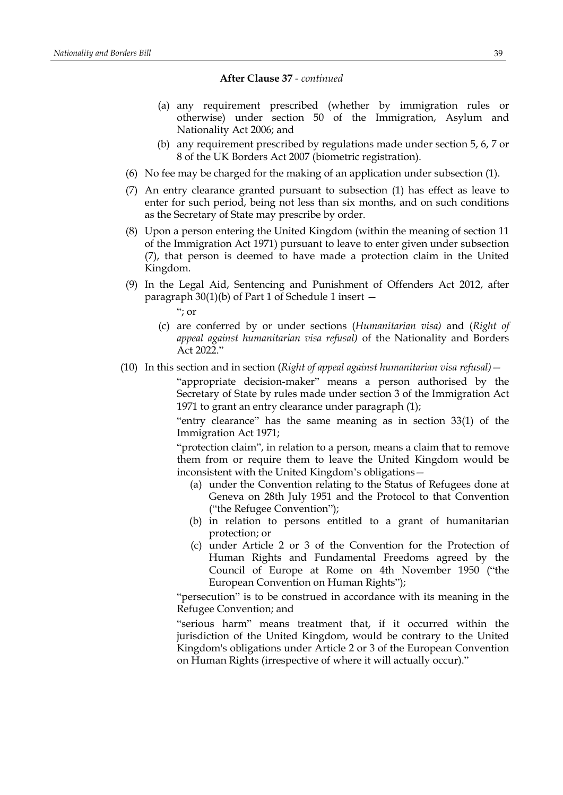**After Clause 37** *- continued*

- (a) any requirement prescribed (whether by immigration rules or otherwise) under section 50 of the Immigration, Asylum and Nationality Act 2006; and
- (b) any requirement prescribed by regulations made under section 5, 6, 7 or 8 of the UK Borders Act 2007 (biometric registration).
- (6) No fee may be charged for the making of an application under subsection (1).
- (7) An entry clearance granted pursuant to subsection (1) has effect as leave to enter for such period, being not less than six months, and on such conditions as the Secretary of State may prescribe by order.
- (8) Upon a person entering the United Kingdom (within the meaning of section 11 of the Immigration Act 1971) pursuant to leave to enter given under subsection (7), that person is deemed to have made a protection claim in the United Kingdom.
- (9) In the Legal Aid, Sentencing and Punishment of Offenders Act 2012, after paragraph 30(1)(b) of Part 1 of Schedule 1 insert —

"; or

- (c) are conferred by or under sections (*Humanitarian visa)* and (*Right of appeal against humanitarian visa refusal)* of the Nationality and Borders Act 2022."
- (10) In this section and in section (*Right of appeal against humanitarian visa refusal)*—

"appropriate decision-maker" means a person authorised by the Secretary of State by rules made under section 3 of the Immigration Act 1971 to grant an entry clearance under paragraph (1);

"entry clearance" has the same meaning as in section 33(1) of the Immigration Act 1971;

"protection claim", in relation to a person, means a claim that to remove them from or require them to leave the United Kingdom would be inconsistent with the United Kingdom's obligations—

- (a) under the Convention relating to the Status of Refugees done at Geneva on 28th July 1951 and the Protocol to that Convention ("the Refugee Convention");
- (b) in relation to persons entitled to a grant of humanitarian protection; or
- (c) under Article 2 or 3 of the Convention for the Protection of Human Rights and Fundamental Freedoms agreed by the Council of Europe at Rome on 4th November 1950 ("the European Convention on Human Rights");

"persecution" is to be construed in accordance with its meaning in the Refugee Convention; and

"serious harm" means treatment that, if it occurred within the jurisdiction of the United Kingdom, would be contrary to the United Kingdom's obligations under Article 2 or 3 of the European Convention on Human Rights (irrespective of where it will actually occur)."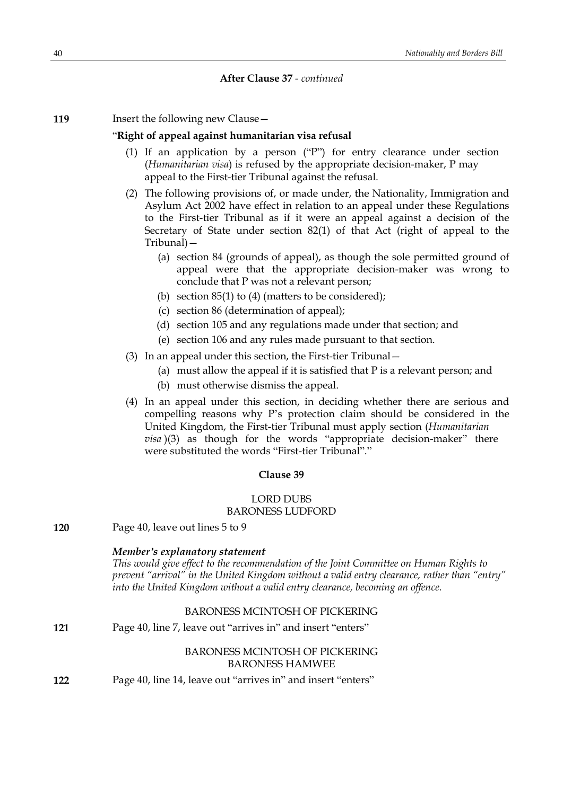### **After Clause 37** *- continued*

**119** Insert the following new Clause -

### "**Right of appeal against humanitarian visa refusal**

- (1) If an application by a person ("P") for entry clearance under section (*Humanitarian visa*) is refused by the appropriate decision-maker, P may appeal to the First-tier Tribunal against the refusal.
- (2) The following provisions of, or made under, the Nationality, Immigration and Asylum Act 2002 have effect in relation to an appeal under these Regulations to the First-tier Tribunal as if it were an appeal against a decision of the Secretary of State under section 82(1) of that Act (right of appeal to the Tribunal)—
	- (a) section 84 (grounds of appeal), as though the sole permitted ground of appeal were that the appropriate decision-maker was wrong to conclude that P was not a relevant person;
	- (b) section  $85(1)$  to  $(4)$  (matters to be considered);
	- (c) section 86 (determination of appeal);
	- (d) section 105 and any regulations made under that section; and
	- (e) section 106 and any rules made pursuant to that section.
- (3) In an appeal under this section, the First-tier Tribunal—
	- (a) must allow the appeal if it is satisfied that P is a relevant person; and
	- (b) must otherwise dismiss the appeal.
- (4) In an appeal under this section, in deciding whether there are serious and compelling reasons why P's protection claim should be considered in the United Kingdom, the First-tier Tribunal must apply section (*Humanitarian visa* )(3) as though for the words "appropriate decision-maker" there were substituted the words "First-tier Tribunal"."

### **Clause 39**

## LORD DUBS

### BARONESS LUDFORD

**120** Page 40, leave out lines 5 to 9

### *Member's explanatory statement*

*This would give effect to the recommendation of the Joint Committee on Human Rights to prevent "arrival" in the United Kingdom without a valid entry clearance, rather than "entry" into the United Kingdom without a valid entry clearance, becoming an offence.*

### BARONESS MCINTOSH OF PICKERING

**121** Page 40, line 7, leave out "arrives in" and insert "enters"

### BARONESS MCINTOSH OF PICKERING BARONESS HAMWEE

**122** Page 40, line 14, leave out "arrives in" and insert "enters"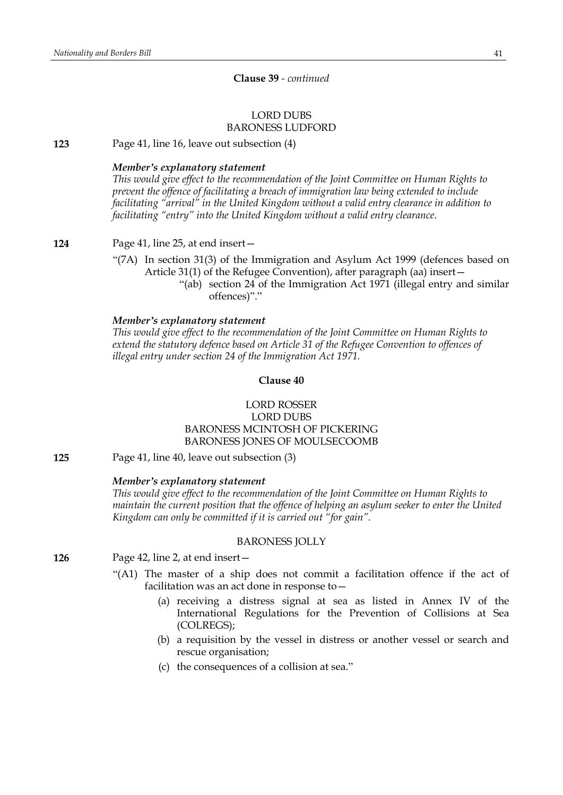#### **Clause 39** *- continued*

### LORD DUBS BARONESS LUDFORD

**123** Page 41, line 16, leave out subsection (4)

#### *Member's explanatory statement*

*This would give effect to the recommendation of the Joint Committee on Human Rights to prevent the offence of facilitating a breach of immigration law being extended to include facilitating "arrival" in the United Kingdom without a valid entry clearance in addition to facilitating "entry" into the United Kingdom without a valid entry clearance.*

### **124** Page 41, line 25, at end insert—

- "(7A) In section 31(3) of the Immigration and Asylum Act 1999 (defences based on Article 31(1) of the Refugee Convention), after paragraph (aa) insert—
	- "(ab) section 24 of the Immigration Act 1971 (illegal entry and similar offences)"."

#### *Member's explanatory statement*

*This would give effect to the recommendation of the Joint Committee on Human Rights to extend the statutory defence based on Article 31 of the Refugee Convention to offences of illegal entry under section 24 of the Immigration Act 1971.*

### **Clause 40**

### LORD ROSSER LORD DUBS BARONESS MCINTOSH OF PICKERING BARONESS JONES OF MOULSECOOMB

### **125** Page 41, line 40, leave out subsection (3)

#### *Member's explanatory statement*

*This would give effect to the recommendation of the Joint Committee on Human Rights to maintain the current position that the offence of helping an asylum seeker to enter the United Kingdom can only be committed if it is carried out "for gain".*

### BARONESS JOLLY

**126** Page 42, line 2, at end insert—

- "(A1) The master of a ship does not commit a facilitation offence if the act of facilitation was an act done in response to—
	- (a) receiving a distress signal at sea as listed in Annex IV of the International Regulations for the Prevention of Collisions at Sea (COLREGS);
	- (b) a requisition by the vessel in distress or another vessel or search and rescue organisation;
	- (c) the consequences of a collision at sea."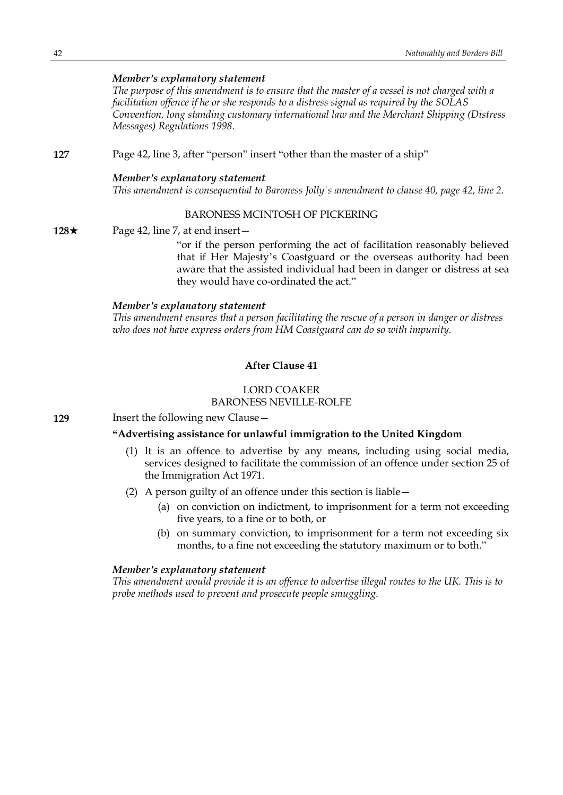*The purpose of this amendment is to ensure that the master of a vessel is not charged with a facilitation offence if he or she responds to a distress signal as required by the SOLAS Convention, long standing customary international law and the Merchant Shipping (Distress Messages) Regulations 1998.*

**127** Page 42, line 3, after "person" insert "other than the master of a ship"

#### *Member's explanatory statement*

*This amendment is consequential to Baroness Jolly's amendment to clause 40, page 42, line 2.*

### BARONESS MCINTOSH OF PICKERING

**128**★ Page 42, line 7, at end insert —

"or if the person performing the act of facilitation reasonably believed that if Her Majesty's Coastguard or the overseas authority had been aware that the assisted individual had been in danger or distress at sea they would have co-ordinated the act."

#### *Member's explanatory statement*

*This amendment ensures that a person facilitating the rescue of a person in danger or distress who does not have express orders from HM Coastguard can do so with impunity.*

#### **After Clause 41**

### LORD COAKER BARONESS NEVILLE-ROLFE

**129** Insert the following new Clause -

#### **"Advertising assistance for unlawful immigration to the United Kingdom**

- (1) It is an offence to advertise by any means, including using social media, services designed to facilitate the commission of an offence under section 25 of the Immigration Act 1971.
- (2) A person guilty of an offence under this section is liable—
	- (a) on conviction on indictment, to imprisonment for a term not exceeding five years, to a fine or to both, or
	- (b) on summary conviction, to imprisonment for a term not exceeding six months, to a fine not exceeding the statutory maximum or to both."

#### *Member's explanatory statement*

*This amendment would provide it is an offence to advertise illegal routes to the UK. This is to probe methods used to prevent and prosecute people smuggling.*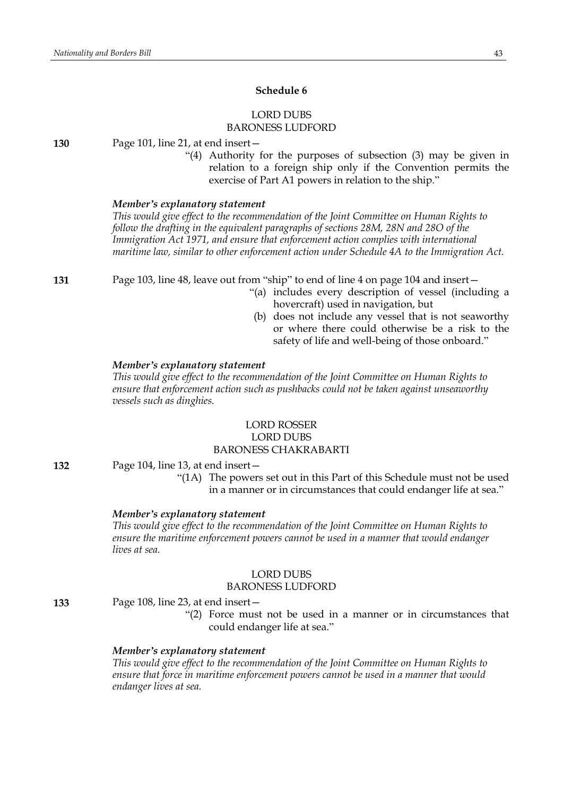### **Schedule 6**

### LORD DUBS BARONESS LUDFORD

**130** Page 101, line 21, at end insert—

"(4) Authority for the purposes of subsection (3) may be given in relation to a foreign ship only if the Convention permits the exercise of Part A1 powers in relation to the ship."

#### *Member's explanatory statement*

*This would give effect to the recommendation of the Joint Committee on Human Rights to follow the drafting in the equivalent paragraphs of sections 28M, 28N and 28O of the Immigration Act 1971, and ensure that enforcement action complies with international maritime law, similar to other enforcement action under Schedule 4A to the Immigration Act.*

**131** Page 103, line 48, leave out from "ship" to end of line 4 on page 104 and insert—

- "(a) includes every description of vessel (including a hovercraft) used in navigation, but
- (b) does not include any vessel that is not seaworthy or where there could otherwise be a risk to the safety of life and well-being of those onboard."

#### *Member's explanatory statement*

*This would give effect to the recommendation of the Joint Committee on Human Rights to ensure that enforcement action such as pushbacks could not be taken against unseaworthy vessels such as dinghies.*

### LORD ROSSER LORD DUBS BARONESS CHAKRABARTI

**132** Page 104, line 13, at end insert—

"(1A) The powers set out in this Part of this Schedule must not be used in a manner or in circumstances that could endanger life at sea."

#### *Member's explanatory statement*

*This would give effect to the recommendation of the Joint Committee on Human Rights to ensure the maritime enforcement powers cannot be used in a manner that would endanger lives at sea.*

#### LORD DUBS

#### BARONESS LUDFORD

- **133** Page 108, line 23, at end insert—
	- "(2) Force must not be used in a manner or in circumstances that could endanger life at sea."

#### *Member's explanatory statement*

*This would give effect to the recommendation of the Joint Committee on Human Rights to ensure that force in maritime enforcement powers cannot be used in a manner that would endanger lives at sea.*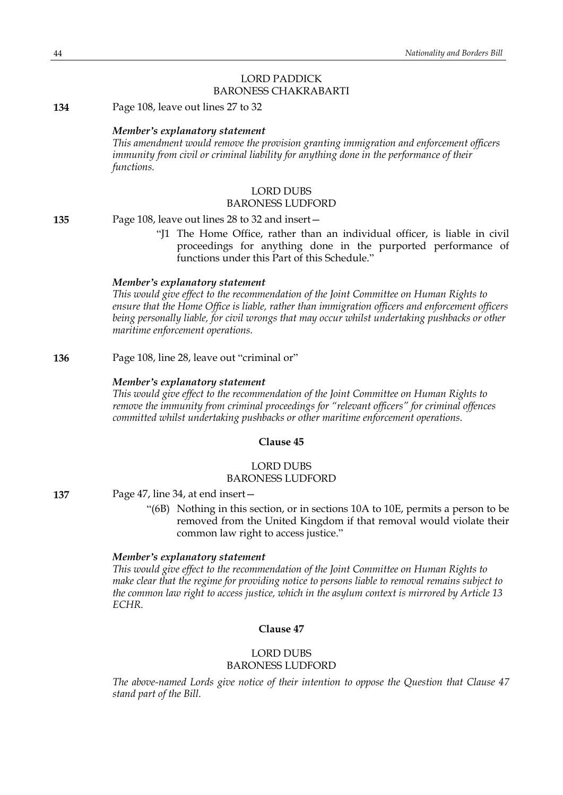### LORD PADDICK BARONESS CHAKRABARTI

**134** Page 108, leave out lines 27 to 32

### *Member's explanatory statement*

*This amendment would remove the provision granting immigration and enforcement officers immunity from civil or criminal liability for anything done in the performance of their functions.*

### LORD DUBS BARONESS LUDFORD

**135** Page 108, leave out lines 28 to 32 and insert—

"J1 The Home Office, rather than an individual officer, is liable in civil proceedings for anything done in the purported performance of functions under this Part of this Schedule."

#### *Member's explanatory statement*

*This would give effect to the recommendation of the Joint Committee on Human Rights to ensure that the Home Office is liable, rather than immigration officers and enforcement officers being personally liable, for civil wrongs that may occur whilst undertaking pushbacks or other maritime enforcement operations.*

**136** Page 108, line 28, leave out "criminal or"

#### *Member's explanatory statement*

*This would give effect to the recommendation of the Joint Committee on Human Rights to remove the immunity from criminal proceedings for "relevant officers" for criminal offences committed whilst undertaking pushbacks or other maritime enforcement operations.*

#### **Clause 45**

### LORD DUBS BARONESS LUDFORD

**137** Page 47, line 34, at end insert—

"(6B) Nothing in this section, or in sections 10A to 10E, permits a person to be removed from the United Kingdom if that removal would violate their common law right to access justice."

### *Member's explanatory statement*

*This would give effect to the recommendation of the Joint Committee on Human Rights to make clear that the regime for providing notice to persons liable to removal remains subject to the common law right to access justice, which in the asylum context is mirrored by Article 13 ECHR.*

### **Clause 47**

#### LORD DUBS BARONESS LUDFORD

*The above-named Lords give notice of their intention to oppose the Question that Clause 47 stand part of the Bill.*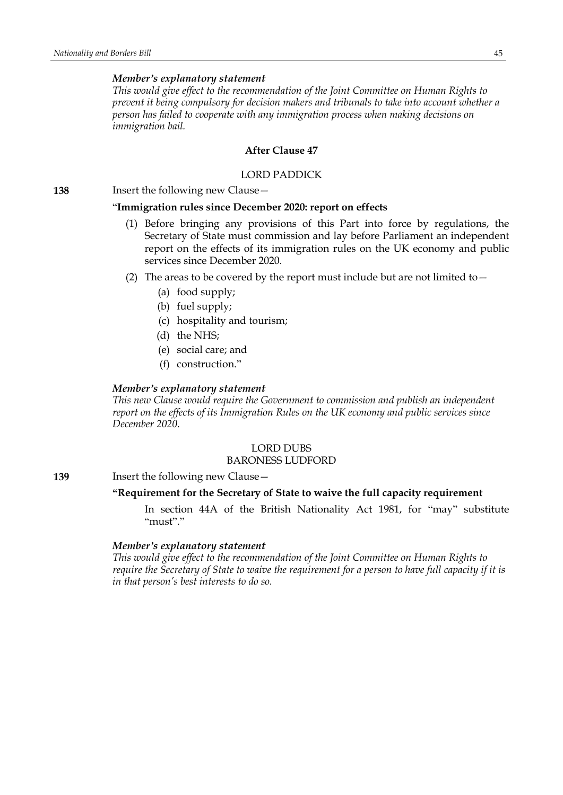*This would give effect to the recommendation of the Joint Committee on Human Rights to prevent it being compulsory for decision makers and tribunals to take into account whether a person has failed to cooperate with any immigration process when making decisions on immigration bail.*

### **After Clause 47**

#### LORD PADDICK

**138** Insert the following new Clause—

#### "**Immigration rules since December 2020: report on effects**

- (1) Before bringing any provisions of this Part into force by regulations, the Secretary of State must commission and lay before Parliament an independent report on the effects of its immigration rules on the UK economy and public services since December 2020.
- (2) The areas to be covered by the report must include but are not limited to  $-$ 
	- (a) food supply;
	- (b) fuel supply;
	- (c) hospitality and tourism;
	- (d) the NHS;
	- (e) social care; and
	- (f) construction."

#### *Member's explanatory statement*

*This new Clause would require the Government to commission and publish an independent report on the effects of its Immigration Rules on the UK economy and public services since December 2020.*

### LORD DUBS

#### BARONESS LUDFORD

**139** Insert the following new Clause—

### **"Requirement for the Secretary of State to waive the full capacity requirement**

In section 44A of the British Nationality Act 1981, for "may" substitute "must"."

#### *Member's explanatory statement*

*This would give effect to the recommendation of the Joint Committee on Human Rights to* require the Secretary of State to waive the requirement for a person to have full capacity if it is *in that person's best interests to do so.*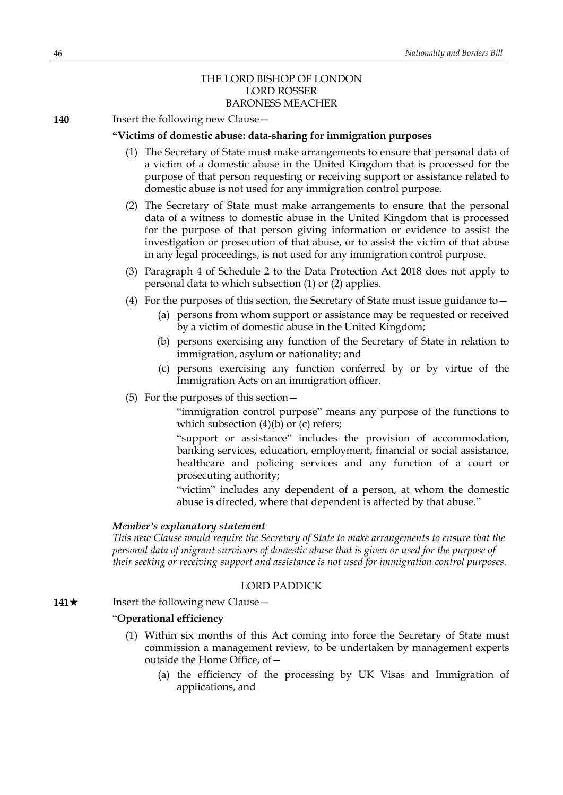### THE LORD BISHOP OF LONDON LORD ROSSER BARONESS MEACHER

**140** Insert the following new Clause —

### **"Victims of domestic abuse: data-sharing for immigration purposes**

- (1) The Secretary of State must make arrangements to ensure that personal data of a victim of a domestic abuse in the United Kingdom that is processed for the purpose of that person requesting or receiving support or assistance related to domestic abuse is not used for any immigration control purpose.
- (2) The Secretary of State must make arrangements to ensure that the personal data of a witness to domestic abuse in the United Kingdom that is processed for the purpose of that person giving information or evidence to assist the investigation or prosecution of that abuse, or to assist the victim of that abuse in any legal proceedings, is not used for any immigration control purpose.
- (3) Paragraph 4 of Schedule 2 to the Data Protection Act 2018 does not apply to personal data to which subsection (1) or (2) applies.
- (4) For the purposes of this section, the Secretary of State must issue guidance to  $-$ 
	- (a) persons from whom support or assistance may be requested or received by a victim of domestic abuse in the United Kingdom;
	- (b) persons exercising any function of the Secretary of State in relation to immigration, asylum or nationality; and
	- (c) persons exercising any function conferred by or by virtue of the Immigration Acts on an immigration officer.
- (5) For the purposes of this section—

"immigration control purpose" means any purpose of the functions to which subsection (4)(b) or (c) refers;

"support or assistance" includes the provision of accommodation, banking services, education, employment, financial or social assistance, healthcare and policing services and any function of a court or prosecuting authority;

"victim" includes any dependent of a person, at whom the domestic abuse is directed, where that dependent is affected by that abuse."

#### *Member's explanatory statement*

*This new Clause would require the Secretary of State to make arrangements to ensure that the personal data of migrant survivors of domestic abuse that is given or used for the purpose of their seeking or receiving support and assistance is not used for immigration control purposes.*

### LORD PADDICK

**141**★ Insert the following new Clause —

### "**Operational efficiency**

- (1) Within six months of this Act coming into force the Secretary of State must commission a management review, to be undertaken by management experts outside the Home Office, of—
	- (a) the efficiency of the processing by UK Visas and Immigration of applications, and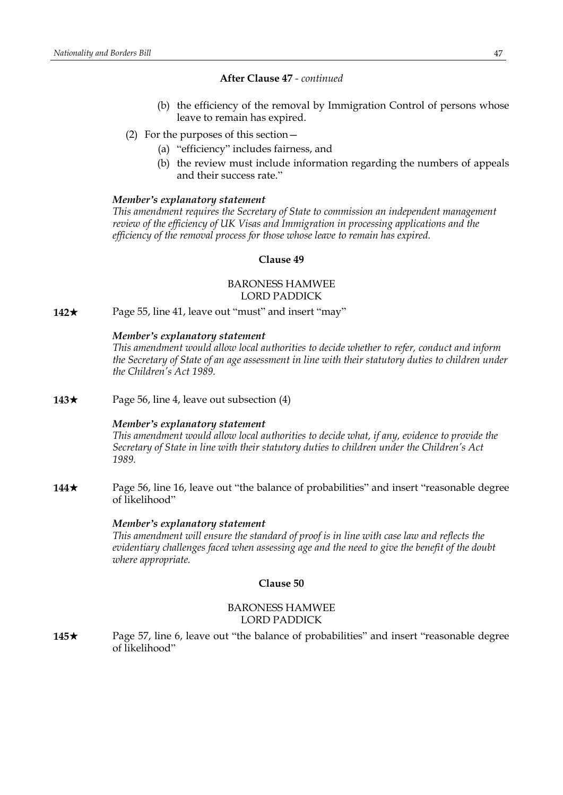### **After Clause 47** *- continued*

- (b) the efficiency of the removal by Immigration Control of persons whose leave to remain has expired.
- (2) For the purposes of this section—
	- (a) "efficiency" includes fairness, and
	- (b) the review must include information regarding the numbers of appeals and their success rate."

#### *Member's explanatory statement*

*This amendment requires the Secretary of State to commission an independent management review of the efficiency of UK Visas and Immigration in processing applications and the efficiency of the removal process for those whose leave to remain has expired.*

#### **Clause 49**

### BARONESS HAMWEE LORD PADDICK

**142★** Page 55, line 41, leave out "must" and insert "may"

#### *Member's explanatory statement*

*This amendment would allow local authorities to decide whether to refer, conduct and inform the Secretary of State of an age assessment in line with their statutory duties to children under the Children's Act 1989.*

**143**★ Page 56, line 4, leave out subsection (4)

#### *Member's explanatory statement*

*This amendment would allow local authorities to decide what, if any, evidence to provide the Secretary of State in line with their statutory duties to children under the Children's Act 1989.*

**144**★ Page 56, line 16, leave out "the balance of probabilities" and insert "reasonable degree of likelihood"

#### *Member's explanatory statement*

*This amendment will ensure the standard of proof is in line with case law and reflects the evidentiary challenges faced when assessing age and the need to give the benefit of the doubt where appropriate.*

#### **Clause 50**

### BARONESS HAMWEE LORD PADDICK

**145**★ Page 57, line 6, leave out "the balance of probabilities" and insert "reasonable degree of likelihood"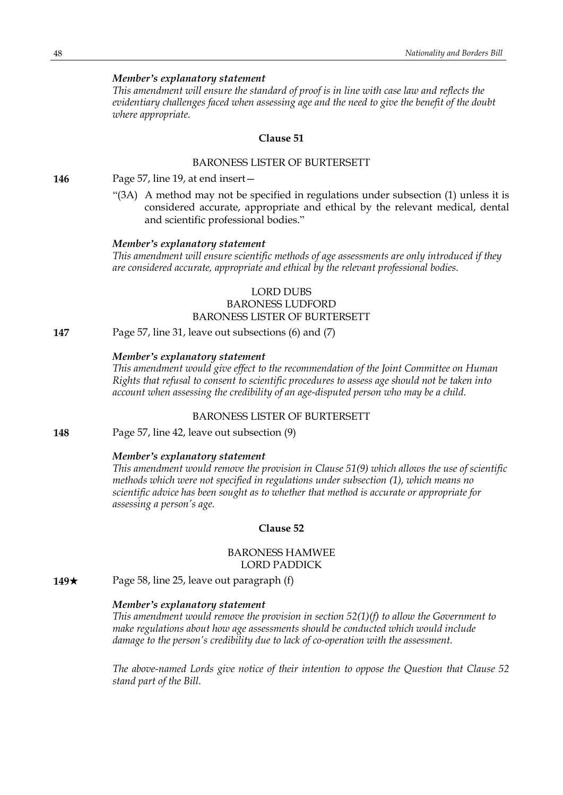*This amendment will ensure the standard of proof is in line with case law and reflects the evidentiary challenges faced when assessing age and the need to give the benefit of the doubt where appropriate.*

#### **Clause 51**

### BARONESS LISTER OF BURTERSETT

**146** Page 57, line 19, at end insert—

"(3A) A method may not be specified in regulations under subsection (1) unless it is considered accurate, appropriate and ethical by the relevant medical, dental and scientific professional bodies."

#### *Member's explanatory statement*

*This amendment will ensure scientific methods of age assessments are only introduced if they are considered accurate, appropriate and ethical by the relevant professional bodies.*

### LORD DUBS BARONESS LUDFORD BARONESS LISTER OF BURTERSETT

**147** Page 57, line 31, leave out subsections (6) and (7)

### *Member's explanatory statement*

*This amendment would give effect to the recommendation of the Joint Committee on Human Rights that refusal to consent to scientific procedures to assess age should not be taken into account when assessing the credibility of an age-disputed person who may be a child.*

### BARONESS LISTER OF BURTERSETT

**148** Page 57, line 42, leave out subsection (9)

### *Member's explanatory statement*

*This amendment would remove the provision in Clause 51(9) which allows the use of scientific methods which were not specified in regulations under subsection (1), which means no scientific advice has been sought as to whether that method is accurate or appropriate for assessing a person's age.*

### **Clause 52**

### BARONESS HAMWEE LORD PADDICK

**149**★ Page 58, line 25, leave out paragraph (f)

#### *Member's explanatory statement*

*This amendment would remove the provision in section 52(1)(f) to allow the Government to make regulations about how age assessments should be conducted which would include damage to the person's credibility due to lack of co-operation with the assessment.*

*The above-named Lords give notice of their intention to oppose the Question that Clause 52 stand part of the Bill.*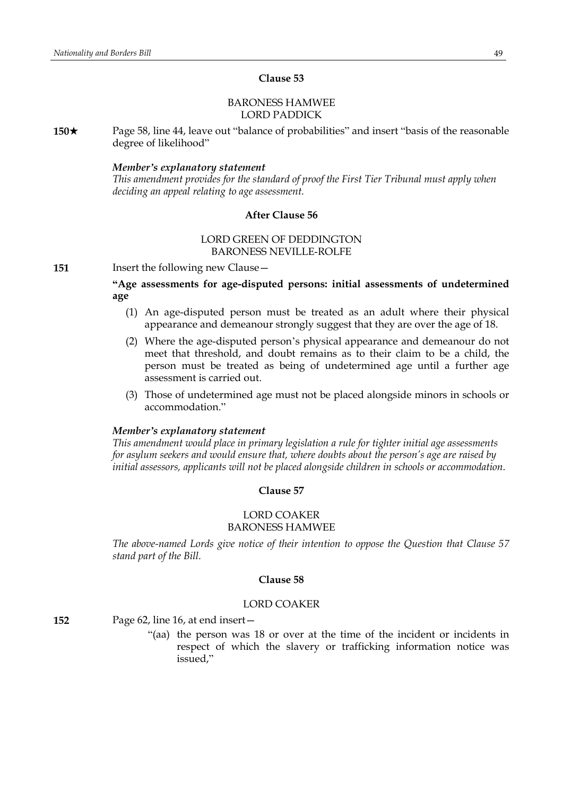#### **Clause 53**

### BARONESS HAMWEE LORD PADDICK

**150**\* Page 58, line 44, leave out "balance of probabilities" and insert "basis of the reasonable degree of likelihood"

#### *Member's explanatory statement*

*This amendment provides for the standard of proof the First Tier Tribunal must apply when deciding an appeal relating to age assessment.*

#### **After Clause 56**

### LORD GREEN OF DEDDINGTON BARONESS NEVILLE-ROLFE

**151** Insert the following new Clause—

**"Age assessments for age-disputed persons: initial assessments of undetermined age**

- (1) An age-disputed person must be treated as an adult where their physical appearance and demeanour strongly suggest that they are over the age of 18.
- (2) Where the age-disputed person's physical appearance and demeanour do not meet that threshold, and doubt remains as to their claim to be a child, the person must be treated as being of undetermined age until a further age assessment is carried out.
- (3) Those of undetermined age must not be placed alongside minors in schools or accommodation."

#### *Member's explanatory statement*

*This amendment would place in primary legislation a rule for tighter initial age assessments for asylum seekers and would ensure that, where doubts about the person's age are raised by initial assessors, applicants will not be placed alongside children in schools or accommodation.*

### **Clause 57**

### LORD COAKER BARONESS HAMWEE

*The above-named Lords give notice of their intention to oppose the Question that Clause 57 stand part of the Bill.*

#### **Clause 58**

#### LORD COAKER

**152** Page 62, line 16, at end insert—

"(aa) the person was 18 or over at the time of the incident or incidents in respect of which the slavery or trafficking information notice was issued,"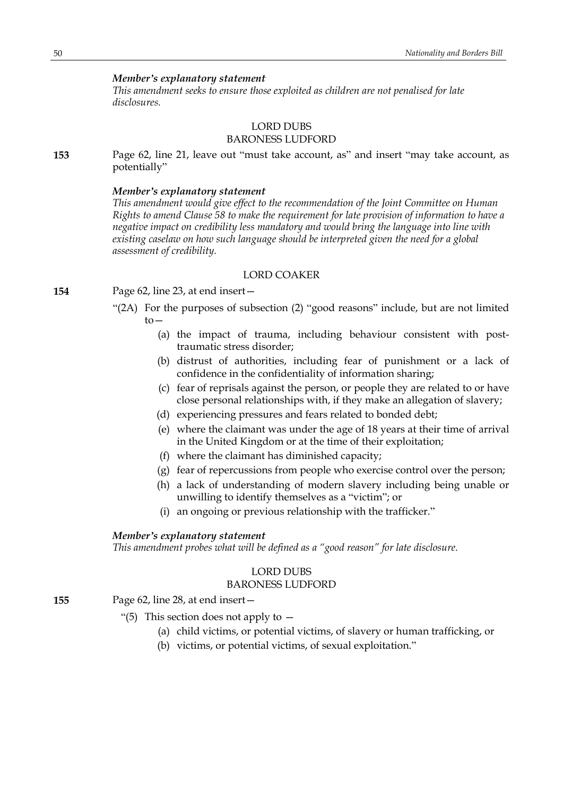*This amendment seeks to ensure those exploited as children are not penalised for late disclosures.*

### LORD DUBS BARONESS LUDFORD

**153** Page 62, line 21, leave out "must take account, as" and insert "may take account, as potentially"

#### *Member's explanatory statement*

*This amendment would give effect to the recommendation of the Joint Committee on Human Rights to amend Clause 58 to make the requirement for late provision of information to have a negative impact on credibility less mandatory and would bring the language into line with existing caselaw on how such language should be interpreted given the need for a global assessment of credibility.*

#### LORD COAKER

- **154** Page 62, line 23, at end insert—
	- "(2A) For the purposes of subsection (2) "good reasons" include, but are not limited to—
		- (a) the impact of trauma, including behaviour consistent with posttraumatic stress disorder;
		- (b) distrust of authorities, including fear of punishment or a lack of confidence in the confidentiality of information sharing;
		- (c) fear of reprisals against the person, or people they are related to or have close personal relationships with, if they make an allegation of slavery;
		- (d) experiencing pressures and fears related to bonded debt;
		- (e) where the claimant was under the age of 18 years at their time of arrival in the United Kingdom or at the time of their exploitation;
		- (f) where the claimant has diminished capacity;
		- (g) fear of repercussions from people who exercise control over the person;
		- (h) a lack of understanding of modern slavery including being unable or unwilling to identify themselves as a "victim"; or
		- (i) an ongoing or previous relationship with the trafficker."

#### *Member's explanatory statement*

*This amendment probes what will be defined as a "good reason" for late disclosure.*

## LORD DUBS

## BARONESS LUDFORD

**155** Page 62, line 28, at end insert—

- "(5) This section does not apply to  $-$ 
	- (a) child victims, or potential victims, of slavery or human trafficking, or
	- (b) victims, or potential victims, of sexual exploitation."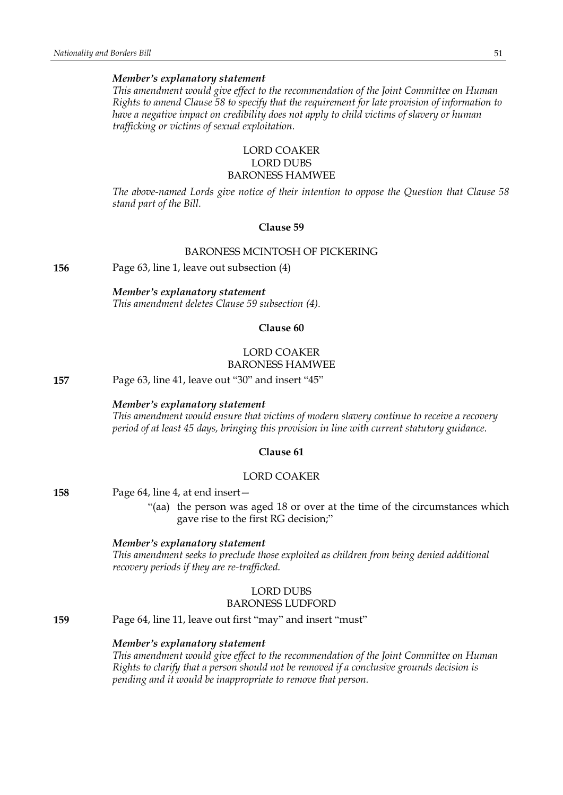*This amendment would give effect to the recommendation of the Joint Committee on Human Rights to amend Clause 58 to specify that the requirement for late provision of information to have a negative impact on credibility does not apply to child victims of slavery or human trafficking or victims of sexual exploitation.*

### LORD COAKER LORD DUBS BARONESS HAMWEE

*The above-named Lords give notice of their intention to oppose the Question that Clause 58 stand part of the Bill.*

#### **Clause 59**

#### BARONESS MCINTOSH OF PICKERING

**156** Page 63, line 1, leave out subsection (4)

*Member's explanatory statement This amendment deletes Clause 59 subsection (4).*

### **Clause 60**

### LORD COAKER BARONESS HAMWEE

**157** Page 63, line 41, leave out "30" and insert "45"

#### *Member's explanatory statement*

*This amendment would ensure that victims of modern slavery continue to receive a recovery period of at least 45 days, bringing this provision in line with current statutory guidance.*

#### **Clause 61**

#### LORD COAKER

**158** Page 64, line 4, at end insert—

"(aa) the person was aged 18 or over at the time of the circumstances which gave rise to the first RG decision;"

#### *Member's explanatory statement*

*This amendment seeks to preclude those exploited as children from being denied additional recovery periods if they are re-trafficked.*

### LORD DUBS

### BARONESS LUDFORD

**159** Page 64, line 11, leave out first "may" and insert "must"

#### *Member's explanatory statement*

*This amendment would give effect to the recommendation of the Joint Committee on Human Rights to clarify that a person should not be removed if a conclusive grounds decision is pending and it would be inappropriate to remove that person.*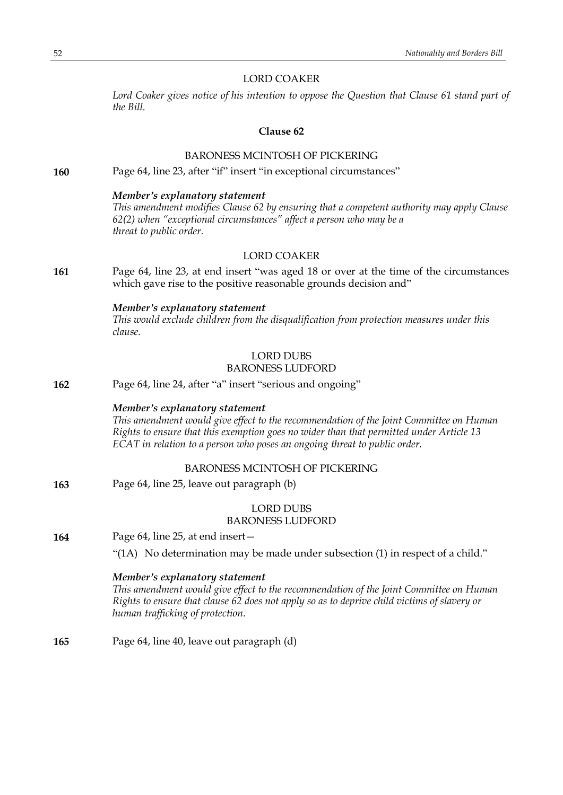### LORD COAKER

*Lord Coaker gives notice of his intention to oppose the Question that Clause 61 stand part of the Bill.*

### **Clause 62**

### BARONESS MCINTOSH OF PICKERING

**160** Page 64, line 23, after "if" insert "in exceptional circumstances"

#### *Member's explanatory statement*

*This amendment modifies Clause 62 by ensuring that a competent authority may apply Clause 62(2) when "exceptional circumstances" affect a person who may be a threat to public order.*

### LORD COAKER

**161** Page 64, line 23, at end insert "was aged 18 or over at the time of the circumstances which gave rise to the positive reasonable grounds decision and"

#### *Member's explanatory statement*

*This would exclude children from the disqualification from protection measures under this clause.*

### LORD DUBS BARONESS LUDFORD

**162** Page 64, line 24, after "a" insert "serious and ongoing"

### *Member's explanatory statement*

*This amendment would give effect to the recommendation of the Joint Committee on Human Rights to ensure that this exemption goes no wider than that permitted under Article 13 ECAT in relation to a person who poses an ongoing threat to public order.*

#### BARONESS MCINTOSH OF PICKERING

**163** Page 64, line 25, leave out paragraph (b)

### LORD DUBS BARONESS LUDFORD

**164** Page 64, line 25, at end insert—

"(1A) No determination may be made under subsection (1) in respect of a child."

#### *Member's explanatory statement*

*This amendment would give effect to the recommendation of the Joint Committee on Human Rights to ensure that clause 62 does not apply so as to deprive child victims of slavery or human trafficking of protection.*

**165** Page 64, line 40, leave out paragraph (d)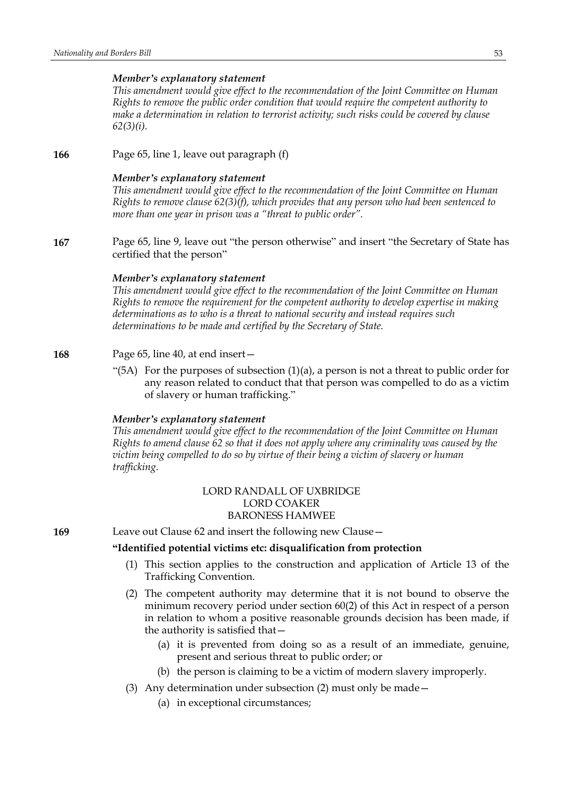*This amendment would give effect to the recommendation of the Joint Committee on Human Rights to remove the public order condition that would require the competent authority to make a determination in relation to terrorist activity; such risks could be covered by clause 62(3)(i).*

**166** Page 65, line 1, leave out paragraph (f)

#### *Member's explanatory statement*

*This amendment would give effect to the recommendation of the Joint Committee on Human Rights to remove clause 62(3)(f), which provides that any person who had been sentenced to more than one year in prison was a "threat to public order".*

**167** Page 65, line 9, leave out "the person otherwise" and insert "the Secretary of State has certified that the person"

#### *Member's explanatory statement*

*This amendment would give effect to the recommendation of the Joint Committee on Human Rights to remove the requirement for the competent authority to develop expertise in making determinations as to who is a threat to national security and instead requires such determinations to be made and certified by the Secretary of State.*

#### **168** Page 65, line 40, at end insert—

"(5A) For the purposes of subsection  $(1)(a)$ , a person is not a threat to public order for any reason related to conduct that that person was compelled to do as a victim of slavery or human trafficking."

### *Member's explanatory statement*

*This amendment would give effect to the recommendation of the Joint Committee on Human Rights to amend clause 62 so that it does not apply where any criminality was caused by the victim being compelled to do so by virtue of their being a victim of slavery or human trafficking.*

### LORD RANDALL OF UXBRIDGE LORD COAKER BARONESS HAMWEE

**169** Leave out Clause 62 and insert the following new Clause—

### **"Identified potential victims etc: disqualification from protection**

- (1) This section applies to the construction and application of Article 13 of the Trafficking Convention.
- (2) The competent authority may determine that it is not bound to observe the minimum recovery period under section 60(2) of this Act in respect of a person in relation to whom a positive reasonable grounds decision has been made, if the authority is satisfied that—
	- (a) it is prevented from doing so as a result of an immediate, genuine, present and serious threat to public order; or
	- (b) the person is claiming to be a victim of modern slavery improperly.
- (3) Any determination under subsection (2) must only be made—
	- (a) in exceptional circumstances;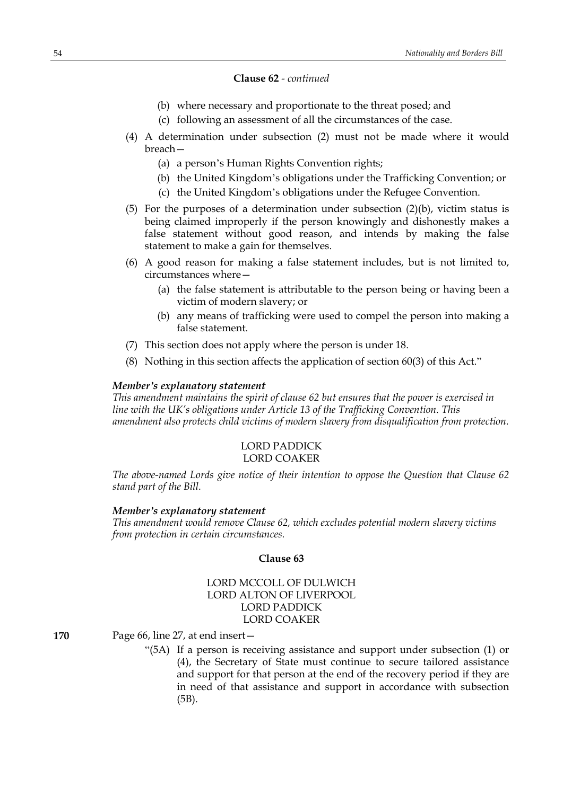### **Clause 62** *- continued*

- (b) where necessary and proportionate to the threat posed; and
- (c) following an assessment of all the circumstances of the case.
- (4) A determination under subsection (2) must not be made where it would breach—
	- (a) a person's Human Rights Convention rights;
	- (b) the United Kingdom's obligations under the Trafficking Convention; or
	- (c) the United Kingdom's obligations under the Refugee Convention.
- (5) For the purposes of a determination under subsection (2)(b), victim status is being claimed improperly if the person knowingly and dishonestly makes a false statement without good reason, and intends by making the false statement to make a gain for themselves.
- (6) A good reason for making a false statement includes, but is not limited to, circumstances where—
	- (a) the false statement is attributable to the person being or having been a victim of modern slavery; or
	- (b) any means of trafficking were used to compel the person into making a false statement.
- (7) This section does not apply where the person is under 18.
- (8) Nothing in this section affects the application of section 60(3) of this Act."

#### *Member's explanatory statement*

*This amendment maintains the spirit of clause 62 but ensures that the power is exercised in line with the UK's obligations under Article 13 of the Trafficking Convention. This amendment also protects child victims of modern slavery from disqualification from protection.*

#### LORD PADDICK LORD COAKER

*The above-named Lords give notice of their intention to oppose the Question that Clause 62 stand part of the Bill.*

#### *Member's explanatory statement*

*This amendment would remove Clause 62, which excludes potential modern slavery victims from protection in certain circumstances.*

### **Clause 63**

### LORD MCCOLL OF DULWICH LORD ALTON OF LIVERPOOL LORD PADDICK LORD COAKER

**170** Page 66, line 27, at end insert—

"(5A) If a person is receiving assistance and support under subsection (1) or (4), the Secretary of State must continue to secure tailored assistance and support for that person at the end of the recovery period if they are in need of that assistance and support in accordance with subsection (5B).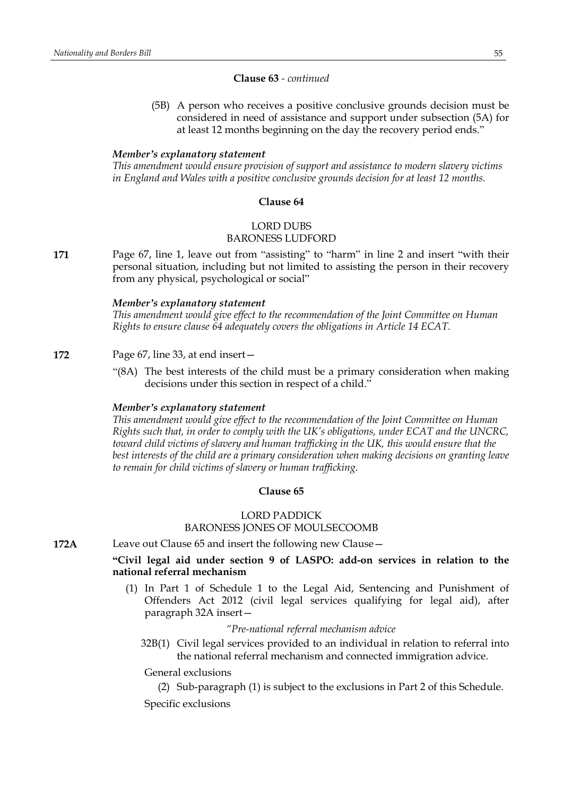#### **Clause 63** *- continued*

(5B) A person who receives a positive conclusive grounds decision must be considered in need of assistance and support under subsection (5A) for at least 12 months beginning on the day the recovery period ends."

#### *Member's explanatory statement*

*This amendment would ensure provision of support and assistance to modern slavery victims in England and Wales with a positive conclusive grounds decision for at least 12 months.*

### **Clause 64**

### LORD DUBS BARONESS LUDFORD

**171** Page 67, line 1, leave out from "assisting" to "harm" in line 2 and insert "with their personal situation, including but not limited to assisting the person in their recovery from any physical, psychological or social"

#### *Member's explanatory statement*

*This amendment would give effect to the recommendation of the Joint Committee on Human Rights to ensure clause 64 adequately covers the obligations in Article 14 ECAT.*

### **172** Page 67, line 33, at end insert—

"(8A) The best interests of the child must be a primary consideration when making decisions under this section in respect of a child."

#### *Member's explanatory statement*

*This amendment would give effect to the recommendation of the Joint Committee on Human Rights such that, in order to comply with the UK's obligations, under ECAT and the UNCRC, toward child victims of slavery and human trafficking in the UK, this would ensure that the best interests of the child are a primary consideration when making decisions on granting leave to remain for child victims of slavery or human trafficking.*

### **Clause 65**

## LORD PADDICK

### BARONESS JONES OF MOULSECOOMB

**172A** Leave out Clause 65 and insert the following new Clause—

### **"Civil legal aid under section 9 of LASPO: add-on services in relation to the national referral mechanism**

(1) In Part 1 of Schedule 1 to the Legal Aid, Sentencing and Punishment of Offenders Act 2012 (civil legal services qualifying for legal aid), after paragraph 32A insert—

#### *"Pre-national referral mechanism advice*

32B(1) Civil legal services provided to an individual in relation to referral into the national referral mechanism and connected immigration advice.

General exclusions

(2) Sub-paragraph (1) is subject to the exclusions in Part 2 of this Schedule.

Specific exclusions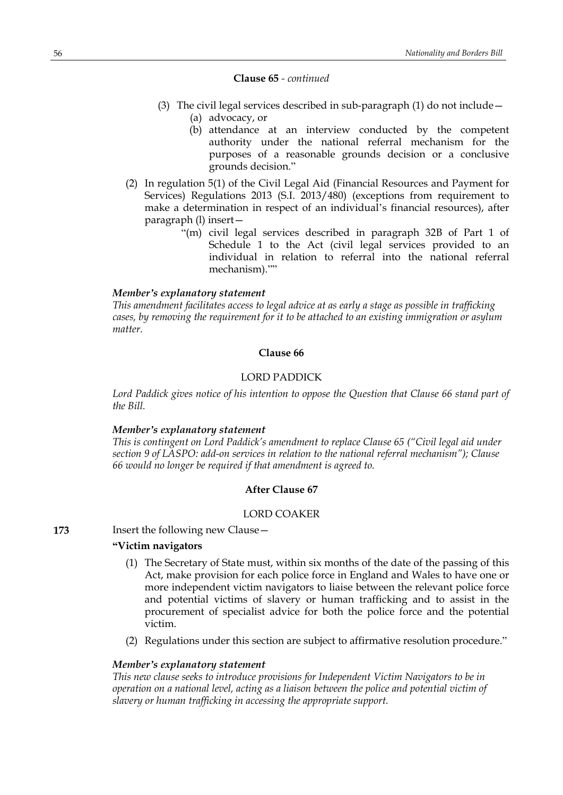#### **Clause 65** *- continued*

- (3) The civil legal services described in sub-paragraph (1) do not include— (a) advocacy, or
	- (b) attendance at an interview conducted by the competent authority under the national referral mechanism for the purposes of a reasonable grounds decision or a conclusive grounds decision."
- (2) In regulation 5(1) of the Civil Legal Aid (Financial Resources and Payment for Services) Regulations 2013 (S.I. 2013/480) (exceptions from requirement to make a determination in respect of an individual's financial resources), after paragraph (l) insert—
	- "(m) civil legal services described in paragraph 32B of Part 1 of Schedule 1 to the Act (civil legal services provided to an individual in relation to referral into the national referral mechanism).""

#### *Member's explanatory statement*

*This amendment facilitates access to legal advice at as early a stage as possible in trafficking cases, by removing the requirement for it to be attached to an existing immigration or asylum matter.*

### **Clause 66**

### LORD PADDICK

*Lord Paddick gives notice of his intention to oppose the Question that Clause 66 stand part of the Bill.*

### *Member's explanatory statement*

*This is contingent on Lord Paddick's amendment to replace Clause 65 ("Civil legal aid under section 9 of LASPO: add-on services in relation to the national referral mechanism"); Clause 66 would no longer be required if that amendment is agreed to.*

### **After Clause 67**

#### LORD COAKER

**173** Insert the following new Clause—

#### **"Victim navigators**

- (1) The Secretary of State must, within six months of the date of the passing of this Act, make provision for each police force in England and Wales to have one or more independent victim navigators to liaise between the relevant police force and potential victims of slavery or human trafficking and to assist in the procurement of specialist advice for both the police force and the potential victim.
- (2) Regulations under this section are subject to affirmative resolution procedure."

#### *Member's explanatory statement*

*This new clause seeks to introduce provisions for Independent Victim Navigators to be in operation on a national level, acting as a liaison between the police and potential victim of slavery or human trafficking in accessing the appropriate support.*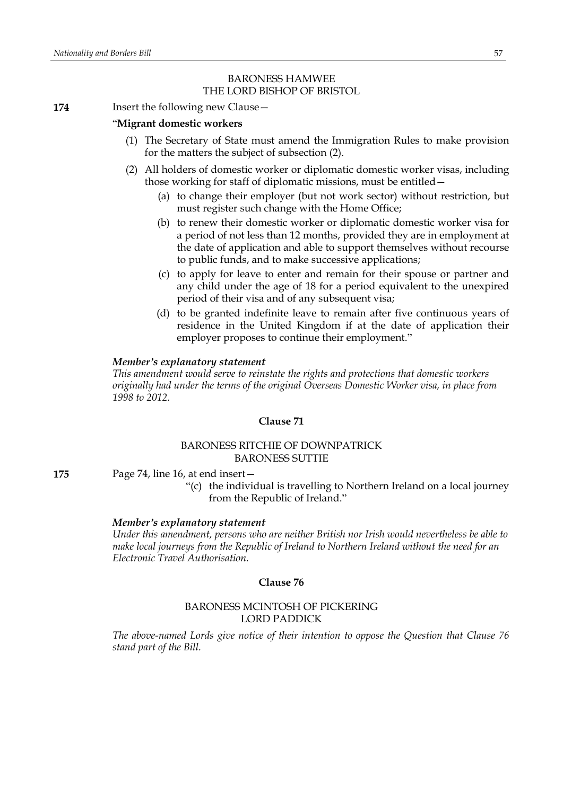### BARONESS HAMWEE THE LORD BISHOP OF BRISTOL

#### **174** Insert the following new Clause -

#### "**Migrant domestic workers**

- (1) The Secretary of State must amend the Immigration Rules to make provision for the matters the subject of subsection (2).
- (2) All holders of domestic worker or diplomatic domestic worker visas, including those working for staff of diplomatic missions, must be entitled—
	- (a) to change their employer (but not work sector) without restriction, but must register such change with the Home Office;
	- (b) to renew their domestic worker or diplomatic domestic worker visa for a period of not less than 12 months, provided they are in employment at the date of application and able to support themselves without recourse to public funds, and to make successive applications;
	- (c) to apply for leave to enter and remain for their spouse or partner and any child under the age of 18 for a period equivalent to the unexpired period of their visa and of any subsequent visa;
	- (d) to be granted indefinite leave to remain after five continuous years of residence in the United Kingdom if at the date of application their employer proposes to continue their employment."

#### *Member's explanatory statement*

*This amendment would serve to reinstate the rights and protections that domestic workers originally had under the terms of the original Overseas Domestic Worker visa, in place from 1998 to 2012.*

#### **Clause 71**

### BARONESS RITCHIE OF DOWNPATRICK BARONESS SUTTIE

- **175** Page 74, line 16, at end insert—
	- "(c) the individual is travelling to Northern Ireland on a local journey from the Republic of Ireland."

#### *Member's explanatory statement*

*Under this amendment, persons who are neither British nor Irish would nevertheless be able to make local journeys from the Republic of Ireland to Northern Ireland without the need for an Electronic Travel Authorisation.*

#### **Clause 76**

### BARONESS MCINTOSH OF PICKERING LORD PADDICK

*The above-named Lords give notice of their intention to oppose the Question that Clause 76 stand part of the Bill.*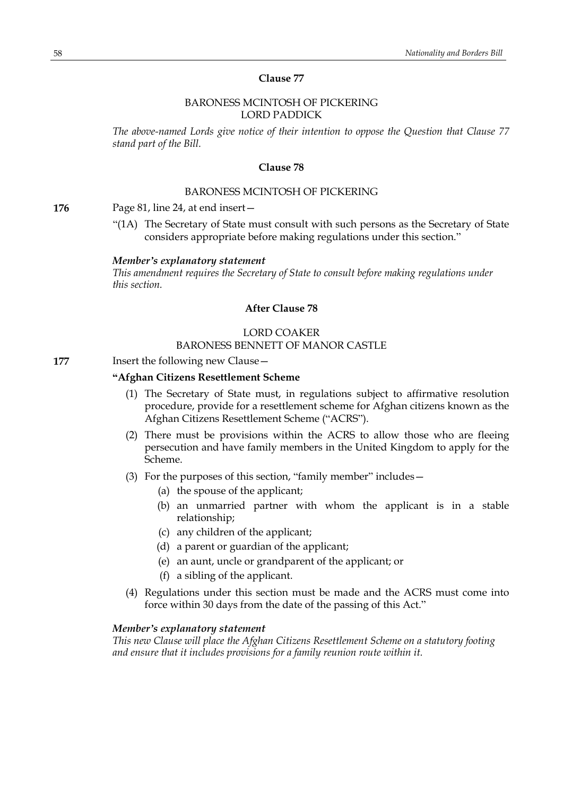#### **Clause 77**

### BARONESS MCINTOSH OF PICKERING LORD PADDICK

*The above-named Lords give notice of their intention to oppose the Question that Clause 77 stand part of the Bill.*

#### **Clause 78**

### BARONESS MCINTOSH OF PICKERING

**176** Page 81, line 24, at end insert—

"(1A) The Secretary of State must consult with such persons as the Secretary of State considers appropriate before making regulations under this section."

#### *Member's explanatory statement*

*This amendment requires the Secretary of State to consult before making regulations under this section.*

### **After Clause 78**

### LORD COAKER BARONESS BENNETT OF MANOR CASTLE

### **177** Insert the following new Clause -

### **"Afghan Citizens Resettlement Scheme**

- (1) The Secretary of State must, in regulations subject to affirmative resolution procedure, provide for a resettlement scheme for Afghan citizens known as the Afghan Citizens Resettlement Scheme ("ACRS").
- (2) There must be provisions within the ACRS to allow those who are fleeing persecution and have family members in the United Kingdom to apply for the Scheme.
- (3) For the purposes of this section, "family member" includes—
	- (a) the spouse of the applicant;
	- (b) an unmarried partner with whom the applicant is in a stable relationship;
	- (c) any children of the applicant;
	- (d) a parent or guardian of the applicant;
	- (e) an aunt, uncle or grandparent of the applicant; or
	- (f) a sibling of the applicant.
- (4) Regulations under this section must be made and the ACRS must come into force within 30 days from the date of the passing of this Act."

#### *Member's explanatory statement*

*This new Clause will place the Afghan Citizens Resettlement Scheme on a statutory footing and ensure that it includes provisions for a family reunion route within it.*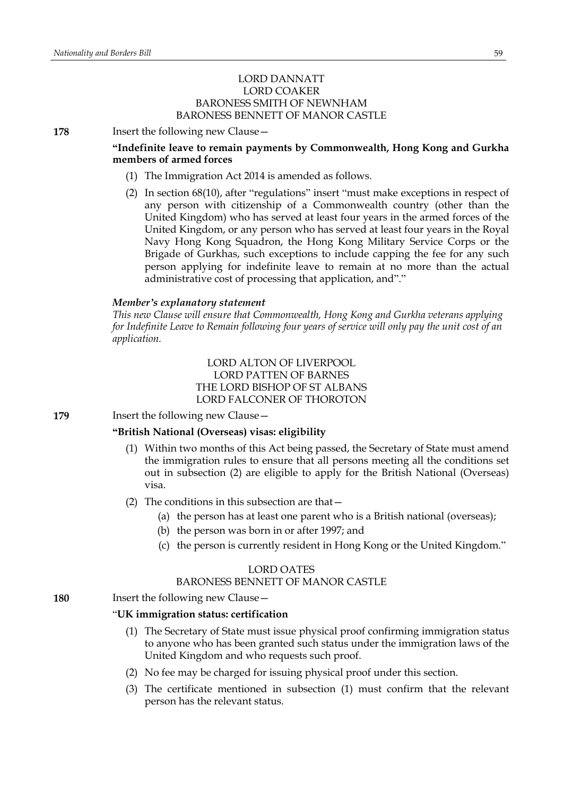### LORD DANNATT LORD COAKER BARONESS SMITH OF NEWNHAM BARONESS BENNETT OF MANOR CASTLE

**178** Insert the following new Clause -

### **"Indefinite leave to remain payments by Commonwealth, Hong Kong and Gurkha members of armed forces**

- (1) The Immigration Act 2014 is amended as follows.
- (2) In section 68(10), after "regulations" insert "must make exceptions in respect of any person with citizenship of a Commonwealth country (other than the United Kingdom) who has served at least four years in the armed forces of the United Kingdom, or any person who has served at least four years in the Royal Navy Hong Kong Squadron, the Hong Kong Military Service Corps or the Brigade of Gurkhas, such exceptions to include capping the fee for any such person applying for indefinite leave to remain at no more than the actual administrative cost of processing that application, and"."

#### *Member's explanatory statement*

*This new Clause will ensure that Commonwealth, Hong Kong and Gurkha veterans applying for Indefinite Leave to Remain following four years of service will only pay the unit cost of an application.*

> LORD ALTON OF LIVERPOOL LORD PATTEN OF BARNES THE LORD BISHOP OF ST ALBANS LORD FALCONER OF THOROTON

**179** Insert the following new Clause —

### **"British National (Overseas) visas: eligibility**

- (1) Within two months of this Act being passed, the Secretary of State must amend the immigration rules to ensure that all persons meeting all the conditions set out in subsection (2) are eligible to apply for the British National (Overseas) visa.
- (2) The conditions in this subsection are that—
	- (a) the person has at least one parent who is a British national (overseas);
	- (b) the person was born in or after 1997; and
	- (c) the person is currently resident in Hong Kong or the United Kingdom."

#### LORD OATES

#### BARONESS BENNETT OF MANOR CASTLE

### **180** Insert the following new Clause -

#### "**UK immigration status: certification**

- (1) The Secretary of State must issue physical proof confirming immigration status to anyone who has been granted such status under the immigration laws of the United Kingdom and who requests such proof.
- (2) No fee may be charged for issuing physical proof under this section.
- (3) The certificate mentioned in subsection (1) must confirm that the relevant person has the relevant status.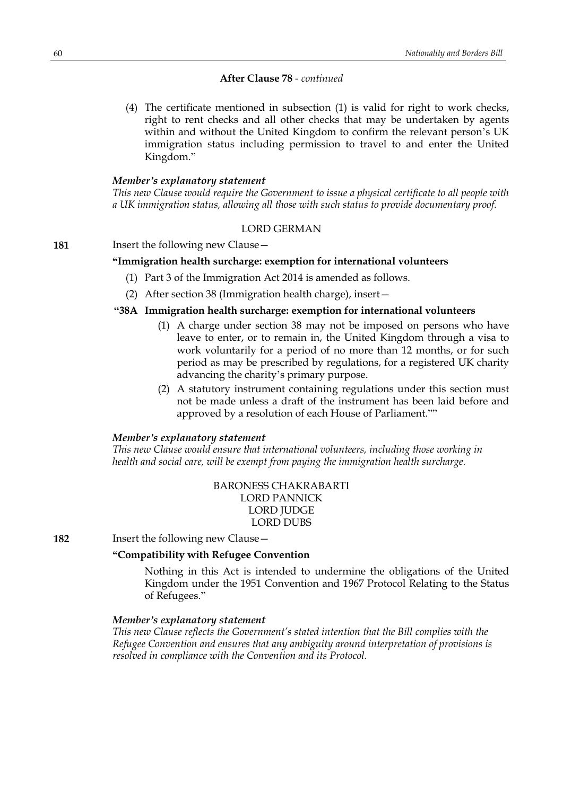### **After Clause 78** *- continued*

(4) The certificate mentioned in subsection (1) is valid for right to work checks, right to rent checks and all other checks that may be undertaken by agents within and without the United Kingdom to confirm the relevant person's UK immigration status including permission to travel to and enter the United Kingdom."

### *Member's explanatory statement*

*This new Clause would require the Government to issue a physical certificate to all people with a UK immigration status, allowing all those with such status to provide documentary proof.*

#### LORD GERMAN

### **181** Insert the following new Clause -

### **"Immigration health surcharge: exemption for international volunteers**

- (1) Part 3 of the Immigration Act 2014 is amended as follows.
- (2) After section 38 (Immigration health charge), insert—

#### **"38A Immigration health surcharge: exemption for international volunteers**

- (1) A charge under section 38 may not be imposed on persons who have leave to enter, or to remain in, the United Kingdom through a visa to work voluntarily for a period of no more than 12 months, or for such period as may be prescribed by regulations, for a registered UK charity advancing the charity's primary purpose.
- (2) A statutory instrument containing regulations under this section must not be made unless a draft of the instrument has been laid before and approved by a resolution of each House of Parliament.""

#### *Member's explanatory statement*

*This new Clause would ensure that international volunteers, including those working in health and social care, will be exempt from paying the immigration health surcharge.*

> BARONESS CHAKRABARTI LORD PANNICK LORD JUDGE LORD DUBS

**182** Insert the following new Clause –

### **"Compatibility with Refugee Convention**

Nothing in this Act is intended to undermine the obligations of the United Kingdom under the 1951 Convention and 1967 Protocol Relating to the Status of Refugees."

#### *Member's explanatory statement*

*This new Clause reflects the Government's stated intention that the Bill complies with the Refugee Convention and ensures that any ambiguity around interpretation of provisions is resolved in compliance with the Convention and its Protocol.*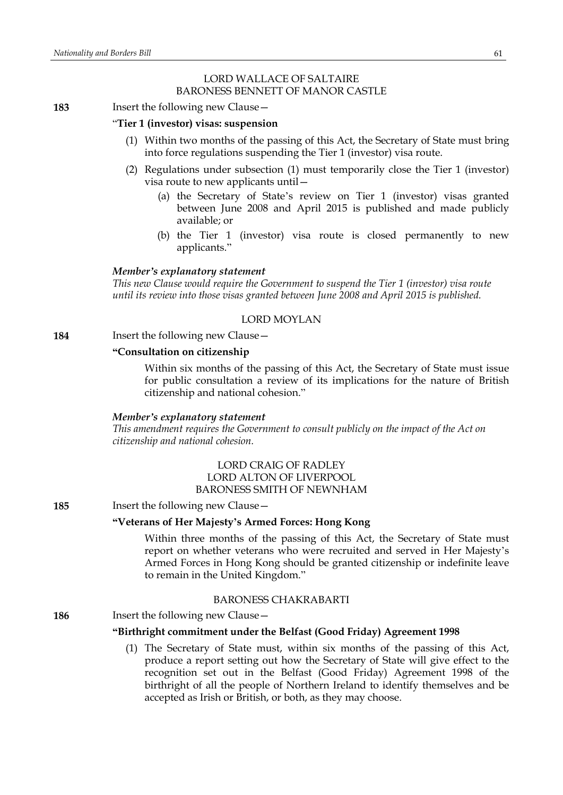### LORD WALLACE OF SALTAIRE BARONESS BENNETT OF MANOR CASTLE

### **183** Insert the following new Clause—

#### "**Tier 1 (investor) visas: suspension**

- (1) Within two months of the passing of this Act, the Secretary of State must bring into force regulations suspending the Tier 1 (investor) visa route.
- (2) Regulations under subsection (1) must temporarily close the Tier 1 (investor) visa route to new applicants until—
	- (a) the Secretary of State's review on Tier 1 (investor) visas granted between June 2008 and April 2015 is published and made publicly available; or
	- (b) the Tier 1 (investor) visa route is closed permanently to new applicants."

#### *Member's explanatory statement*

*This new Clause would require the Government to suspend the Tier 1 (investor) visa route until its review into those visas granted between June 2008 and April 2015 is published.*

### LORD MOYLAN

**184** Insert the following new Clause—

### **"Consultation on citizenship**

Within six months of the passing of this Act, the Secretary of State must issue for public consultation a review of its implications for the nature of British citizenship and national cohesion."

#### *Member's explanatory statement*

*This amendment requires the Government to consult publicly on the impact of the Act on citizenship and national cohesion.*

### LORD CRAIG OF RADLEY LORD ALTON OF LIVERPOOL BARONESS SMITH OF NEWNHAM

**185** Insert the following new Clause—

### **"Veterans of Her Majesty's Armed Forces: Hong Kong**

Within three months of the passing of this Act, the Secretary of State must report on whether veterans who were recruited and served in Her Majesty's Armed Forces in Hong Kong should be granted citizenship or indefinite leave to remain in the United Kingdom."

### BARONESS CHAKRABARTI

**186** Insert the following new Clause -

### **"Birthright commitment under the Belfast (Good Friday) Agreement 1998**

(1) The Secretary of State must, within six months of the passing of this Act, produce a report setting out how the Secretary of State will give effect to the recognition set out in the Belfast (Good Friday) Agreement 1998 of the birthright of all the people of Northern Ireland to identify themselves and be accepted as Irish or British, or both, as they may choose.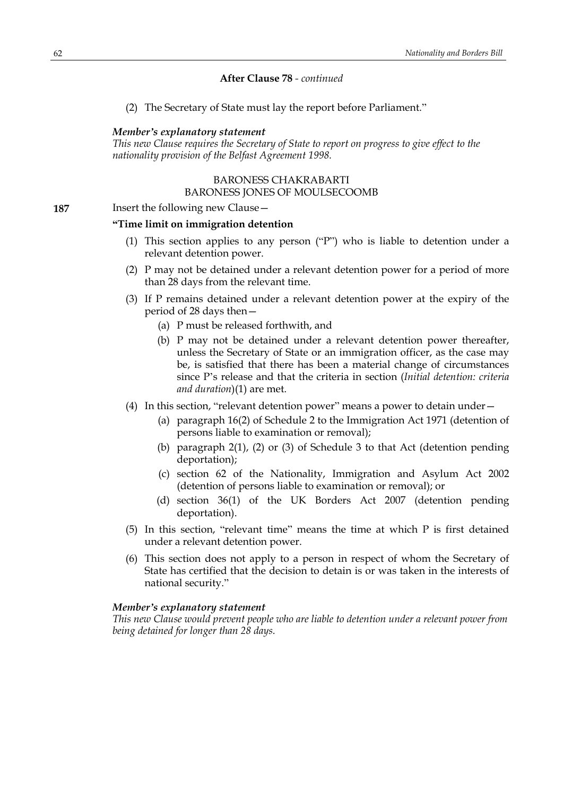#### **After Clause 78** *- continued*

(2) The Secretary of State must lay the report before Parliament."

#### *Member's explanatory statement*

*This new Clause requires the Secretary of State to report on progress to give effect to the nationality provision of the Belfast Agreement 1998.*

#### BARONESS CHAKRABARTI

### BARONESS JONES OF MOULSECOOMB

#### **187** Insert the following new Clause –

#### **"Time limit on immigration detention**

- (1) This section applies to any person ("P") who is liable to detention under a relevant detention power.
- (2) P may not be detained under a relevant detention power for a period of more than 28 days from the relevant time.
- (3) If P remains detained under a relevant detention power at the expiry of the period of 28 days then—
	- (a) P must be released forthwith, and
	- (b) P may not be detained under a relevant detention power thereafter, unless the Secretary of State or an immigration officer, as the case may be, is satisfied that there has been a material change of circumstances since P's release and that the criteria in section (*Initial detention: criteria and duration*)(1) are met.
- (4) In this section, "relevant detention power" means a power to detain under—
	- (a) paragraph 16(2) of Schedule 2 to the Immigration Act 1971 (detention of persons liable to examination or removal);
	- (b) paragraph 2(1), (2) or (3) of Schedule 3 to that Act (detention pending deportation);
	- (c) section 62 of the Nationality, Immigration and Asylum Act 2002 (detention of persons liable to examination or removal); or
	- (d) section 36(1) of the UK Borders Act 2007 (detention pending deportation).
- (5) In this section, "relevant time" means the time at which P is first detained under a relevant detention power.
- (6) This section does not apply to a person in respect of whom the Secretary of State has certified that the decision to detain is or was taken in the interests of national security."

#### *Member's explanatory statement*

*This new Clause would prevent people who are liable to detention under a relevant power from being detained for longer than 28 days.*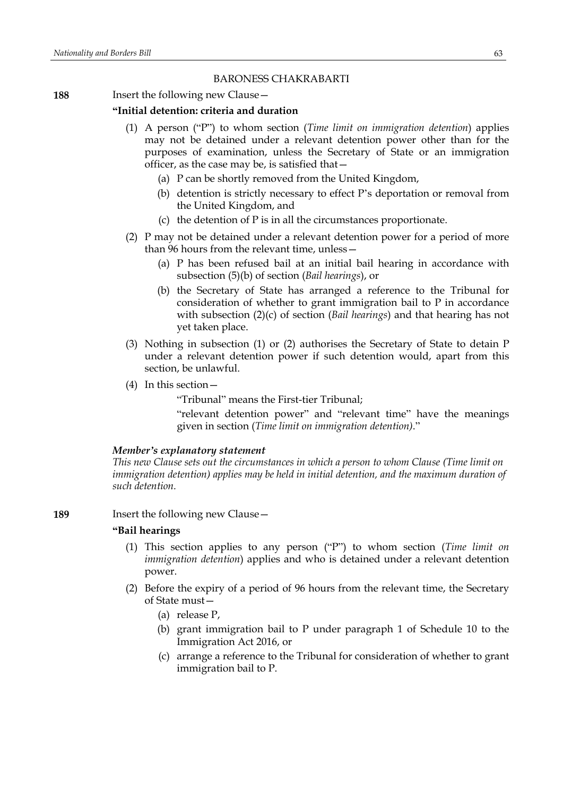#### BARONESS CHAKRABARTI

#### **188** Insert the following new Clause -

#### **"Initial detention: criteria and duration**

- (1) A person ("P") to whom section (*Time limit on immigration detention*) applies may not be detained under a relevant detention power other than for the purposes of examination, unless the Secretary of State or an immigration officer, as the case may be, is satisfied that—
	- (a) P can be shortly removed from the United Kingdom,
	- (b) detention is strictly necessary to effect P's deportation or removal from the United Kingdom, and
	- (c) the detention of P is in all the circumstances proportionate.
- (2) P may not be detained under a relevant detention power for a period of more than 96 hours from the relevant time, unless—
	- (a) P has been refused bail at an initial bail hearing in accordance with subsection (5)(b) of section (*Bail hearings*), or
	- (b) the Secretary of State has arranged a reference to the Tribunal for consideration of whether to grant immigration bail to P in accordance with subsection (2)(c) of section (*Bail hearings*) and that hearing has not yet taken place.
- (3) Nothing in subsection (1) or (2) authorises the Secretary of State to detain P under a relevant detention power if such detention would, apart from this section, be unlawful.
- (4) In this section—

"Tribunal" means the First-tier Tribunal;

"relevant detention power" and "relevant time" have the meanings given in section (*Time limit on immigration detention)*."

#### *Member's explanatory statement*

*This new Clause sets out the circumstances in which a person to whom Clause (Time limit on immigration detention) applies may be held in initial detention, and the maximum duration of such detention.*

**189** Insert the following new Clause—

### **"Bail hearings**

- (1) This section applies to any person ("P") to whom section (*Time limit on immigration detention*) applies and who is detained under a relevant detention power.
- (2) Before the expiry of a period of 96 hours from the relevant time, the Secretary of State must—
	- (a) release P,
	- (b) grant immigration bail to P under paragraph 1 of Schedule 10 to the Immigration Act 2016, or
	- (c) arrange a reference to the Tribunal for consideration of whether to grant immigration bail to P.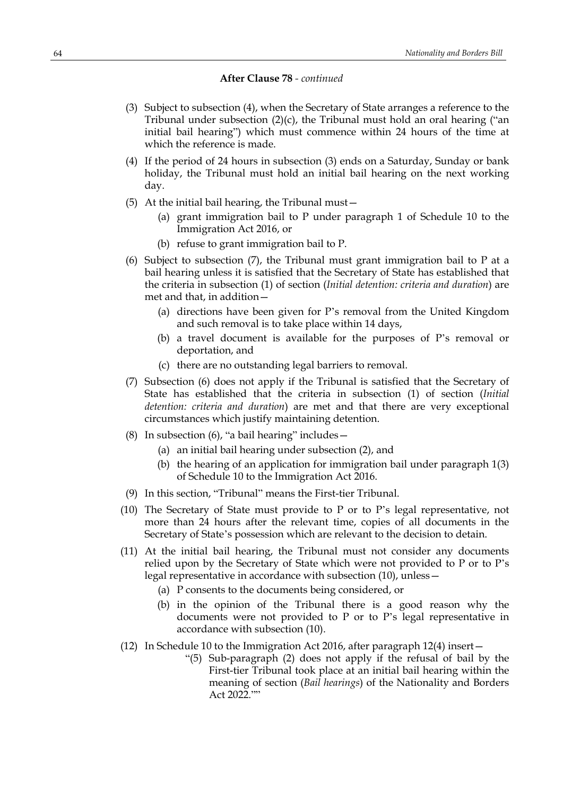#### **After Clause 78** *- continued*

- (3) Subject to subsection (4), when the Secretary of State arranges a reference to the Tribunal under subsection (2)(c), the Tribunal must hold an oral hearing ("an initial bail hearing") which must commence within 24 hours of the time at which the reference is made.
- (4) If the period of 24 hours in subsection (3) ends on a Saturday, Sunday or bank holiday, the Tribunal must hold an initial bail hearing on the next working day.
- (5) At the initial bail hearing, the Tribunal must—
	- (a) grant immigration bail to P under paragraph 1 of Schedule 10 to the Immigration Act 2016, or
	- (b) refuse to grant immigration bail to P.
- (6) Subject to subsection (7), the Tribunal must grant immigration bail to P at a bail hearing unless it is satisfied that the Secretary of State has established that the criteria in subsection (1) of section (*Initial detention: criteria and duration*) are met and that, in addition—
	- (a) directions have been given for P's removal from the United Kingdom and such removal is to take place within 14 days,
	- (b) a travel document is available for the purposes of P's removal or deportation, and
	- (c) there are no outstanding legal barriers to removal.
- (7) Subsection (6) does not apply if the Tribunal is satisfied that the Secretary of State has established that the criteria in subsection (1) of section (*Initial detention: criteria and duration*) are met and that there are very exceptional circumstances which justify maintaining detention.
- (8) In subsection (6), "a bail hearing" includes  $-$ 
	- (a) an initial bail hearing under subsection (2), and
	- (b) the hearing of an application for immigration bail under paragraph 1(3) of Schedule 10 to the Immigration Act 2016.
- (9) In this section, "Tribunal" means the First-tier Tribunal.
- (10) The Secretary of State must provide to P or to P's legal representative, not more than 24 hours after the relevant time, copies of all documents in the Secretary of State's possession which are relevant to the decision to detain.
- (11) At the initial bail hearing, the Tribunal must not consider any documents relied upon by the Secretary of State which were not provided to P or to P's legal representative in accordance with subsection (10), unless—
	- (a) P consents to the documents being considered, or
	- (b) in the opinion of the Tribunal there is a good reason why the documents were not provided to P or to P's legal representative in accordance with subsection (10).
- (12) In Schedule 10 to the Immigration Act 2016, after paragraph 12(4) insert—
	- "(5) Sub-paragraph (2) does not apply if the refusal of bail by the First-tier Tribunal took place at an initial bail hearing within the meaning of section (*Bail hearings*) of the Nationality and Borders Act 2022.""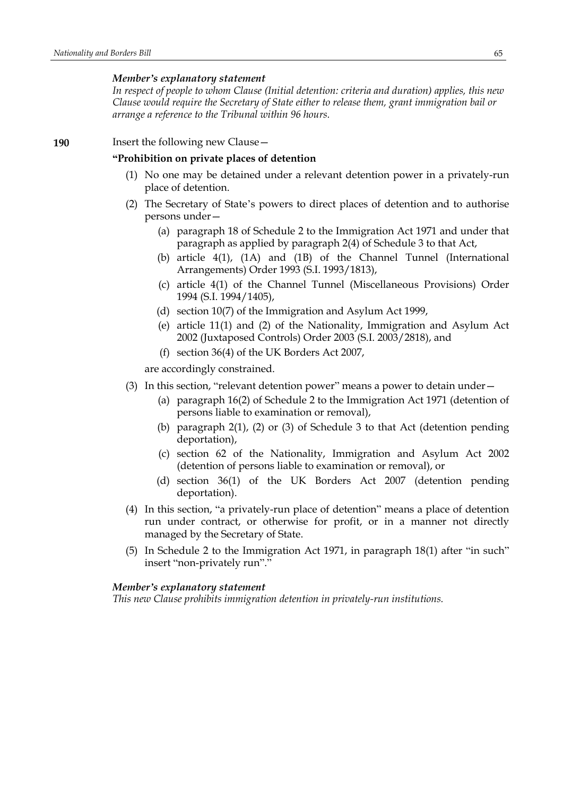*In respect of people to whom Clause (Initial detention: criteria and duration) applies, this new Clause would require the Secretary of State either to release them, grant immigration bail or arrange a reference to the Tribunal within 96 hours.*

### **190** Insert the following new Clause—

### **"Prohibition on private places of detention**

- (1) No one may be detained under a relevant detention power in a privately-run place of detention.
- (2) The Secretary of State's powers to direct places of detention and to authorise persons under—
	- (a) paragraph 18 of Schedule 2 to the Immigration Act 1971 and under that paragraph as applied by paragraph 2(4) of Schedule 3 to that Act,
	- (b) article 4(1), (1A) and (1B) of the Channel Tunnel (International Arrangements) Order 1993 (S.I. 1993/1813),
	- (c) article 4(1) of the Channel Tunnel (Miscellaneous Provisions) Order 1994 (S.I. 1994/1405),
	- (d) section 10(7) of the Immigration and Asylum Act 1999,
	- (e) article 11(1) and (2) of the Nationality, Immigration and Asylum Act 2002 (Juxtaposed Controls) Order 2003 (S.I. 2003/2818), and
	- (f) section 36(4) of the UK Borders Act 2007,

are accordingly constrained.

- (3) In this section, "relevant detention power" means a power to detain under—
	- (a) paragraph 16(2) of Schedule 2 to the Immigration Act 1971 (detention of persons liable to examination or removal),
	- (b) paragraph 2(1), (2) or (3) of Schedule 3 to that Act (detention pending deportation),
	- (c) section 62 of the Nationality, Immigration and Asylum Act 2002 (detention of persons liable to examination or removal), or
	- (d) section 36(1) of the UK Borders Act 2007 (detention pending deportation).
- (4) In this section, "a privately-run place of detention" means a place of detention run under contract, or otherwise for profit, or in a manner not directly managed by the Secretary of State.
- (5) In Schedule 2 to the Immigration Act 1971, in paragraph 18(1) after "in such" insert "non-privately run"."

#### *Member's explanatory statement*

*This new Clause prohibits immigration detention in privately-run institutions.*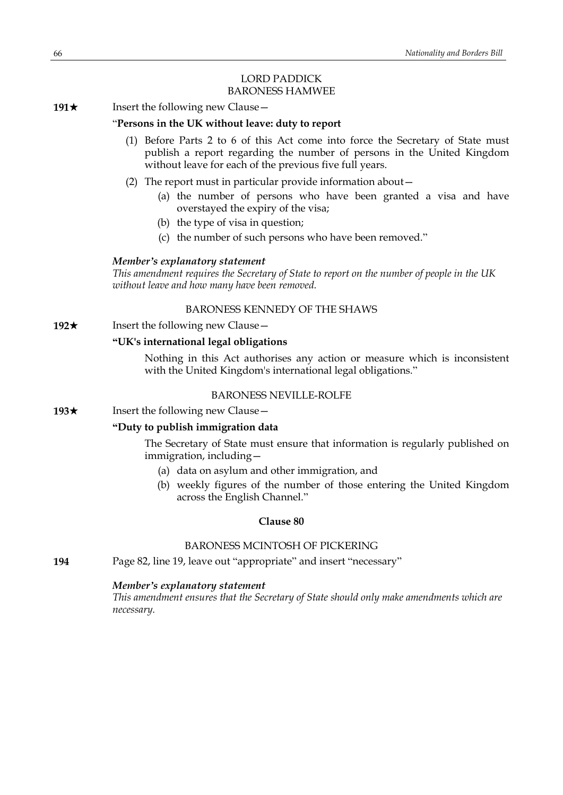### LORD PADDICK BARONESS HAMWEE

**191**★ Insert the following new Clause

### "**Persons in the UK without leave: duty to report**

- (1) Before Parts 2 to 6 of this Act come into force the Secretary of State must publish a report regarding the number of persons in the United Kingdom without leave for each of the previous five full years.
- (2) The report must in particular provide information about—
	- (a) the number of persons who have been granted a visa and have overstayed the expiry of the visa;
	- (b) the type of visa in question;
	- (c) the number of such persons who have been removed."

### *Member's explanatory statement*

*This amendment requires the Secretary of State to report on the number of people in the UK without leave and how many have been removed.*

### BARONESS KENNEDY OF THE SHAWS

**192**★ Insert the following new Clause —

#### **"UK's international legal obligations**

Nothing in this Act authorises any action or measure which is inconsistent with the United Kingdom's international legal obligations."

#### BARONESS NEVILLE-ROLFE

**193**★ Insert the following new Clause —

#### **"Duty to publish immigration data**

The Secretary of State must ensure that information is regularly published on immigration, including—

- (a) data on asylum and other immigration, and
- (b) weekly figures of the number of those entering the United Kingdom across the English Channel."

### **Clause 80**

#### BARONESS MCINTOSH OF PICKERING

**194** Page 82, line 19, leave out "appropriate" and insert "necessary"

#### *Member's explanatory statement*

*This amendment ensures that the Secretary of State should only make amendments which are necessary.*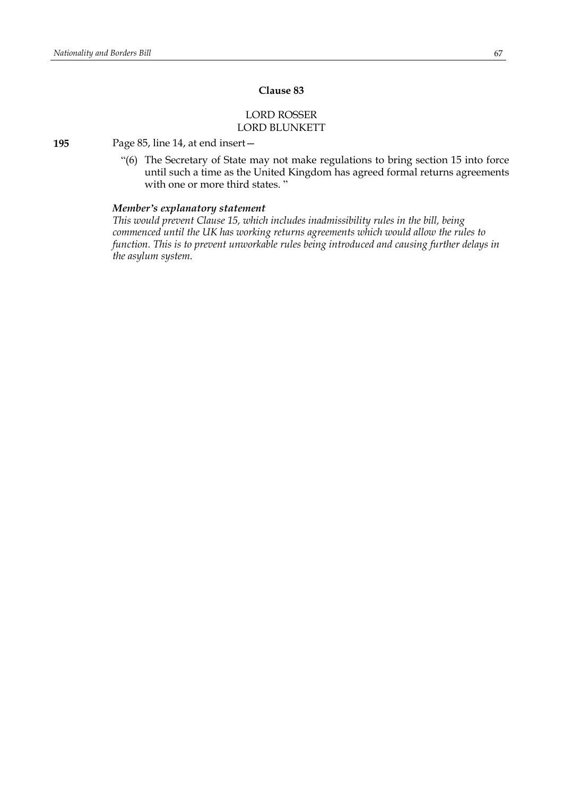### **Clause 83**

### LORD ROSSER LORD BLUNKETT

**195** Page 85, line 14, at end insert—

"(6) The Secretary of State may not make regulations to bring section 15 into force until such a time as the United Kingdom has agreed formal returns agreements with one or more third states."

### *Member's explanatory statement*

*This would prevent Clause 15, which includes inadmissibility rules in the bill, being commenced until the UK has working returns agreements which would allow the rules to function. This is to prevent unworkable rules being introduced and causing further delays in the asylum system.*